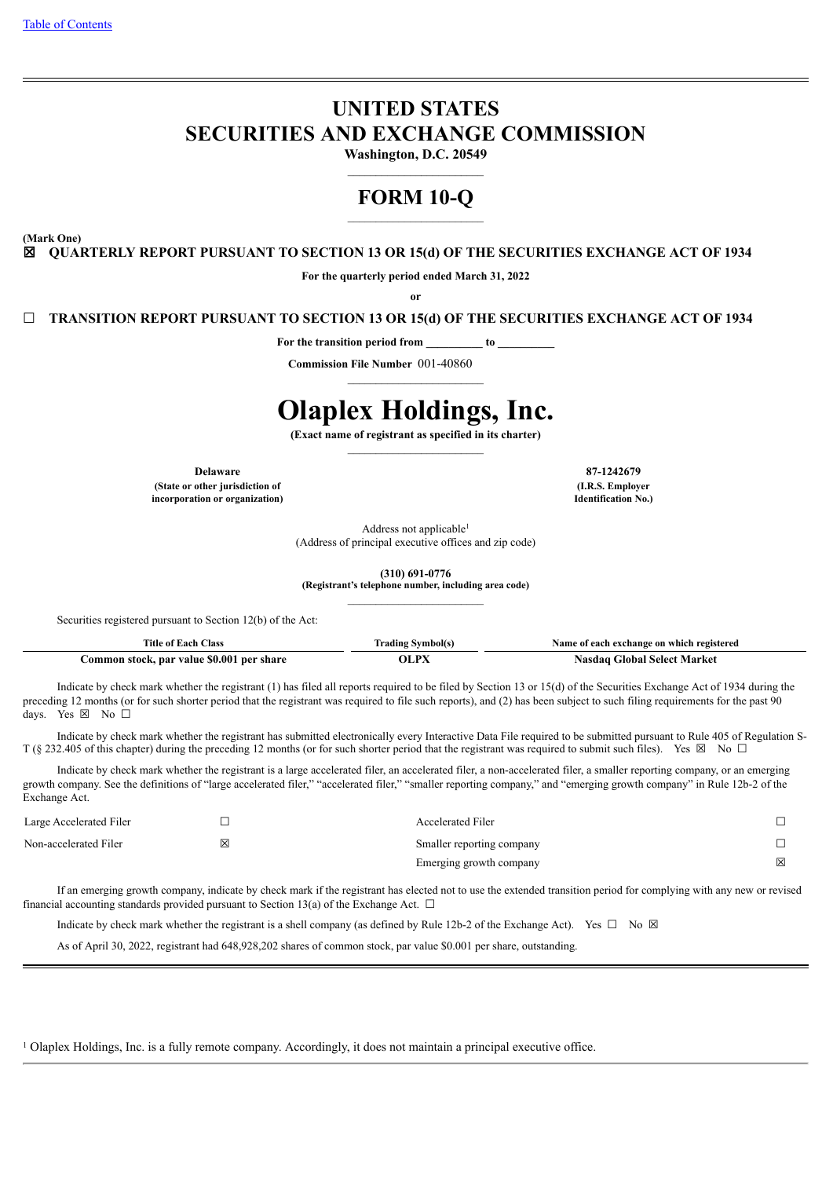# **UNITED STATES SECURITIES AND EXCHANGE COMMISSION**

**Washington, D.C. 20549**

# **FORM 10-Q**

**(Mark One)**

☒ **QUARTERLY REPORT PURSUANT TO SECTION 13 OR 15(d) OF THE SECURITIES EXCHANGE ACT OF 1934**

**For the quarterly period ended March 31, 2022**

**or**

☐ **TRANSITION REPORT PURSUANT TO SECTION 13 OR 15(d) OF THE SECURITIES EXCHANGE ACT OF 1934**

For the transition period from to to

**Commission File Number** 001-40860

# **Olaplex Holdings, Inc.**

**(Exact name of registrant as specified in its charter)**

**Delaware 87-1242679 (State or other jurisdiction of incorporation or organization)**

**(I.R.S. Employer Identification No.)**

Address not applicable<sup>1</sup> (Address of principal executive offices and zip code)

**(310) 691-0776**

**(Registrant's telephone number, including area code)**

Securities registered pursuant to Section 12(b) of the Act:

| Title<br>Class                                      | Frading<br>`vmbol(s. | vame<br>registered<br>í each exchange on which |  |  |  |  |  |
|-----------------------------------------------------|----------------------|------------------------------------------------|--|--|--|--|--|
| \$0.001<br>per share<br>. par<br>∵value …<br>stock. | - DV                 | Market<br>-select-<br>÷lobal                   |  |  |  |  |  |

Indicate by check mark whether the registrant (1) has filed all reports required to be filed by Section 13 or 15(d) of the Securities Exchange Act of 1934 during the preceding 12 months (or for such shorter period that the registrant was required to file such reports), and (2) has been subject to such filing requirements for the past 90 days. Yes ⊠ No □

Indicate by check mark whether the registrant has submitted electronically every Interactive Data File required to be submitted pursuant to Rule 405 of Regulation S-T (§ 232.405 of this chapter) during the preceding 12 months (or for such shorter period that the registrant was required to submit such files). Yes ⊠ No □

Indicate by check mark whether the registrant is a large accelerated filer, an accelerated filer, a non-accelerated filer, a smaller reporting company, or an emerging growth company. See the definitions of "large accelerated filer," "accelerated filer," "smaller reporting company," and "emerging growth company" in Rule 12b-2 of the Exchange Act.

| Large Accelerated Filer |   | <b>Accelerated Filer</b>  |        |
|-------------------------|---|---------------------------|--------|
| Non-accelerated Filer   | ⊠ | Smaller reporting company | $\Box$ |
|                         |   | Emerging growth company   | 図      |

If an emerging growth company, indicate by check mark if the registrant has elected not to use the extended transition period for complying with any new or revised financial accounting standards provided pursuant to Section 13(a) of the Exchange Act.  $\Box$ 

Indicate by check mark whether the registrant is a shell company (as defined by Rule 12b-2 of the Exchange Act). Yes  $\Box$  No  $\boxtimes$ 

As of April 30, 2022, registrant had 648,928,202 shares of common stock, par value \$0.001 per share, outstanding.

<span id="page-0-0"></span><sup>1</sup> Olaplex Holdings, Inc. is a fully remote company. Accordingly, it does not maintain a principal executive office.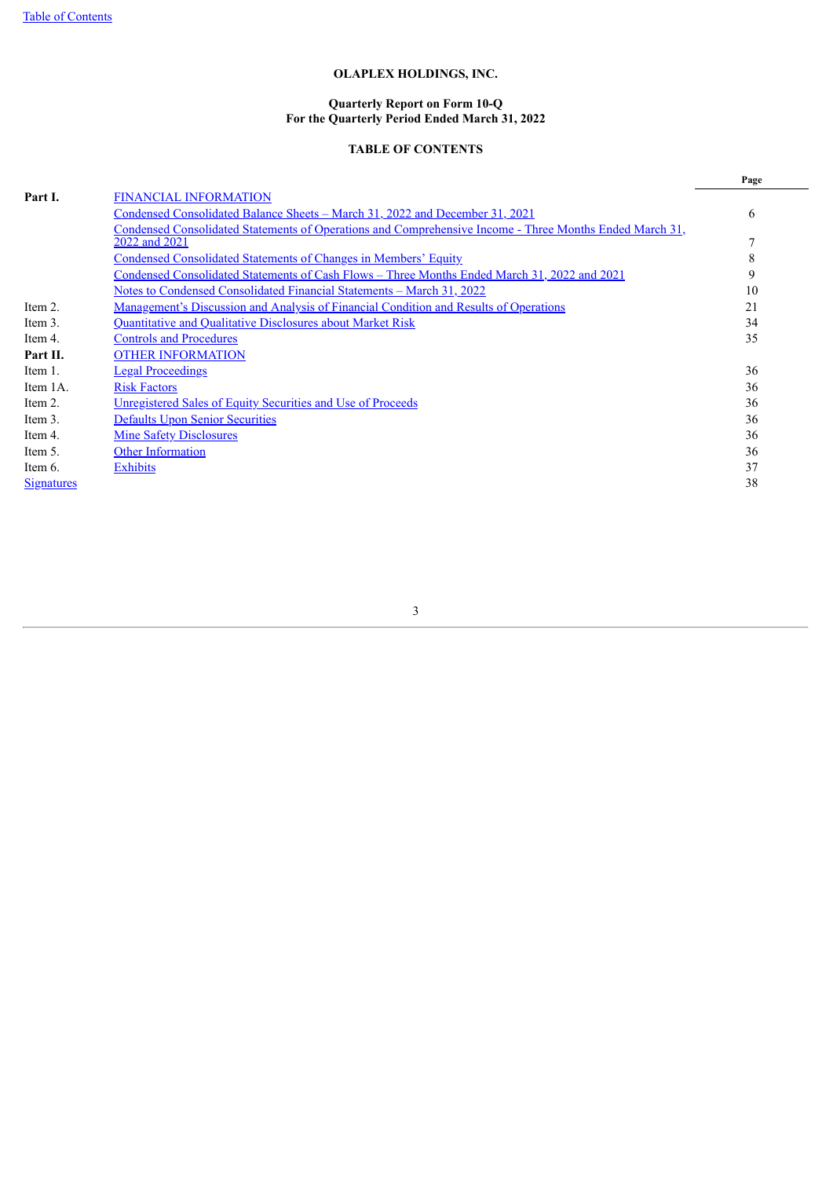#### **Quarterly Report on Form 10-Q For the Quarterly Period Ended March 31, 2022**

# **TABLE OF CONTENTS**

|                   |                                                                                                         | Page |
|-------------------|---------------------------------------------------------------------------------------------------------|------|
| Part I.           | <b>FINANCIAL INFORMATION</b>                                                                            |      |
|                   | Condensed Consolidated Balance Sheets - March 31, 2022 and December 31, 2021                            | 6    |
|                   | Condensed Consolidated Statements of Operations and Comprehensive Income - Three Months Ended March 31, |      |
|                   | 2022 and 2021                                                                                           |      |
|                   | Condensed Consolidated Statements of Changes in Members' Equity                                         | 8    |
|                   | Condensed Consolidated Statements of Cash Flows – Three Months Ended March 31, 2022 and 2021            | 9    |
|                   | <u> Notes to Condensed Consolidated Financial Statements – March 31, 2022</u>                           | 10   |
| Item 2.           | <u>Management's Discussion and Analysis of Financial Condition and Results of Operations</u>            | 21   |
| Item 3.           | Quantitative and Qualitative Disclosures about Market Risk                                              | 34   |
| Item 4.           | <b>Controls and Procedures</b>                                                                          | 35   |
| Part II.          | <b>OTHER INFORMATION</b>                                                                                |      |
| Item 1.           | <b>Legal Proceedings</b>                                                                                | 36   |
| Item 1A.          | <b>Risk Factors</b>                                                                                     | 36   |
| Item 2.           | <b>Unregistered Sales of Equity Securities and Use of Proceeds</b>                                      | 36   |
| Item 3.           | <b>Defaults Upon Senior Securities</b>                                                                  | 36   |
| Item 4.           | <b>Mine Safety Disclosures</b>                                                                          | 36   |
| Item 5.           | <b>Other Information</b>                                                                                | 36   |
| Item 6.           | <b>Exhibits</b>                                                                                         | 37   |
| <b>Signatures</b> |                                                                                                         | 38   |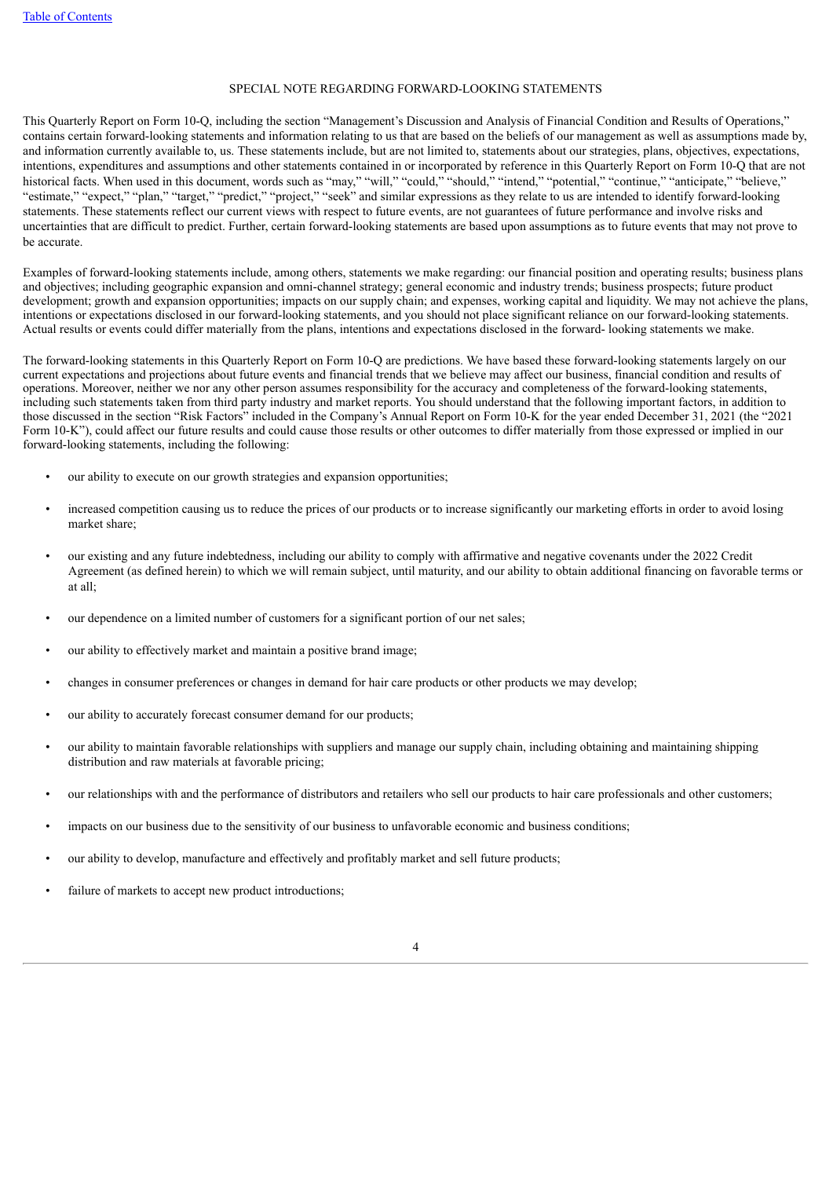#### SPECIAL NOTE REGARDING FORWARD-LOOKING STATEMENTS

This Quarterly Report on Form 10-Q, including the section "Management's Discussion and Analysis of Financial Condition and Results of Operations," contains certain forward-looking statements and information relating to us that are based on the beliefs of our management as well as assumptions made by, and information currently available to, us. These statements include, but are not limited to, statements about our strategies, plans, objectives, expectations, intentions, expenditures and assumptions and other statements contained in or incorporated by reference in this Quarterly Report on Form 10-Q that are not historical facts. When used in this document, words such as "may," "will," "could," "should," "intend," "potential," "continue," "anticipate," "believe," "estimate," "expect," "plan," "target," "predict," "project," "seek" and similar expressions as they relate to us are intended to identify forward-looking statements. These statements reflect our current views with respect to future events, are not guarantees of future performance and involve risks and uncertainties that are difficult to predict. Further, certain forward-looking statements are based upon assumptions as to future events that may not prove to be accurate.

Examples of forward-looking statements include, among others, statements we make regarding: our financial position and operating results; business plans and objectives; including geographic expansion and omni-channel strategy; general economic and industry trends; business prospects; future product development; growth and expansion opportunities; impacts on our supply chain; and expenses, working capital and liquidity. We may not achieve the plans, intentions or expectations disclosed in our forward-looking statements, and you should not place significant reliance on our forward-looking statements. Actual results or events could differ materially from the plans, intentions and expectations disclosed in the forward- looking statements we make.

The forward-looking statements in this Quarterly Report on Form 10-Q are predictions. We have based these forward-looking statements largely on our current expectations and projections about future events and financial trends that we believe may affect our business, financial condition and results of operations. Moreover, neither we nor any other person assumes responsibility for the accuracy and completeness of the forward-looking statements, including such statements taken from third party industry and market reports. You should understand that the following important factors, in addition to those discussed in the section "Risk Factors" included in the Company's Annual Report on Form 10-K for the year ended December 31, 2021 (the "2021 Form 10-K"), could affect our future results and could cause those results or other outcomes to differ materially from those expressed or implied in our forward-looking statements, including the following:

- our ability to execute on our growth strategies and expansion opportunities;
- increased competition causing us to reduce the prices of our products or to increase significantly our marketing efforts in order to avoid losing market share;
- our existing and any future indebtedness, including our ability to comply with affirmative and negative covenants under the 2022 Credit Agreement (as defined herein) to which we will remain subject, until maturity, and our ability to obtain additional financing on favorable terms or at all;
- our dependence on a limited number of customers for a significant portion of our net sales;
- our ability to effectively market and maintain a positive brand image;
- changes in consumer preferences or changes in demand for hair care products or other products we may develop;
- our ability to accurately forecast consumer demand for our products;
- our ability to maintain favorable relationships with suppliers and manage our supply chain, including obtaining and maintaining shipping distribution and raw materials at favorable pricing;
- our relationships with and the performance of distributors and retailers who sell our products to hair care professionals and other customers;
- impacts on our business due to the sensitivity of our business to unfavorable economic and business conditions;
- our ability to develop, manufacture and effectively and profitably market and sell future products;
- failure of markets to accept new product introductions;

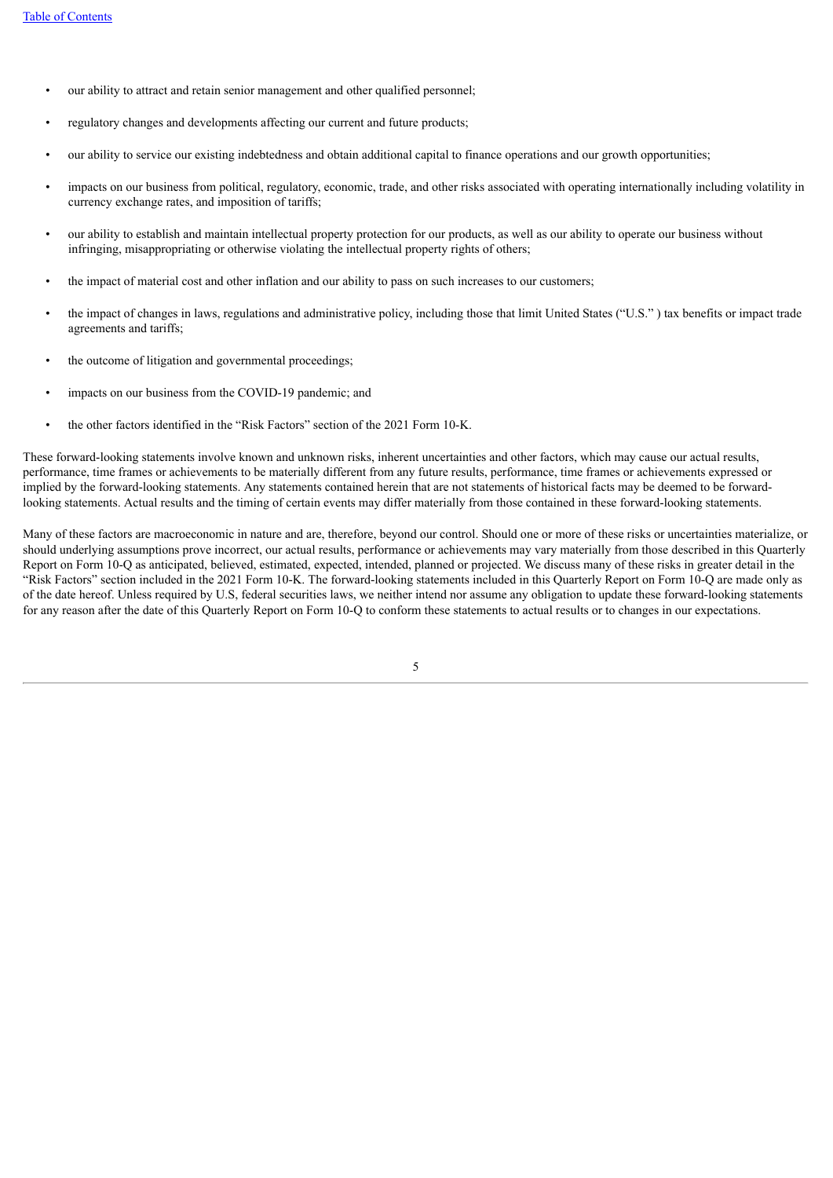- our ability to attract and retain senior management and other qualified personnel;
- regulatory changes and developments affecting our current and future products;
- our ability to service our existing indebtedness and obtain additional capital to finance operations and our growth opportunities;
- impacts on our business from political, regulatory, economic, trade, and other risks associated with operating internationally including volatility in currency exchange rates, and imposition of tariffs;
- our ability to establish and maintain intellectual property protection for our products, as well as our ability to operate our business without infringing, misappropriating or otherwise violating the intellectual property rights of others;
- the impact of material cost and other inflation and our ability to pass on such increases to our customers;
- the impact of changes in laws, regulations and administrative policy, including those that limit United States ("U.S." ) tax benefits or impact trade agreements and tariffs;
- the outcome of litigation and governmental proceedings;
- impacts on our business from the COVID-19 pandemic; and
- the other factors identified in the "Risk Factors" section of the 2021 Form 10-K.

These forward-looking statements involve known and unknown risks, inherent uncertainties and other factors, which may cause our actual results, performance, time frames or achievements to be materially different from any future results, performance, time frames or achievements expressed or implied by the forward-looking statements. Any statements contained herein that are not statements of historical facts may be deemed to be forwardlooking statements. Actual results and the timing of certain events may differ materially from those contained in these forward-looking statements.

<span id="page-3-0"></span>Many of these factors are macroeconomic in nature and are, therefore, beyond our control. Should one or more of these risks or uncertainties materialize, or should underlying assumptions prove incorrect, our actual results, performance or achievements may vary materially from those described in this Quarterly Report on Form 10-Q as anticipated, believed, estimated, expected, intended, planned or projected. We discuss many of these risks in greater detail in the "Risk Factors" section included in the 2021 Form 10-K. The forward-looking statements included in this Quarterly Report on Form 10-Q are made only as of the date hereof. Unless required by U.S, federal securities laws, we neither intend nor assume any obligation to update these forward-looking statements for any reason after the date of this Quarterly Report on Form 10-Q to conform these statements to actual results or to changes in our expectations.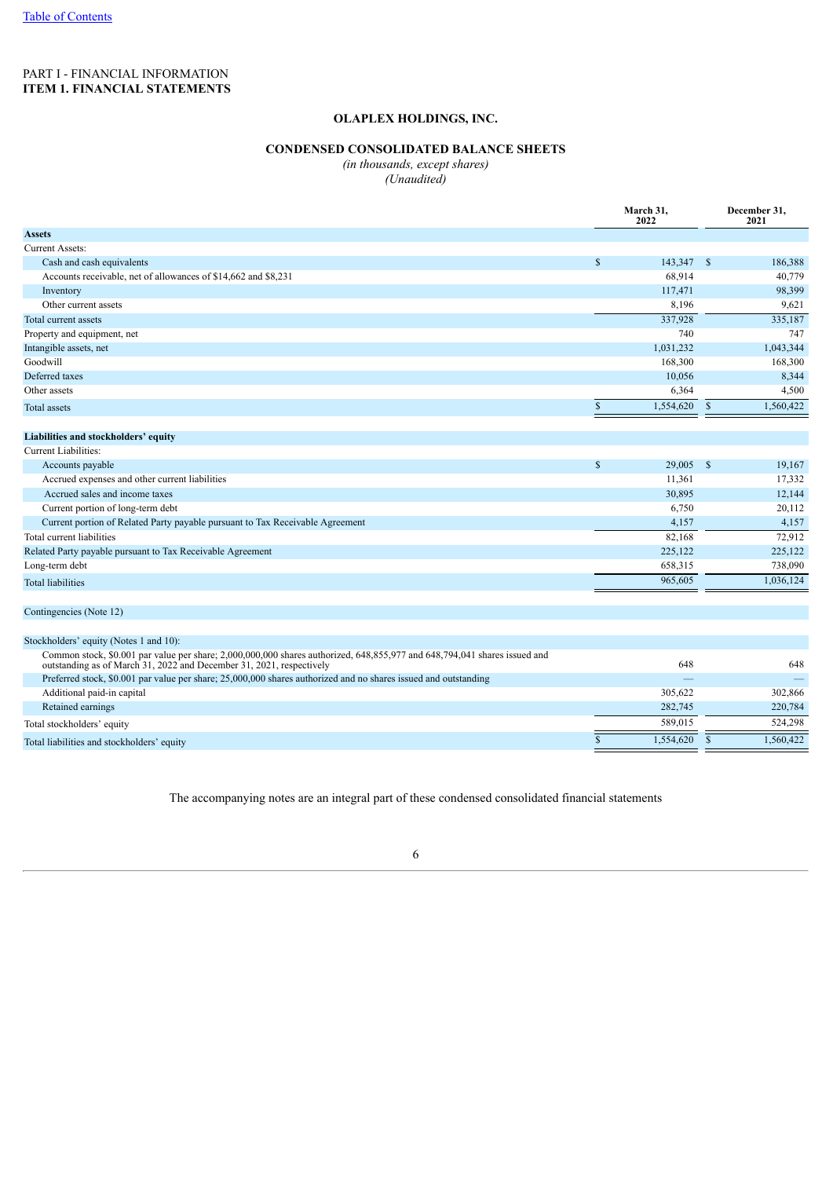# <span id="page-4-0"></span>PART I - FINANCIAL INFORMATION **ITEM 1. FINANCIAL STATEMENTS**

## **OLAPLEX HOLDINGS, INC.**

# **CONDENSED CONSOLIDATED BALANCE SHEETS**

*(in thousands, except shares)*

*(Unaudited)*

|                                                                                                                                                                                                   |               | March 31,<br>2022 | December 31,<br>2021 |           |  |
|---------------------------------------------------------------------------------------------------------------------------------------------------------------------------------------------------|---------------|-------------------|----------------------|-----------|--|
| <b>Assets</b>                                                                                                                                                                                     |               |                   |                      |           |  |
| <b>Current Assets:</b>                                                                                                                                                                            |               |                   |                      |           |  |
| Cash and cash equivalents                                                                                                                                                                         | $\mathbb{S}$  | 143,347 \$        |                      | 186,388   |  |
| Accounts receivable, net of allowances of \$14,662 and \$8,231                                                                                                                                    |               | 68,914            |                      | 40,779    |  |
| Inventory                                                                                                                                                                                         |               | 117,471           |                      | 98,399    |  |
| Other current assets                                                                                                                                                                              |               | 8,196             |                      | 9,621     |  |
| Total current assets                                                                                                                                                                              |               | 337,928           |                      | 335,187   |  |
| Property and equipment, net                                                                                                                                                                       |               | 740               |                      | 747       |  |
| Intangible assets, net                                                                                                                                                                            |               | 1,031,232         |                      | 1,043,344 |  |
| Goodwill                                                                                                                                                                                          |               | 168,300           |                      | 168,300   |  |
| Deferred taxes                                                                                                                                                                                    |               | 10,056            |                      | 8,344     |  |
| Other assets                                                                                                                                                                                      |               | 6,364             |                      | 4,500     |  |
| <b>Total assets</b>                                                                                                                                                                               | <sup>\$</sup> | 1,554,620         | $\mathbf{s}$         | 1,560,422 |  |
| Liabilities and stockholders' equity                                                                                                                                                              |               |                   |                      |           |  |
| Current Liabilities:                                                                                                                                                                              |               |                   |                      |           |  |
| Accounts payable                                                                                                                                                                                  | <sup>\$</sup> | 29,005            | - \$                 | 19,167    |  |
| Accrued expenses and other current liabilities                                                                                                                                                    |               | 11,361            |                      | 17,332    |  |
| Accrued sales and income taxes                                                                                                                                                                    |               | 30,895            |                      | 12,144    |  |
| Current portion of long-term debt                                                                                                                                                                 |               | 6,750             |                      | 20,112    |  |
| Current portion of Related Party payable pursuant to Tax Receivable Agreement                                                                                                                     |               | 4,157             |                      | 4,157     |  |
| Total current liabilities                                                                                                                                                                         |               | 82,168            |                      | 72,912    |  |
| Related Party payable pursuant to Tax Receivable Agreement                                                                                                                                        |               | 225,122           |                      | 225,122   |  |
| Long-term debt                                                                                                                                                                                    |               | 658,315           |                      | 738,090   |  |
| <b>Total liabilities</b>                                                                                                                                                                          |               | 965,605           |                      | 1,036,124 |  |
| Contingencies (Note 12)                                                                                                                                                                           |               |                   |                      |           |  |
| Stockholders' equity (Notes 1 and 10):                                                                                                                                                            |               |                   |                      |           |  |
| Common stock, \$0.001 par value per share; 2,000,000,000 shares authorized, 648,855,977 and 648,794,041 shares issued and<br>outstanding as of March 31, 2022 and December 31, 2021, respectively |               | 648               |                      | 648       |  |
| Preferred stock, \$0.001 par value per share; 25,000,000 shares authorized and no shares issued and outstanding                                                                                   |               |                   |                      |           |  |
| Additional paid-in capital                                                                                                                                                                        |               | 305,622           |                      | 302,866   |  |
| Retained earnings                                                                                                                                                                                 |               | 282,745           |                      | 220,784   |  |
| Total stockholders' equity                                                                                                                                                                        |               | 589,015           |                      | 524,298   |  |
| Total liabilities and stockholders' equity                                                                                                                                                        | <sup>\$</sup> | 1,554,620         | -S                   | 1,560,422 |  |

<span id="page-4-1"></span>The accompanying notes are an integral part of these condensed consolidated financial statements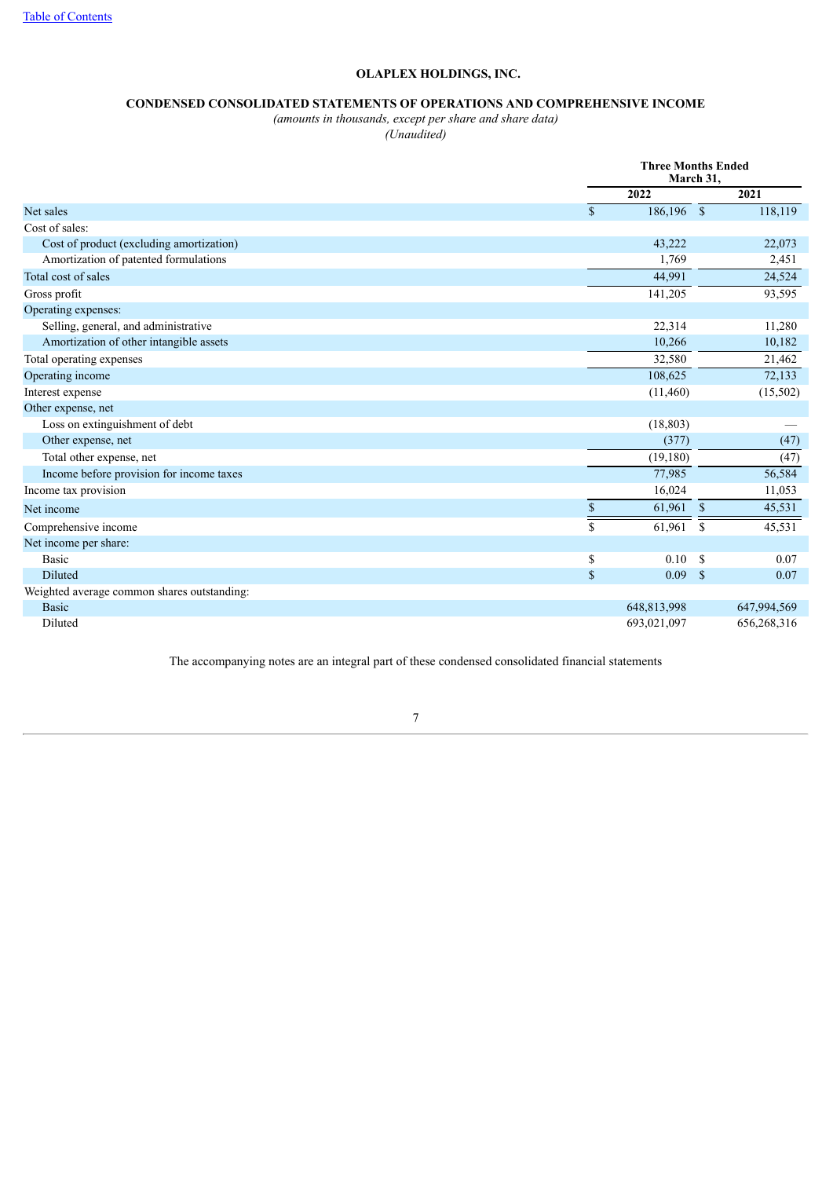# **CONDENSED CONSOLIDATED STATEMENTS OF OPERATIONS AND COMPREHENSIVE INCOME**

*(amounts in thousands, except per share and share data)*

*(Unaudited)*

|                                             |              | <b>Three Months Ended</b><br>March 31, |      |             |  |
|---------------------------------------------|--------------|----------------------------------------|------|-------------|--|
|                                             |              | 2022                                   |      | 2021        |  |
| Net sales                                   | $\mathbb{S}$ | 186,196 \$                             |      | 118,119     |  |
| Cost of sales:                              |              |                                        |      |             |  |
| Cost of product (excluding amortization)    |              | 43,222                                 |      | 22,073      |  |
| Amortization of patented formulations       |              | 1,769                                  |      | 2,451       |  |
| Total cost of sales                         |              | 44,991                                 |      | 24,524      |  |
| Gross profit                                |              | 141,205                                |      | 93,595      |  |
| Operating expenses:                         |              |                                        |      |             |  |
| Selling, general, and administrative        |              | 22,314                                 |      | 11,280      |  |
| Amortization of other intangible assets     |              | 10,266                                 |      | 10,182      |  |
| Total operating expenses                    |              | 32,580                                 |      | 21,462      |  |
| Operating income                            |              | 108,625                                |      | 72,133      |  |
| Interest expense                            |              | (11,460)                               |      | (15,502)    |  |
| Other expense, net                          |              |                                        |      |             |  |
| Loss on extinguishment of debt              |              | (18, 803)                              |      |             |  |
| Other expense, net                          |              | (377)                                  |      | (47)        |  |
| Total other expense, net                    |              | (19,180)                               |      | (47)        |  |
| Income before provision for income taxes    |              | 77,985                                 |      | 56,584      |  |
| Income tax provision                        |              | 16,024                                 |      | 11,053      |  |
| Net income                                  | $\mathbb{S}$ | $61,961$ \$                            |      | 45,531      |  |
| Comprehensive income                        | $\mathbf S$  | 61,961                                 | - \$ | 45,531      |  |
| Net income per share:                       |              |                                        |      |             |  |
| <b>Basic</b>                                | \$           | $0.10 -$                               | - S  | 0.07        |  |
| Diluted                                     | $\mathbb{S}$ | 0.09 S                                 |      | 0.07        |  |
| Weighted average common shares outstanding: |              |                                        |      |             |  |
| Basic                                       |              | 648,813,998                            |      | 647,994,569 |  |
| Diluted                                     |              | 693,021,097                            |      | 656,268,316 |  |

<span id="page-5-0"></span>The accompanying notes are an integral part of these condensed consolidated financial statements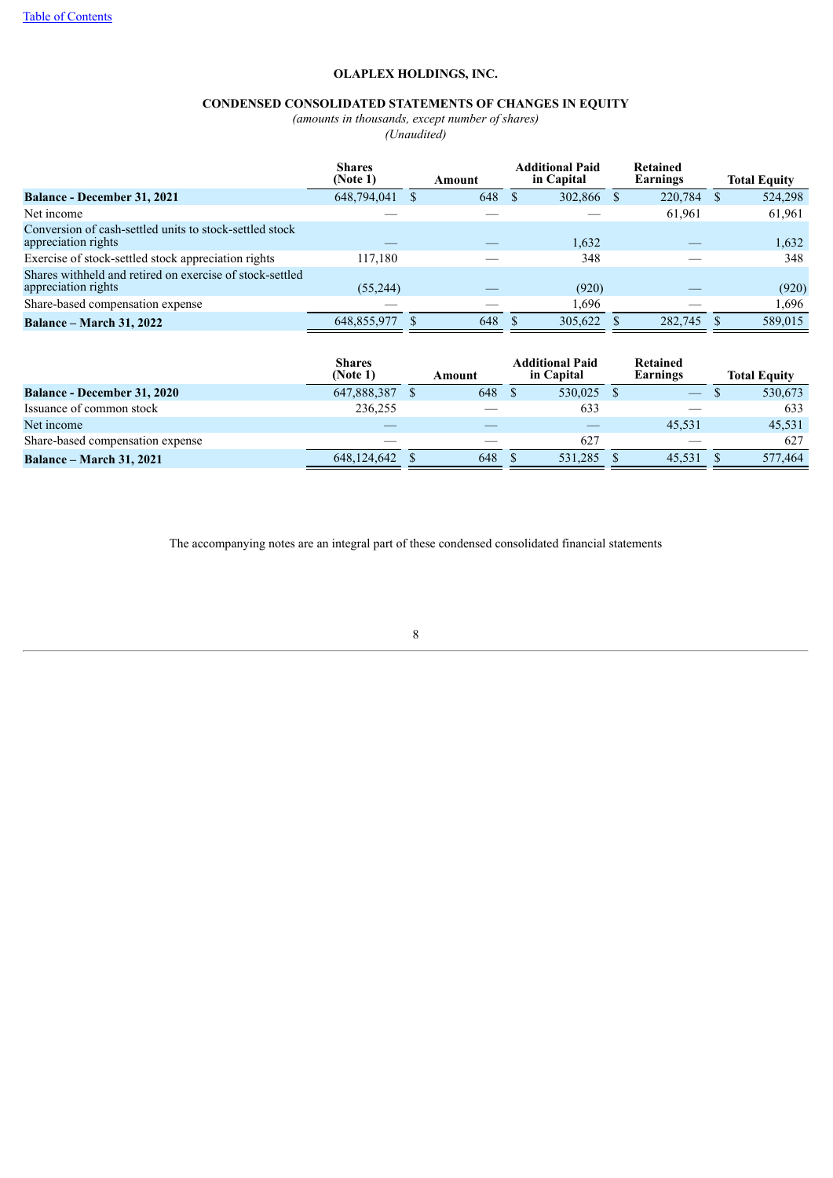# **CONDENSED CONSOLIDATED STATEMENTS OF CHANGES IN EQUITY**

*(amounts in thousands, except number of shares)*

*(Unaudited)*

|                                                                                 | <b>Shares</b><br>(Note 1) | Amount | <b>Additional Paid</b><br>in Capital |    | Retained<br>Earnings | <b>Total Equity</b> |
|---------------------------------------------------------------------------------|---------------------------|--------|--------------------------------------|----|----------------------|---------------------|
| <b>Balance - December 31, 2021</b>                                              | 648,794,041               | 648    | 302,866                              | -S | 220,784              | 524,298             |
| Net income                                                                      |                           |        |                                      |    | 61,961               | 61,961              |
| Conversion of cash-settled units to stock-settled stock<br>appreciation rights  |                           |        | 1,632                                |    |                      | 1,632               |
| Exercise of stock-settled stock appreciation rights                             | 117,180                   |        | 348                                  |    |                      | 348                 |
| Shares withheld and retired on exercise of stock-settled<br>appreciation rights | (55,244)                  |        | (920)                                |    |                      | (920)               |
| Share-based compensation expense                                                |                           |        | .696                                 |    |                      | 1.696               |
| <b>Balance – March 31, 2022</b>                                                 | 648,855,977               | 648    | 305.622                              |    | 282,745              | 589,015             |

|                                    | <b>Shares</b><br>(Note 1) | Amount | <b>Additional Paid</b><br>in Capital | Retained<br>Earnings | <b>Total Equity</b> |
|------------------------------------|---------------------------|--------|--------------------------------------|----------------------|---------------------|
| <b>Balance - December 31, 2020</b> | 647,888,387               | 648    | 530.025                              |                      | 530,673             |
| Issuance of common stock           | 236.255                   |        | 633                                  |                      | 633                 |
| Net income                         |                           |        |                                      | 45.531               | 45,531              |
| Share-based compensation expense   |                           |        | 627                                  |                      | 627                 |
| <b>Balance – March 31, 2021</b>    | 648.124.642               | 648    | 531.285                              | 45.531               | 577,464             |

<span id="page-6-0"></span>The accompanying notes are an integral part of these condensed consolidated financial statements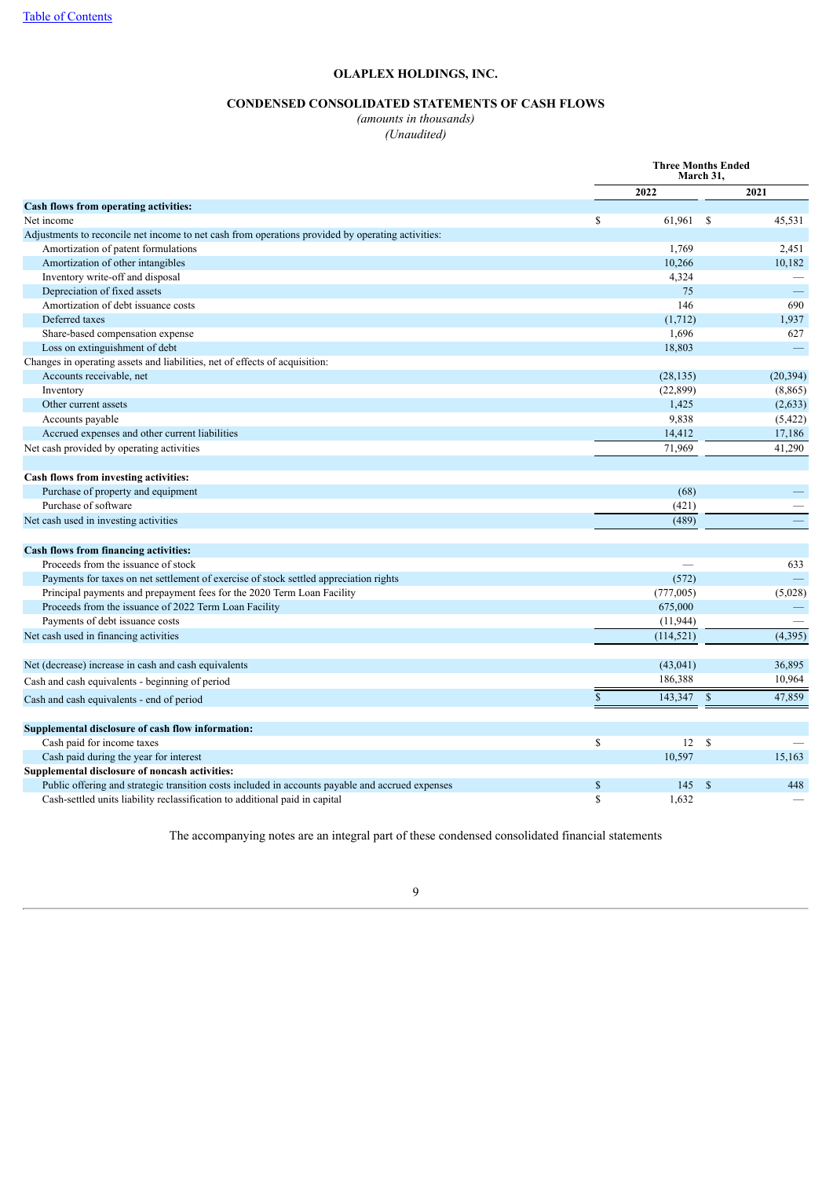# **CONDENSED CONSOLIDATED STATEMENTS OF CASH FLOWS**

*(amounts in thousands)*

*(Unaudited)*

|                                                                                                   | <b>Three Months Ended</b><br>March 31, |            |               |                          |
|---------------------------------------------------------------------------------------------------|----------------------------------------|------------|---------------|--------------------------|
|                                                                                                   |                                        | 2022       |               | 2021                     |
| Cash flows from operating activities:                                                             |                                        |            |               |                          |
| Net income                                                                                        | \$                                     | 61,961 \$  |               | 45,531                   |
| Adjustments to reconcile net income to net cash from operations provided by operating activities: |                                        |            |               |                          |
| Amortization of patent formulations                                                               |                                        | 1,769      |               | 2,451                    |
| Amortization of other intangibles                                                                 |                                        | 10,266     |               | 10,182                   |
| Inventory write-off and disposal                                                                  |                                        | 4,324      |               |                          |
| Depreciation of fixed assets                                                                      |                                        | 75         |               | $\overline{\phantom{m}}$ |
| Amortization of debt issuance costs                                                               |                                        | 146        |               | 690                      |
| Deferred taxes                                                                                    |                                        | (1,712)    |               | 1,937                    |
| Share-based compensation expense                                                                  |                                        | 1,696      |               | 627                      |
| Loss on extinguishment of debt                                                                    |                                        | 18,803     |               | $\overline{\phantom{m}}$ |
| Changes in operating assets and liabilities, net of effects of acquisition:                       |                                        |            |               |                          |
| Accounts receivable, net                                                                          |                                        | (28, 135)  |               | (20, 394)                |
| Inventory                                                                                         |                                        | (22, 899)  |               | (8, 865)                 |
| Other current assets                                                                              |                                        | 1,425      |               | (2,633)                  |
| Accounts payable                                                                                  |                                        | 9,838      |               | (5, 422)                 |
| Accrued expenses and other current liabilities                                                    |                                        | 14,412     |               | 17,186                   |
| Net cash provided by operating activities                                                         |                                        | 71.969     |               | 41,290                   |
|                                                                                                   |                                        |            |               |                          |
| Cash flows from investing activities:                                                             |                                        |            |               |                          |
| Purchase of property and equipment                                                                |                                        | (68)       |               |                          |
| Purchase of software                                                                              |                                        | (421)      |               |                          |
| Net cash used in investing activities                                                             |                                        | (489)      |               |                          |
|                                                                                                   |                                        |            |               |                          |
| <b>Cash flows from financing activities:</b>                                                      |                                        |            |               |                          |
| Proceeds from the issuance of stock                                                               |                                        |            |               | 633                      |
| Payments for taxes on net settlement of exercise of stock settled appreciation rights             |                                        | (572)      |               |                          |
| Principal payments and prepayment fees for the 2020 Term Loan Facility                            |                                        | (777,005)  |               | (5,028)                  |
| Proceeds from the issuance of 2022 Term Loan Facility                                             |                                        | 675,000    |               | -                        |
| Payments of debt issuance costs                                                                   |                                        | (11, 944)  |               |                          |
| Net cash used in financing activities                                                             |                                        | (114, 521) |               | (4, 395)                 |
| Net (decrease) increase in cash and cash equivalents                                              |                                        | (43, 041)  |               | 36,895                   |
| Cash and cash equivalents - beginning of period                                                   |                                        | 186,388    |               | 10,964                   |
|                                                                                                   | $\mathbf S$                            | 143,347 \$ |               | 47,859                   |
| Cash and cash equivalents - end of period                                                         |                                        |            |               |                          |
| Supplemental disclosure of cash flow information:                                                 |                                        |            |               |                          |
| Cash paid for income taxes                                                                        | \$                                     | 12         | <sup>\$</sup> |                          |
| Cash paid during the year for interest                                                            |                                        | 10,597     |               | 15,163                   |
| Supplemental disclosure of noncash activities:                                                    |                                        |            |               |                          |
| Public offering and strategic transition costs included in accounts payable and accrued expenses  | $\mathbb{S}$                           | 145        | $\mathbf S$   | 448                      |
| Cash-settled units liability reclassification to additional paid in capital                       | \$                                     | 1,632      |               |                          |

<span id="page-7-0"></span>The accompanying notes are an integral part of these condensed consolidated financial statements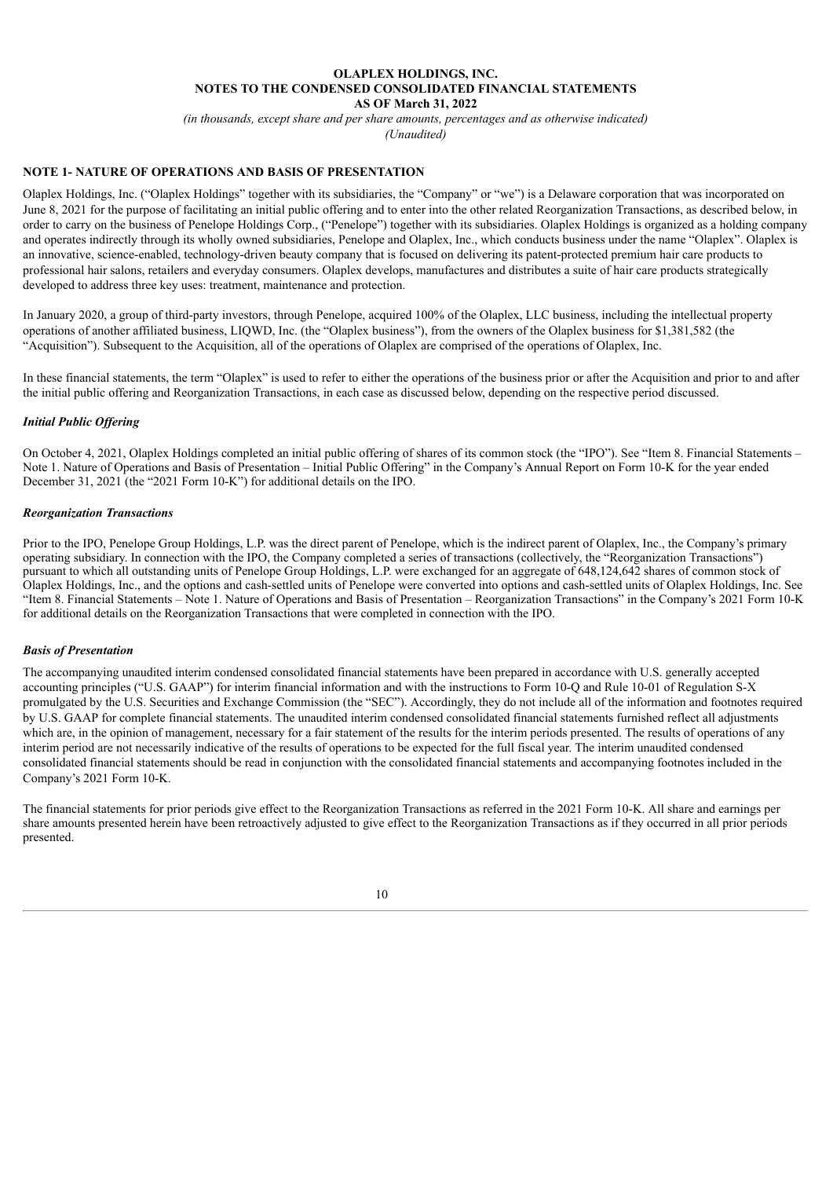#### **OLAPLEX HOLDINGS, INC. NOTES TO THE CONDENSED CONSOLIDATED FINANCIAL STATEMENTS AS OF March 31, 2022**

*(in thousands, except share and per share amounts, percentages and as otherwise indicated) (Unaudited)*

#### **NOTE 1- NATURE OF OPERATIONS AND BASIS OF PRESENTATION**

Olaplex Holdings, Inc. ("Olaplex Holdings" together with its subsidiaries, the "Company" or "we") is a Delaware corporation that was incorporated on June 8, 2021 for the purpose of facilitating an initial public offering and to enter into the other related Reorganization Transactions, as described below, in order to carry on the business of Penelope Holdings Corp., ("Penelope") together with its subsidiaries. Olaplex Holdings is organized as a holding company and operates indirectly through its wholly owned subsidiaries, Penelope and Olaplex, Inc., which conducts business under the name "Olaplex". Olaplex is an innovative, science-enabled, technology-driven beauty company that is focused on delivering its patent-protected premium hair care products to professional hair salons, retailers and everyday consumers. Olaplex develops, manufactures and distributes a suite of hair care products strategically developed to address three key uses: treatment, maintenance and protection.

In January 2020, a group of third-party investors, through Penelope, acquired 100% of the Olaplex, LLC business, including the intellectual property operations of another affiliated business, LIQWD, Inc. (the "Olaplex business"), from the owners of the Olaplex business for \$1,381,582 (the "Acquisition"). Subsequent to the Acquisition, all of the operations of Olaplex are comprised of the operations of Olaplex, Inc.

In these financial statements, the term "Olaplex" is used to refer to either the operations of the business prior or after the Acquisition and prior to and after the initial public offering and Reorganization Transactions, in each case as discussed below, depending on the respective period discussed.

#### *Initial Public Of ering*

On October 4, 2021, Olaplex Holdings completed an initial public offering of shares of its common stock (the "IPO"). See "Item 8. Financial Statements – Note 1. Nature of Operations and Basis of Presentation – Initial Public Offering" in the Company's Annual Report on Form 10-K for the year ended December 31, 2021 (the "2021 Form 10-K") for additional details on the IPO.

#### *Reorganization Transactions*

Prior to the IPO, Penelope Group Holdings, L.P. was the direct parent of Penelope, which is the indirect parent of Olaplex, Inc., the Company's primary operating subsidiary. In connection with the IPO, the Company completed a series of transactions (collectively, the "Reorganization Transactions") pursuant to which all outstanding units of Penelope Group Holdings, L.P. were exchanged for an aggregate of 648,124,642 shares of common stock of Olaplex Holdings, Inc., and the options and cash-settled units of Penelope were converted into options and cash-settled units of Olaplex Holdings, Inc. See "Item 8. Financial Statements – Note 1. Nature of Operations and Basis of Presentation – Reorganization Transactions" in the Company's 2021 Form 10-K for additional details on the Reorganization Transactions that were completed in connection with the IPO.

#### *Basis of Presentation*

The accompanying unaudited interim condensed consolidated financial statements have been prepared in accordance with U.S. generally accepted accounting principles ("U.S. GAAP") for interim financial information and with the instructions to Form 10-Q and Rule 10-01 of Regulation S-X promulgated by the U.S. Securities and Exchange Commission (the "SEC"). Accordingly, they do not include all of the information and footnotes required by U.S. GAAP for complete financial statements. The unaudited interim condensed consolidated financial statements furnished reflect all adjustments which are, in the opinion of management, necessary for a fair statement of the results for the interim periods presented. The results of operations of any interim period are not necessarily indicative of the results of operations to be expected for the full fiscal year. The interim unaudited condensed consolidated financial statements should be read in conjunction with the consolidated financial statements and accompanying footnotes included in the Company's 2021 Form 10-K.

The financial statements for prior periods give effect to the Reorganization Transactions as referred in the 2021 Form 10-K. All share and earnings per share amounts presented herein have been retroactively adjusted to give effect to the Reorganization Transactions as if they occurred in all prior periods presented.

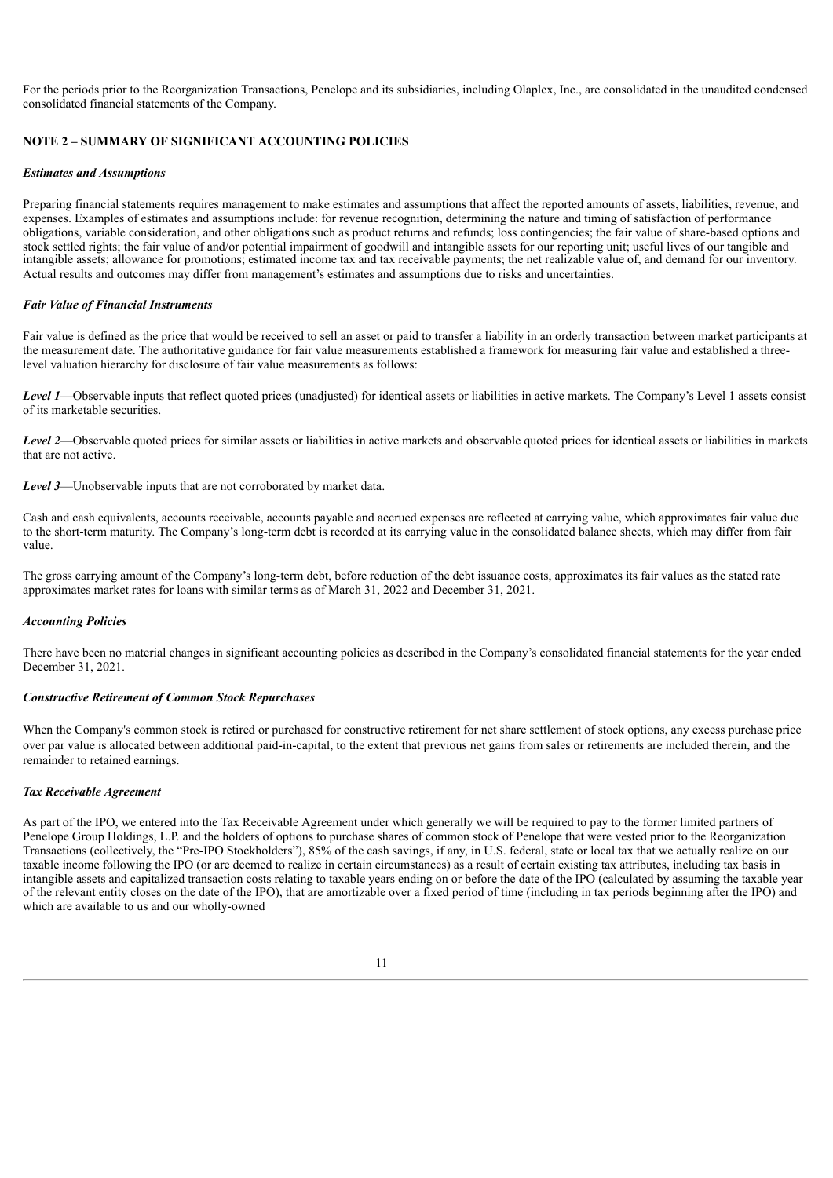For the periods prior to the Reorganization Transactions, Penelope and its subsidiaries, including Olaplex, Inc., are consolidated in the unaudited condensed consolidated financial statements of the Company.

#### **NOTE 2 – SUMMARY OF SIGNIFICANT ACCOUNTING POLICIES**

#### *Estimates and Assumptions*

Preparing financial statements requires management to make estimates and assumptions that affect the reported amounts of assets, liabilities, revenue, and expenses. Examples of estimates and assumptions include: for revenue recognition, determining the nature and timing of satisfaction of performance obligations, variable consideration, and other obligations such as product returns and refunds; loss contingencies; the fair value of share-based options and stock settled rights; the fair value of and/or potential impairment of goodwill and intangible assets for our reporting unit; useful lives of our tangible and intangible assets; allowance for promotions; estimated income tax and tax receivable payments; the net realizable value of, and demand for our inventory. Actual results and outcomes may differ from management's estimates and assumptions due to risks and uncertainties.

#### *Fair Value of Financial Instruments*

Fair value is defined as the price that would be received to sell an asset or paid to transfer a liability in an orderly transaction between market participants at the measurement date. The authoritative guidance for fair value measurements established a framework for measuring fair value and established a threelevel valuation hierarchy for disclosure of fair value measurements as follows:

*Level 1*—Observable inputs that reflect quoted prices (unadjusted) for identical assets or liabilities in active markets. The Company's Level 1 assets consist of its marketable securities.

*Level 2*—Observable quoted prices for similar assets or liabilities in active markets and observable quoted prices for identical assets or liabilities in markets that are not active.

*Level 3*—Unobservable inputs that are not corroborated by market data.

Cash and cash equivalents, accounts receivable, accounts payable and accrued expenses are reflected at carrying value, which approximates fair value due to the short-term maturity. The Company's long-term debt is recorded at its carrying value in the consolidated balance sheets, which may differ from fair value.

The gross carrying amount of the Company's long-term debt, before reduction of the debt issuance costs, approximates its fair values as the stated rate approximates market rates for loans with similar terms as of March 31, 2022 and December 31, 2021.

#### *Accounting Policies*

There have been no material changes in significant accounting policies as described in the Company's consolidated financial statements for the year ended December 31, 2021.

#### *Constructive Retirement of Common Stock Repurchases*

When the Company's common stock is retired or purchased for constructive retirement for net share settlement of stock options, any excess purchase price over par value is allocated between additional paid-in-capital, to the extent that previous net gains from sales or retirements are included therein, and the remainder to retained earnings.

#### *Tax Receivable Agreement*

As part of the IPO, we entered into the Tax Receivable Agreement under which generally we will be required to pay to the former limited partners of Penelope Group Holdings, L.P. and the holders of options to purchase shares of common stock of Penelope that were vested prior to the Reorganization Transactions (collectively, the "Pre-IPO Stockholders"), 85% of the cash savings, if any, in U.S. federal, state or local tax that we actually realize on our taxable income following the IPO (or are deemed to realize in certain circumstances) as a result of certain existing tax attributes, including tax basis in intangible assets and capitalized transaction costs relating to taxable years ending on or before the date of the IPO (calculated by assuming the taxable year of the relevant entity closes on the date of the IPO), that are amortizable over a fixed period of time (including in tax periods beginning after the IPO) and which are available to us and our wholly-owned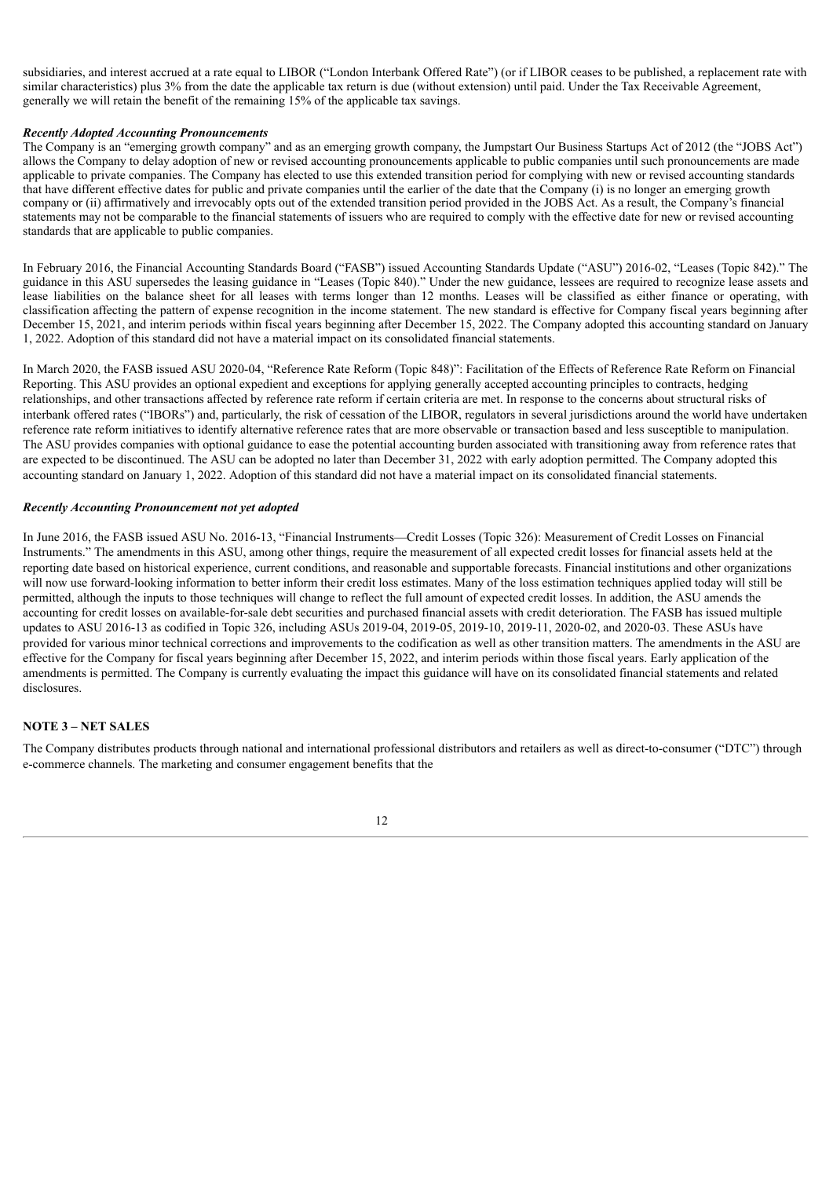subsidiaries, and interest accrued at a rate equal to LIBOR ("London Interbank Offered Rate") (or if LIBOR ceases to be published, a replacement rate with similar characteristics) plus 3% from the date the applicable tax return is due (without extension) until paid. Under the Tax Receivable Agreement, generally we will retain the benefit of the remaining 15% of the applicable tax savings.

#### *Recently Adopted Accounting Pronouncements*

The Company is an "emerging growth company" and as an emerging growth company, the Jumpstart Our Business Startups Act of 2012 (the "JOBS Act") allows the Company to delay adoption of new or revised accounting pronouncements applicable to public companies until such pronouncements are made applicable to private companies. The Company has elected to use this extended transition period for complying with new or revised accounting standards that have different effective dates for public and private companies until the earlier of the date that the Company (i) is no longer an emerging growth company or (ii) affirmatively and irrevocably opts out of the extended transition period provided in the JOBS Act. As a result, the Company's financial statements may not be comparable to the financial statements of issuers who are required to comply with the effective date for new or revised accounting standards that are applicable to public companies.

In February 2016, the Financial Accounting Standards Board ("FASB") issued Accounting Standards Update ("ASU") 2016-02, "Leases (Topic 842)." The guidance in this ASU supersedes the leasing guidance in "Leases (Topic 840)." Under the new guidance, lessees are required to recognize lease assets and lease liabilities on the balance sheet for all leases with terms longer than 12 months. Leases will be classified as either finance or operating, with classification affecting the pattern of expense recognition in the income statement. The new standard is effective for Company fiscal years beginning after December 15, 2021, and interim periods within fiscal years beginning after December 15, 2022. The Company adopted this accounting standard on January 1, 2022. Adoption of this standard did not have a material impact on its consolidated financial statements.

In March 2020, the FASB issued ASU 2020-04, "Reference Rate Reform (Topic 848)": Facilitation of the Effects of Reference Rate Reform on Financial Reporting. This ASU provides an optional expedient and exceptions for applying generally accepted accounting principles to contracts, hedging relationships, and other transactions affected by reference rate reform if certain criteria are met. In response to the concerns about structural risks of interbank offered rates ("IBORs") and, particularly, the risk of cessation of the LIBOR, regulators in several jurisdictions around the world have undertaken reference rate reform initiatives to identify alternative reference rates that are more observable or transaction based and less susceptible to manipulation. The ASU provides companies with optional guidance to ease the potential accounting burden associated with transitioning away from reference rates that are expected to be discontinued. The ASU can be adopted no later than December 31, 2022 with early adoption permitted. The Company adopted this accounting standard on January 1, 2022. Adoption of this standard did not have a material impact on its consolidated financial statements.

#### *Recently Accounting Pronouncement not yet adopted*

In June 2016, the FASB issued ASU No. 2016-13, "Financial Instruments—Credit Losses (Topic 326): Measurement of Credit Losses on Financial Instruments." The amendments in this ASU, among other things, require the measurement of all expected credit losses for financial assets held at the reporting date based on historical experience, current conditions, and reasonable and supportable forecasts. Financial institutions and other organizations will now use forward-looking information to better inform their credit loss estimates. Many of the loss estimation techniques applied today will still be permitted, although the inputs to those techniques will change to reflect the full amount of expected credit losses. In addition, the ASU amends the accounting for credit losses on available-for-sale debt securities and purchased financial assets with credit deterioration. The FASB has issued multiple updates to ASU 2016-13 as codified in Topic 326, including ASUs 2019-04, 2019-05, 2019-10, 2019-11, 2020-02, and 2020-03. These ASUs have provided for various minor technical corrections and improvements to the codification as well as other transition matters. The amendments in the ASU are effective for the Company for fiscal years beginning after December 15, 2022, and interim periods within those fiscal years. Early application of the amendments is permitted. The Company is currently evaluating the impact this guidance will have on its consolidated financial statements and related disclosures.

#### **NOTE 3 – NET SALES**

The Company distributes products through national and international professional distributors and retailers as well as direct-to-consumer ("DTC") through e-commerce channels. The marketing and consumer engagement benefits that the

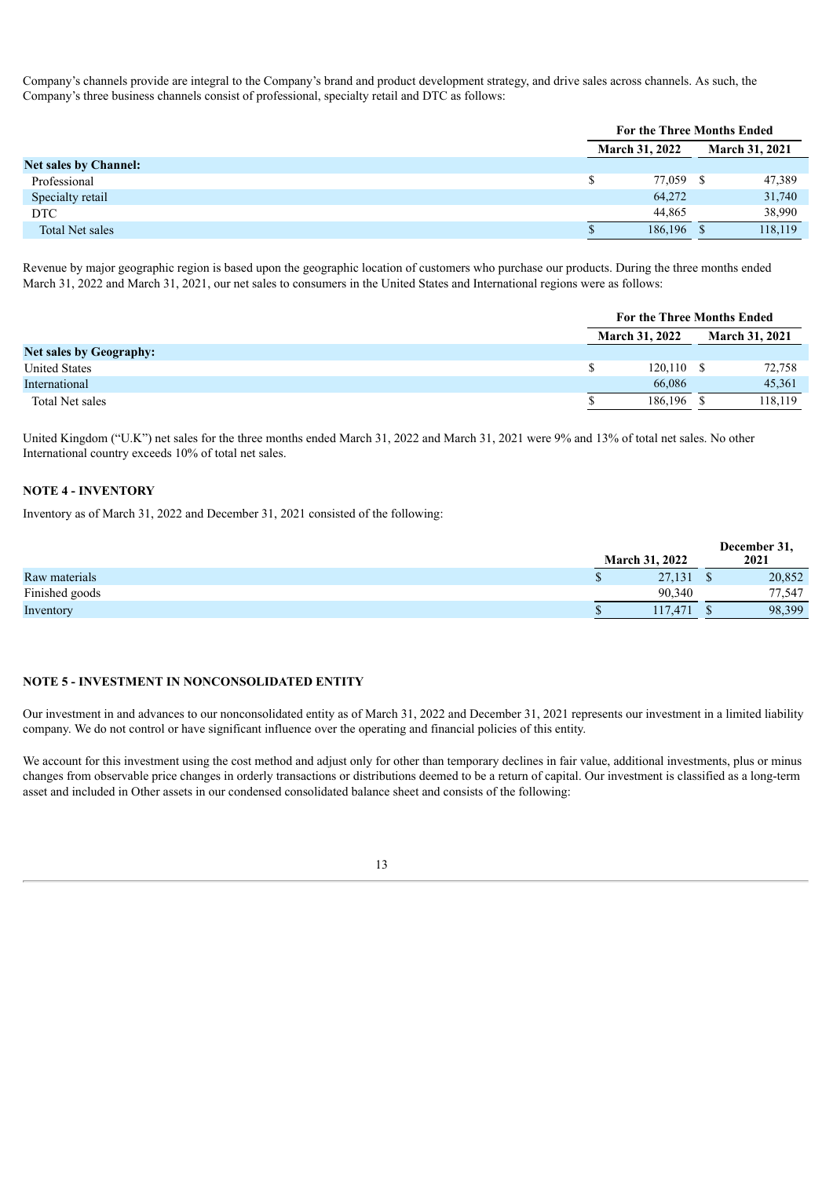Company's channels provide are integral to the Company's brand and product development strategy, and drive sales across channels. As such, the Company's three business channels consist of professional, specialty retail and DTC as follows:

|                              |  | <b>For the Three Months Ended</b> |  |         |  |                       |
|------------------------------|--|-----------------------------------|--|---------|--|-----------------------|
|                              |  | <b>March 31, 2022</b>             |  |         |  | <b>March 31, 2021</b> |
| <b>Net sales by Channel:</b> |  |                                   |  |         |  |                       |
| Professional                 |  | 77,059 \$                         |  | 47,389  |  |                       |
| Specialty retail             |  | 64,272                            |  | 31,740  |  |                       |
| <b>DTC</b>                   |  | 44,865                            |  | 38,990  |  |                       |
| Total Net sales              |  | 186,196 \$                        |  | 118,119 |  |                       |

Revenue by major geographic region is based upon the geographic location of customers who purchase our products. During the three months ended March 31, 2022 and March 31, 2021, our net sales to consumers in the United States and International regions were as follows:

|                                | <b>For the Three Months Ended</b> |              |                       |         |
|--------------------------------|-----------------------------------|--------------|-----------------------|---------|
|                                | <b>March 31, 2022</b>             |              | <b>March 31, 2021</b> |         |
| <b>Net sales by Geography:</b> |                                   |              |                       |         |
| <b>United States</b>           | \$                                | $120,110$ \$ |                       | 72,758  |
| International                  |                                   | 66,086       |                       | 45,361  |
| Total Net sales                |                                   | 186.196 \$   |                       | 118,119 |

United Kingdom ("U.K") net sales for the three months ended March 31, 2022 and March 31, 2021 were 9% and 13% of total net sales. No other International country exceeds 10% of total net sales.

#### **NOTE 4 - INVENTORY**

Inventory as of March 31, 2022 and December 31, 2021 consisted of the following:

|                | <b>March 31, 2022</b> | December 31,<br>2021 |  |  |
|----------------|-----------------------|----------------------|--|--|
| Raw materials  | 27,131                | 20,852               |  |  |
| Finished goods | 90.340                | 77,547               |  |  |
| Inventory      | 117.471               | 98.399               |  |  |

#### **NOTE 5 - INVESTMENT IN NONCONSOLIDATED ENTITY**

Our investment in and advances to our nonconsolidated entity as of March 31, 2022 and December 31, 2021 represents our investment in a limited liability company. We do not control or have significant influence over the operating and financial policies of this entity.

We account for this investment using the cost method and adjust only for other than temporary declines in fair value, additional investments, plus or minus changes from observable price changes in orderly transactions or distributions deemed to be a return of capital. Our investment is classified as a long-term asset and included in Other assets in our condensed consolidated balance sheet and consists of the following:

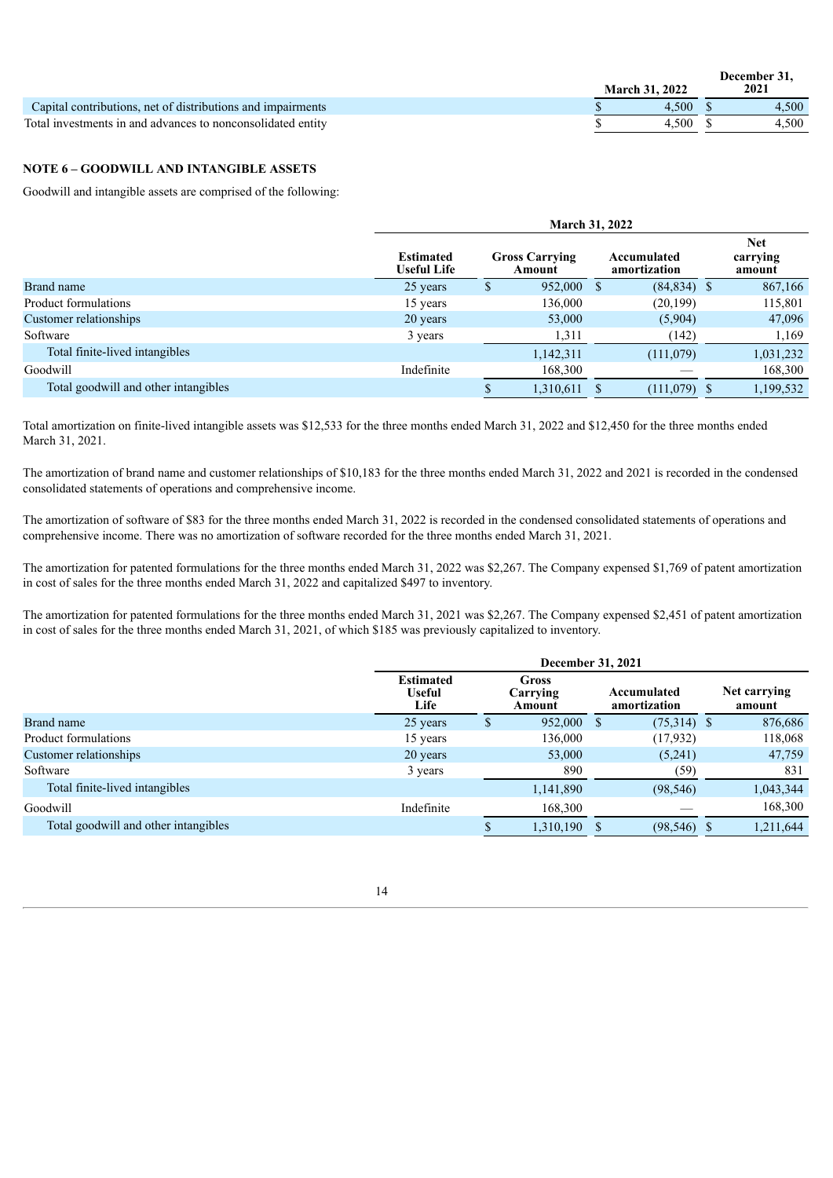|                                                             | <b>March 31, 2022</b> | December 31,<br>2021 |  |        |
|-------------------------------------------------------------|-----------------------|----------------------|--|--------|
| Capital contributions, net of distributions and impairments |                       | 4.500                |  | $+500$ |
| Total investments in and advances to nonconsolidated entity |                       | 4.500                |  | .500   |

#### **NOTE 6 – GOODWILL AND INTANGIBLE ASSETS**

Goodwill and intangible assets are comprised of the following:

|                                      | <b>March 31, 2022</b>                  |    |                                 |  |                             |   |                                  |  |
|--------------------------------------|----------------------------------------|----|---------------------------------|--|-----------------------------|---|----------------------------------|--|
|                                      | <b>Estimated</b><br><b>Useful Life</b> |    | <b>Gross Carrying</b><br>Amount |  | Accumulated<br>amortization |   | <b>Net</b><br>carrying<br>amount |  |
| Brand name                           | 25 years                               | \$ | 952,000 \$                      |  | $(84,834)$ \$               |   | 867,166                          |  |
| Product formulations                 | 15 years                               |    | 136,000                         |  | (20, 199)                   |   | 115,801                          |  |
| Customer relationships               | 20 years                               |    | 53,000                          |  | (5,904)                     |   | 47,096                           |  |
| Software                             | 3 years                                |    | 1,311                           |  | (142)                       |   | 1,169                            |  |
| Total finite-lived intangibles       |                                        |    | 1,142,311                       |  | (111,079)                   |   | 1,031,232                        |  |
| Goodwill                             | Indefinite                             |    | 168,300                         |  |                             |   | 168,300                          |  |
| Total goodwill and other intangibles |                                        |    | 1,310,611                       |  | (111,079)                   | S | 1,199,532                        |  |

Total amortization on finite-lived intangible assets was \$12,533 for the three months ended March 31, 2022 and \$12,450 for the three months ended March 31, 2021.

The amortization of brand name and customer relationships of \$10,183 for the three months ended March 31, 2022 and 2021 is recorded in the condensed consolidated statements of operations and comprehensive income.

The amortization of software of \$83 for the three months ended March 31, 2022 is recorded in the condensed consolidated statements of operations and comprehensive income. There was no amortization of software recorded for the three months ended March 31, 2021.

The amortization for patented formulations for the three months ended March 31, 2022 was \$2,267. The Company expensed \$1,769 of patent amortization in cost of sales for the three months ended March 31, 2022 and capitalized \$497 to inventory.

The amortization for patented formulations for the three months ended March 31, 2021 was \$2,267. The Company expensed \$2,451 of patent amortization in cost of sales for the three months ended March 31, 2021, of which \$185 was previously capitalized to inventory.

|                                      |                                           | December 31, 2021 |                                    |  |                             |  |                        |  |  |  |
|--------------------------------------|-------------------------------------------|-------------------|------------------------------------|--|-----------------------------|--|------------------------|--|--|--|
|                                      | <b>Estimated</b><br><b>Useful</b><br>Life |                   | Gross<br><b>Carrying</b><br>Amount |  | Accumulated<br>amortization |  | Net carrying<br>amount |  |  |  |
| Brand name                           | 25 years                                  | \$                | 952,000 \$                         |  | $(75,314)$ \$               |  | 876,686                |  |  |  |
| Product formulations                 | 15 years                                  |                   | 136,000                            |  | (17, 932)                   |  | 118,068                |  |  |  |
| Customer relationships               | 20 years                                  |                   | 53,000                             |  | (5,241)                     |  | 47,759                 |  |  |  |
| Software                             | 3 years                                   |                   | 890                                |  | (59)                        |  | 831                    |  |  |  |
| Total finite-lived intangibles       |                                           |                   | 1,141,890                          |  | (98, 546)                   |  | 1,043,344              |  |  |  |
| Goodwill                             | Indefinite                                |                   | 168,300                            |  |                             |  | 168,300                |  |  |  |
| Total goodwill and other intangibles |                                           |                   | 1,310,190                          |  | $(98, 546)$ \$              |  | 1,211,644              |  |  |  |
|                                      |                                           |                   |                                    |  |                             |  |                        |  |  |  |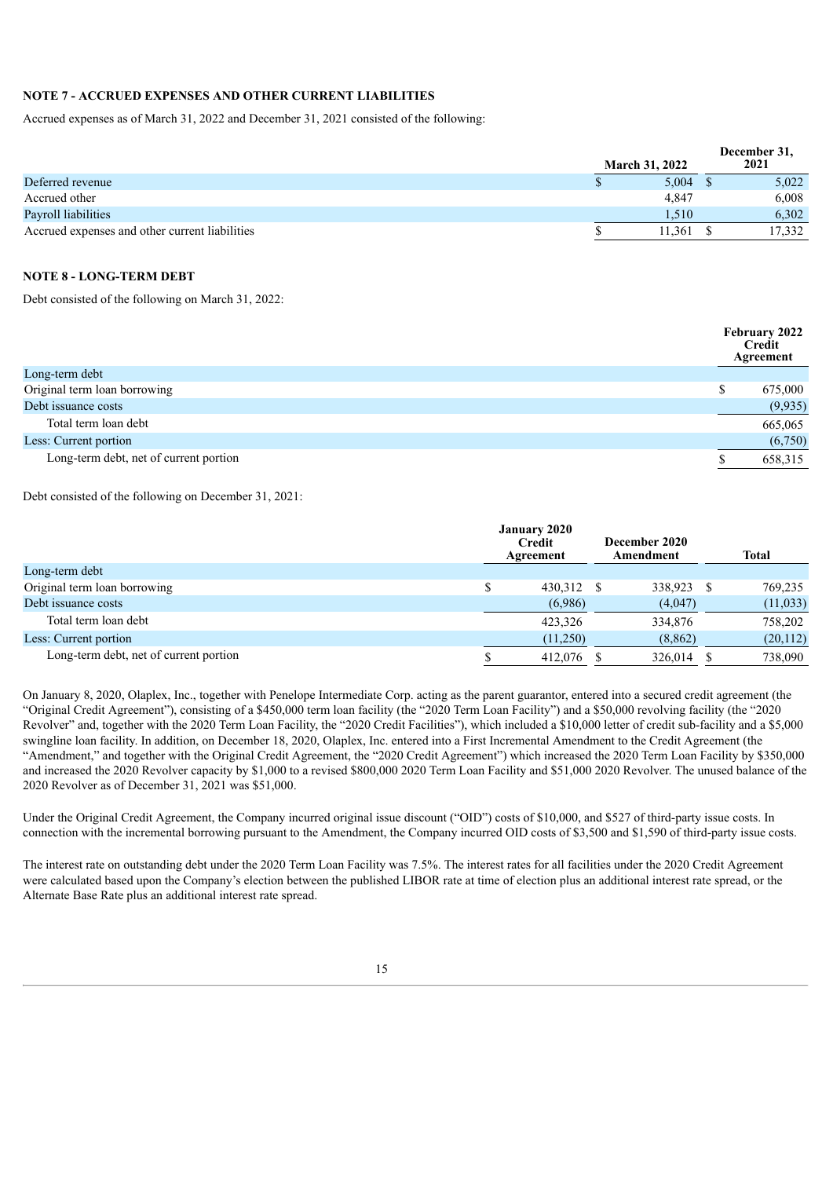#### **NOTE 7 - ACCRUED EXPENSES AND OTHER CURRENT LIABILITIES**

Accrued expenses as of March 31, 2022 and December 31, 2021 consisted of the following:

|                                                | <b>March 31, 2022</b> | December 31.<br>2021 |
|------------------------------------------------|-----------------------|----------------------|
| Deferred revenue                               | 5.004                 | 5,022                |
| Accrued other                                  | 4.847                 | 6,008                |
| Payroll liabilities                            | 1.510                 | 6.302                |
| Accrued expenses and other current liabilities | 11.361                | 17.332               |

### **NOTE 8 - LONG-TERM DEBT**

Debt consisted of the following on March 31, 2022:

|                                        | February 2022<br>Credit<br>Agreement |
|----------------------------------------|--------------------------------------|
| Long-term debt                         |                                      |
| Original term loan borrowing           | 675,000                              |
| Debt issuance costs                    | (9,935)                              |
| Total term loan debt                   | 665,065                              |
| Less: Current portion                  | (6,750)                              |
| Long-term debt, net of current portion | 658,315                              |

Debt consisted of the following on December 31, 2021:

|                                        | <b>January 2020</b><br><b>Credit</b><br>Agreement | December 2020<br>Amendment | Total    |
|----------------------------------------|---------------------------------------------------|----------------------------|----------|
| Long-term debt                         |                                                   |                            |          |
| Original term loan borrowing           | \$<br>430,312 \$                                  | 338,923                    | 769,235  |
| Debt issuance costs                    | (6,986)                                           | (4,047)                    | (11,033) |
| Total term loan debt                   | 423.326                                           | 334,876                    | 758,202  |
| Less: Current portion                  | (11,250)                                          | (8, 862)                   | (20,112) |
| Long-term debt, net of current portion | 412,076 \$                                        | 326,014                    | 738.090  |

On January 8, 2020, Olaplex, Inc., together with Penelope Intermediate Corp. acting as the parent guarantor, entered into a secured credit agreement (the "Original Credit Agreement"), consisting of a \$450,000 term loan facility (the "2020 Term Loan Facility") and a \$50,000 revolving facility (the "2020 Revolver" and, together with the 2020 Term Loan Facility, the "2020 Credit Facilities"), which included a \$10,000 letter of credit sub-facility and a \$5,000 swingline loan facility. In addition, on December 18, 2020, Olaplex, Inc. entered into a First Incremental Amendment to the Credit Agreement (the "Amendment," and together with the Original Credit Agreement, the "2020 Credit Agreement") which increased the 2020 Term Loan Facility by \$350,000 and increased the 2020 Revolver capacity by \$1,000 to a revised \$800,000 2020 Term Loan Facility and \$51,000 2020 Revolver. The unused balance of the 2020 Revolver as of December 31, 2021 was \$51,000.

Under the Original Credit Agreement, the Company incurred original issue discount ("OID") costs of \$10,000, and \$527 of third-party issue costs. In connection with the incremental borrowing pursuant to the Amendment, the Company incurred OID costs of \$3,500 and \$1,590 of third-party issue costs.

The interest rate on outstanding debt under the 2020 Term Loan Facility was 7.5%. The interest rates for all facilities under the 2020 Credit Agreement were calculated based upon the Company's election between the published LIBOR rate at time of election plus an additional interest rate spread, or the Alternate Base Rate plus an additional interest rate spread.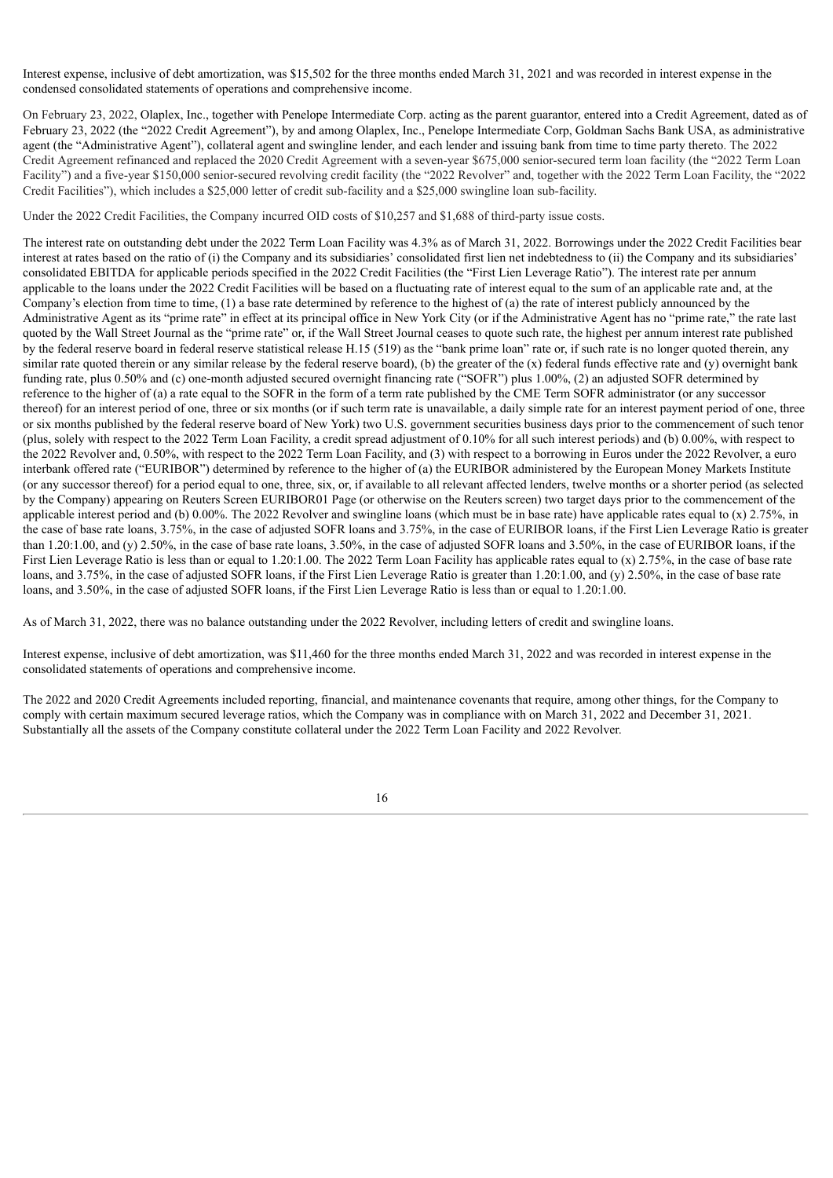Interest expense, inclusive of debt amortization, was \$15,502 for the three months ended March 31, 2021 and was recorded in interest expense in the condensed consolidated statements of operations and comprehensive income.

On February 23, 2022, Olaplex, Inc., together with Penelope Intermediate Corp. acting as the parent guarantor, entered into a Credit Agreement, dated as of February 23, 2022 (the "2022 Credit Agreement"), by and among Olaplex, Inc., Penelope Intermediate Corp, Goldman Sachs Bank USA, as administrative agent (the "Administrative Agent"), collateral agent and swingline lender, and each lender and issuing bank from time to time party thereto. The 2022 Credit Agreement refinanced and replaced the 2020 Credit Agreement with a seven-year \$675,000 senior-secured term loan facility (the "2022 Term Loan Facility") and a five-year \$150,000 senior-secured revolving credit facility (the "2022 Revolver" and, together with the 2022 Term Loan Facility, the "2022 Credit Facilities"), which includes a \$25,000 letter of credit sub-facility and a \$25,000 swingline loan sub-facility.

Under the 2022 Credit Facilities, the Company incurred OID costs of \$10,257 and \$1,688 of third-party issue costs.

The interest rate on outstanding debt under the 2022 Term Loan Facility was 4.3% as of March 31, 2022. Borrowings under the 2022 Credit Facilities bear interest at rates based on the ratio of (i) the Company and its subsidiaries' consolidated first lien net indebtedness to (ii) the Company and its subsidiaries' consolidated EBITDA for applicable periods specified in the 2022 Credit Facilities (the "First Lien Leverage Ratio"). The interest rate per annum applicable to the loans under the 2022 Credit Facilities will be based on a fluctuating rate of interest equal to the sum of an applicable rate and, at the Company's election from time to time,  $(1)$  a base rate determined by reference to the highest of  $(a)$  the rate of interest publicly announced by the Administrative Agent as its "prime rate" in effect at its principal office in New York City (or if the Administrative Agent has no "prime rate," the rate last quoted by the Wall Street Journal as the "prime rate" or, if the Wall Street Journal ceases to quote such rate, the highest per annum interest rate published by the federal reserve board in federal reserve statistical release H.15 (519) as the "bank prime loan" rate or, if such rate is no longer quoted therein, any similar rate quoted therein or any similar release by the federal reserve board), (b) the greater of the  $(x)$  federal funds effective rate and  $(y)$  overnight bank funding rate, plus 0.50% and (c) one-month adjusted secured overnight financing rate ("SOFR") plus 1.00%, (2) an adjusted SOFR determined by reference to the higher of (a) a rate equal to the SOFR in the form of a term rate published by the CME Term SOFR administrator (or any successor thereof) for an interest period of one, three or six months (or if such term rate is unavailable, a daily simple rate for an interest payment period of one, three or six months published by the federal reserve board of New York) two U.S. government securities business days prior to the commencement of such tenor (plus, solely with respect to the 2022 Term Loan Facility, a credit spread adjustment of 0.10% for all such interest periods) and (b) 0.00%, with respect to the 2022 Revolver and, 0.50%, with respect to the 2022 Term Loan Facility, and (3) with respect to a borrowing in Euros under the 2022 Revolver, a euro interbank offered rate ("EURIBOR") determined by reference to the higher of (a) the EURIBOR administered by the European Money Markets Institute (or any successor thereof) for a period equal to one, three, six, or, if available to all relevant affected lenders, twelve months or a shorter period (as selected by the Company) appearing on Reuters Screen EURIBOR01 Page (or otherwise on the Reuters screen) two target days prior to the commencement of the applicable interest period and (b)  $0.00\%$ . The 2022 Revolver and swingline loans (which must be in base rate) have applicable rates equal to (x) 2.75%, in the case of base rate loans, 3.75%, in the case of adjusted SOFR loans and 3.75%, in the case of EURIBOR loans, if the First Lien Leverage Ratio is greater than 1.20:1.00, and (y) 2.50%, in the case of base rate loans, 3.50%, in the case of adjusted SOFR loans and 3.50%, in the case of EURIBOR loans, if the First Lien Leverage Ratio is less than or equal to 1.20:1.00. The 2022 Term Loan Facility has applicable rates equal to (x) 2.75%, in the case of base rate loans, and 3.75%, in the case of adjusted SOFR loans, if the First Lien Leverage Ratio is greater than 1.20:1.00, and (y) 2.50%, in the case of base rate loans, and 3.50%, in the case of adjusted SOFR loans, if the First Lien Leverage Ratio is less than or equal to 1.20:1.00.

As of March 31, 2022, there was no balance outstanding under the 2022 Revolver, including letters of credit and swingline loans.

Interest expense, inclusive of debt amortization, was \$11,460 for the three months ended March 31, 2022 and was recorded in interest expense in the consolidated statements of operations and comprehensive income.

The 2022 and 2020 Credit Agreements included reporting, financial, and maintenance covenants that require, among other things, for the Company to comply with certain maximum secured leverage ratios, which the Company was in compliance with on March 31, 2022 and December 31, 2021. Substantially all the assets of the Company constitute collateral under the 2022 Term Loan Facility and 2022 Revolver.

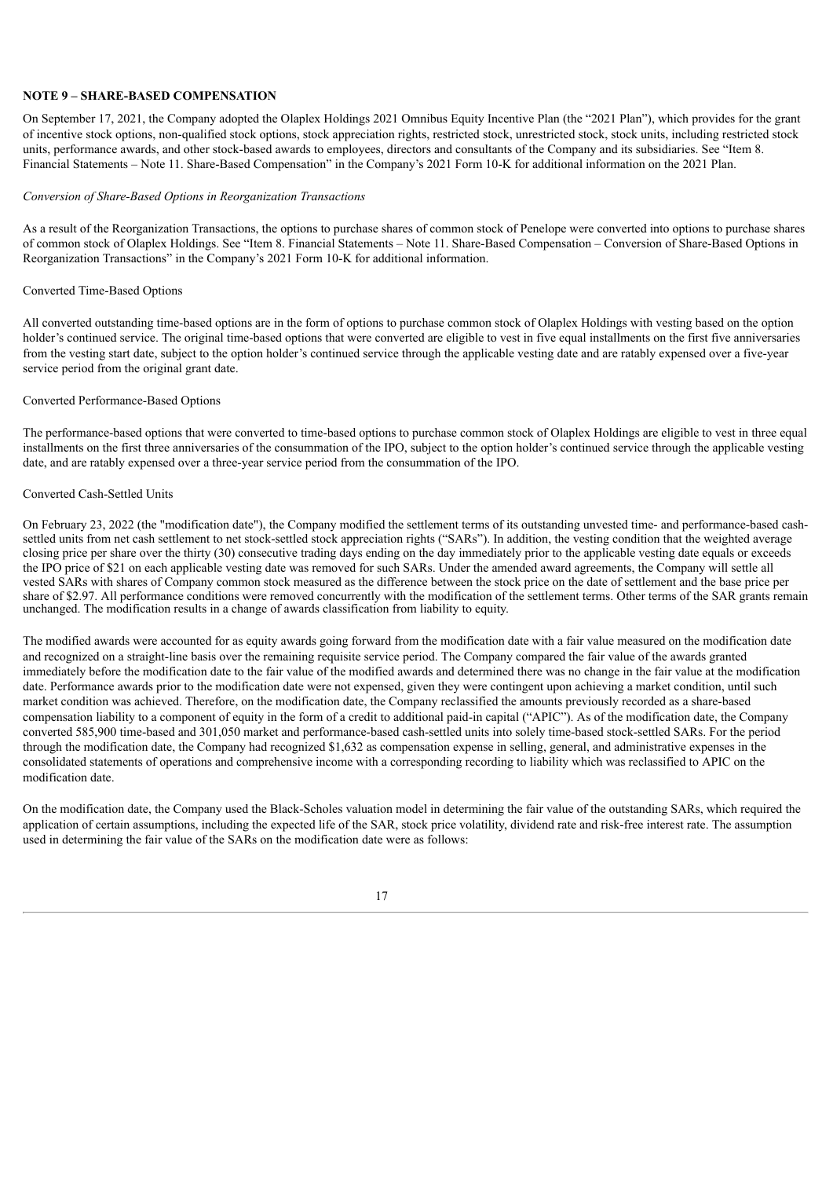#### **NOTE 9 – SHARE-BASED COMPENSATION**

On September 17, 2021, the Company adopted the Olaplex Holdings 2021 Omnibus Equity Incentive Plan (the "2021 Plan"), which provides for the grant of incentive stock options, non-qualified stock options, stock appreciation rights, restricted stock, unrestricted stock, stock units, including restricted stock units, performance awards, and other stock-based awards to employees, directors and consultants of the Company and its subsidiaries. See "Item 8. Financial Statements – Note 11. Share-Based Compensation" in the Company's 2021 Form 10-K for additional information on the 2021 Plan.

#### *Conversion of Share-Based Options in Reorganization Transactions*

As a result of the Reorganization Transactions, the options to purchase shares of common stock of Penelope were converted into options to purchase shares of common stock of Olaplex Holdings. See "Item 8. Financial Statements – Note 11. Share-Based Compensation – Conversion of Share-Based Options in Reorganization Transactions" in the Company's 2021 Form 10-K for additional information.

#### Converted Time-Based Options

All converted outstanding time-based options are in the form of options to purchase common stock of Olaplex Holdings with vesting based on the option holder's continued service. The original time-based options that were converted are eligible to vest in five equal installments on the first five anniversaries from the vesting start date, subject to the option holder's continued service through the applicable vesting date and are ratably expensed over a five-year service period from the original grant date.

#### Converted Performance-Based Options

The performance-based options that were converted to time-based options to purchase common stock of Olaplex Holdings are eligible to vest in three equal installments on the first three anniversaries of the consummation of the IPO, subject to the option holder's continued service through the applicable vesting date, and are ratably expensed over a three-year service period from the consummation of the IPO.

#### Converted Cash-Settled Units

On February 23, 2022 (the "modification date"), the Company modified the settlement terms of its outstanding unvested time- and performance-based cashsettled units from net cash settlement to net stock-settled stock appreciation rights ("SARs"). In addition, the vesting condition that the weighted average closing price per share over the thirty (30) consecutive trading days ending on the day immediately prior to the applicable vesting date equals or exceeds the IPO price of \$21 on each applicable vesting date was removed for such SARs. Under the amended award agreements, the Company will settle all vested SARs with shares of Company common stock measured as the difference between the stock price on the date of settlement and the base price per share of \$2.97. All performance conditions were removed concurrently with the modification of the settlement terms. Other terms of the SAR grants remain unchanged. The modification results in a change of awards classification from liability to equity.

The modified awards were accounted for as equity awards going forward from the modification date with a fair value measured on the modification date and recognized on a straight-line basis over the remaining requisite service period. The Company compared the fair value of the awards granted immediately before the modification date to the fair value of the modified awards and determined there was no change in the fair value at the modification date. Performance awards prior to the modification date were not expensed, given they were contingent upon achieving a market condition, until such market condition was achieved. Therefore, on the modification date, the Company reclassified the amounts previously recorded as a share-based compensation liability to a component of equity in the form of a credit to additional paid-in capital ("APIC"). As of the modification date, the Company converted 585,900 time-based and 301,050 market and performance-based cash-settled units into solely time-based stock-settled SARs. For the period through the modification date, the Company had recognized \$1,632 as compensation expense in selling, general, and administrative expenses in the consolidated statements of operations and comprehensive income with a corresponding recording to liability which was reclassified to APIC on the modification date.

On the modification date, the Company used the Black-Scholes valuation model in determining the fair value of the outstanding SARs, which required the application of certain assumptions, including the expected life of the SAR, stock price volatility, dividend rate and risk-free interest rate. The assumption used in determining the fair value of the SARs on the modification date were as follows:

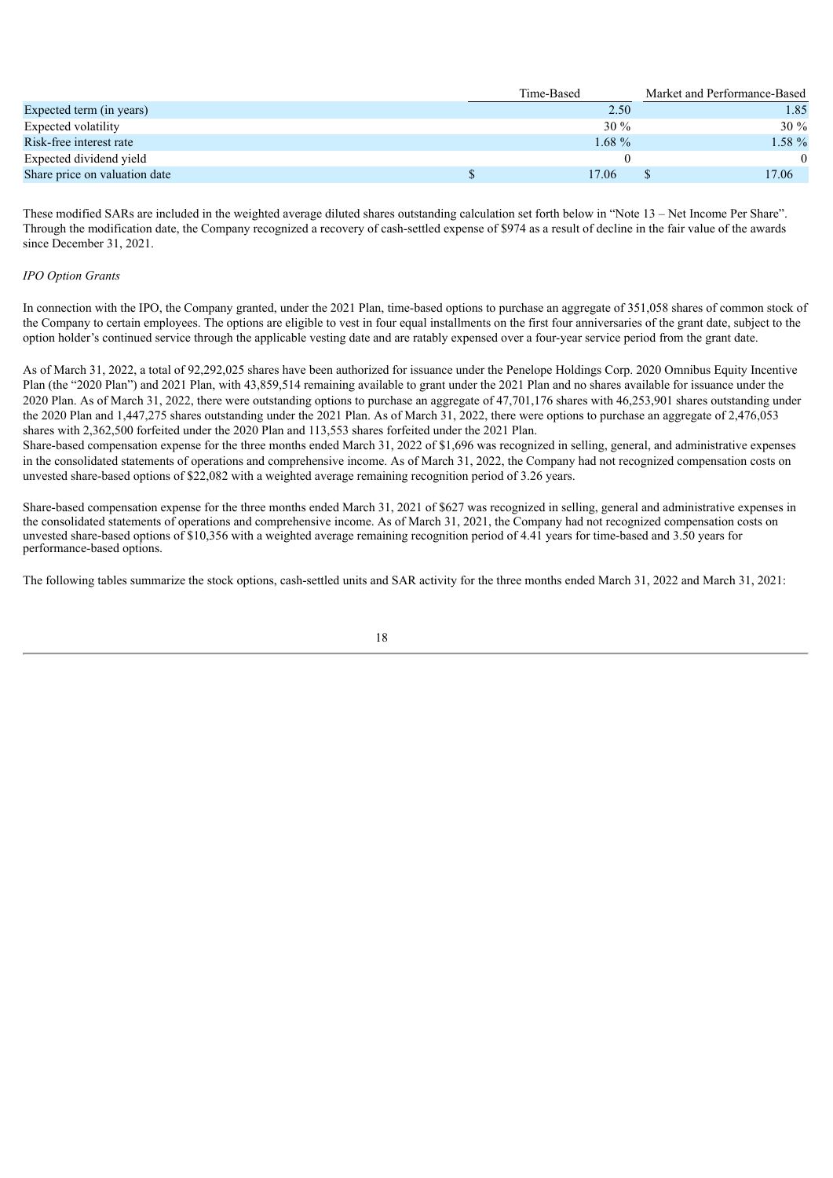|                               | Time-Based | Market and Performance-Based |
|-------------------------------|------------|------------------------------|
| Expected term (in years)      | 2.50       | 1.85                         |
| Expected volatility           | $30\%$     | $30\%$                       |
| Risk-free interest rate       | $1.68\%$   | $1.58 \%$                    |
| Expected dividend yield       |            |                              |
| Share price on valuation date | 17.06      | 17.06                        |

These modified SARs are included in the weighted average diluted shares outstanding calculation set forth below in "Note 13 – Net Income Per Share". Through the modification date, the Company recognized a recovery of cash-settled expense of \$974 as a result of decline in the fair value of the awards since December 31, 2021.

#### *IPO Option Grants*

In connection with the IPO, the Company granted, under the 2021 Plan, time-based options to purchase an aggregate of 351,058 shares of common stock of the Company to certain employees. The options are eligible to vest in four equal installments on the first four anniversaries of the grant date, subject to the option holder's continued service through the applicable vesting date and are ratably expensed over a four-year service period from the grant date.

As of March 31, 2022, a total of 92,292,025 shares have been authorized for issuance under the Penelope Holdings Corp. 2020 Omnibus Equity Incentive Plan (the "2020 Plan") and 2021 Plan, with 43,859,514 remaining available to grant under the 2021 Plan and no shares available for issuance under the 2020 Plan. As of March 31, 2022, there were outstanding options to purchase an aggregate of 47,701,176 shares with 46,253,901 shares outstanding under the 2020 Plan and 1,447,275 shares outstanding under the 2021 Plan. As of March 31, 2022, there were options to purchase an aggregate of 2,476,053 shares with 2,362,500 forfeited under the 2020 Plan and 113,553 shares forfeited under the 2021 Plan.

Share-based compensation expense for the three months ended March 31, 2022 of \$1,696 was recognized in selling, general, and administrative expenses in the consolidated statements of operations and comprehensive income. As of March 31, 2022, the Company had not recognized compensation costs on unvested share-based options of \$22,082 with a weighted average remaining recognition period of 3.26 years.

Share-based compensation expense for the three months ended March 31, 2021 of \$627 was recognized in selling, general and administrative expenses in the consolidated statements of operations and comprehensive income. As of March 31, 2021, the Company had not recognized compensation costs on unvested share-based options of \$10,356 with a weighted average remaining recognition period of 4.41 years for time-based and 3.50 years for performance-based options.

The following tables summarize the stock options, cash-settled units and SAR activity for the three months ended March 31, 2022 and March 31, 2021:

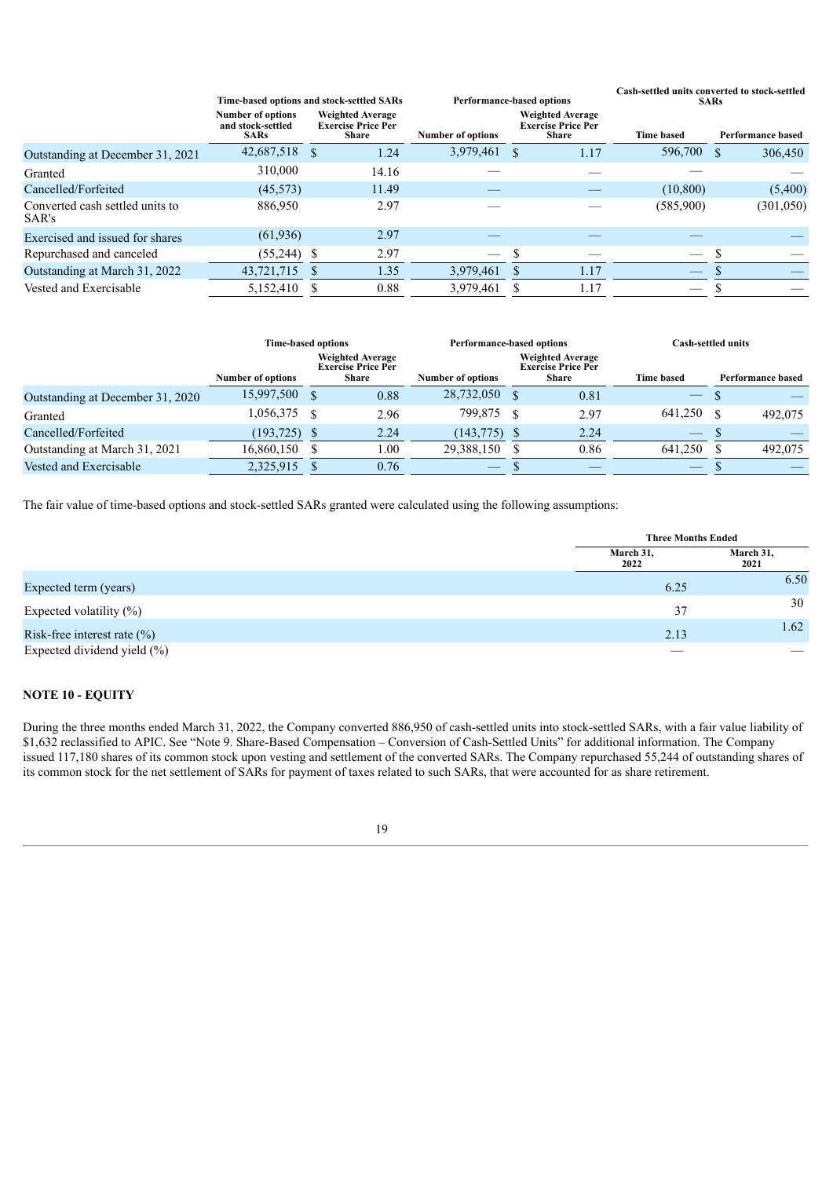|                                          |                                                              | Time-based options and stock-settled SARs                            |                               | <b>Performance-based options</b>                                     | Cash-settled units converted to stock-settled<br><b>SARs</b> |  |                          |  |
|------------------------------------------|--------------------------------------------------------------|----------------------------------------------------------------------|-------------------------------|----------------------------------------------------------------------|--------------------------------------------------------------|--|--------------------------|--|
|                                          | <b>Number of options</b><br>and stock-settled<br><b>SARs</b> | <b>Weighted Average</b><br><b>Exercise Price Per</b><br><b>Share</b> | <b>Number of options</b>      | <b>Weighted Average</b><br><b>Exercise Price Per</b><br><b>Share</b> | <b>Time based</b>                                            |  | <b>Performance based</b> |  |
| Outstanding at December 31, 2021         | 42,687,518 \$                                                | 1.24                                                                 | 3,979,461 \$                  | 1.17                                                                 | 596,700                                                      |  | 306,450                  |  |
| Granted                                  | 310,000                                                      | 14.16                                                                |                               |                                                                      |                                                              |  |                          |  |
| Cancelled/Forfeited                      | (45, 573)                                                    | 11.49                                                                |                               |                                                                      | (10, 800)                                                    |  | (5,400)                  |  |
| Converted cash settled units to<br>SAR's | 886,950                                                      | 2.97                                                                 |                               |                                                                      | (585,900)                                                    |  | (301,050)                |  |
| Exercised and issued for shares          | (61, 936)                                                    | 2.97                                                                 |                               |                                                                      |                                                              |  |                          |  |
| Repurchased and canceled                 | $(55,244)$ \$                                                | 2.97                                                                 | $\overbrace{\phantom{12332}}$ |                                                                      |                                                              |  |                          |  |
| Outstanding at March 31, 2022            | 43,721,715                                                   | 1.35                                                                 | 3,979,461                     | 1.17                                                                 |                                                              |  |                          |  |
| Vested and Exercisable                   | 5,152,410                                                    | 0.88                                                                 | 3,979,461                     | 1.17                                                                 |                                                              |  |                          |  |
|                                          |                                                              |                                                                      |                               |                                                                      |                                                              |  |                          |  |

|                                  | <b>Time-based options</b> |  | <b>Performance-based options</b>                                     |                          | Cash-settled units |                                                                      |                                 |  |                          |
|----------------------------------|---------------------------|--|----------------------------------------------------------------------|--------------------------|--------------------|----------------------------------------------------------------------|---------------------------------|--|--------------------------|
|                                  | Number of options         |  | <b>Weighted Average</b><br><b>Exercise Price Per</b><br><b>Share</b> | <b>Number of options</b> |                    | <b>Weighted Average</b><br><b>Exercise Price Per</b><br><b>Share</b> | <b>Time based</b>               |  | <b>Performance based</b> |
| Outstanding at December 31, 2020 | 15,997,500 \$             |  | 0.88                                                                 | 28,732,050 \$            |                    | 0.81                                                                 | $\hspace{0.1mm}-\hspace{0.1mm}$ |  |                          |
| Granted                          | 1,056,375 \$              |  | 2.96                                                                 | 799,875 \$               |                    | 2.97                                                                 | 641.250                         |  | 492,075                  |
| Cancelled/Forfeited              | $(193, 725)$ \$           |  | 2.24                                                                 | $(143,775)$ \$           |                    | 2.24                                                                 | $\overline{\phantom{m}}$        |  |                          |
| Outstanding at March 31, 2021    | 16,860,150                |  | 1.00                                                                 | 29,388,150               |                    | 0.86                                                                 | 641.250                         |  | 492,075                  |
| Vested and Exercisable           | 2,325,915                 |  | 0.76                                                                 |                          |                    |                                                                      | $\overbrace{\hspace{25mm}}^{}$  |  |                          |

The fair value of time-based options and stock-settled SARs granted were calculated using the following assumptions:

|                                 | <b>Three Months Ended</b> |                   |
|---------------------------------|---------------------------|-------------------|
|                                 | March 31,<br>2022         | March 31,<br>2021 |
| Expected term (years)           | 6.25                      | 6.50              |
| Expected volatility $(\%)$      | 37                        | 30                |
| Risk-free interest rate $(\%)$  | 2.13                      | 1.62              |
| Expected dividend yield $(\% )$ |                           |                   |

# **NOTE 10 - EQUITY**

During the three months ended March 31, 2022, the Company converted 886,950 of cash-settled units into stock-settled SARs, with a fair value liability of \$1,632 reclassified to APIC. See "Note 9. Share-Based Compensation – Conversion of Cash-Settled Units" for additional information. The Company issued 117,180 shares of its common stock upon vesting and settlement of the converted SARs. The Company repurchased 55,244 of outstanding shares of its common stock for the net settlement of SARs for payment of taxes related to such SARs, that were accounted for as share retirement.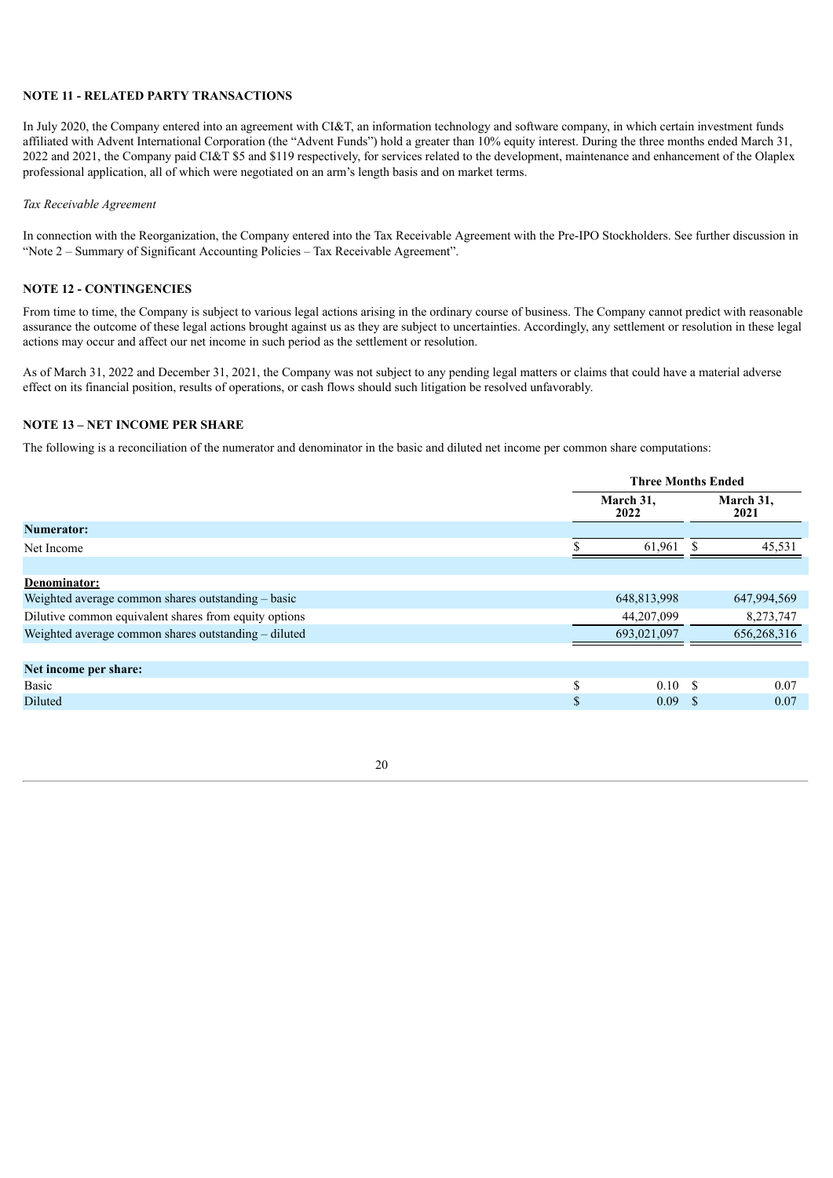#### **NOTE 11 - RELATED PARTY TRANSACTIONS**

In July 2020, the Company entered into an agreement with CI&T, an information technology and software company, in which certain investment funds affiliated with Advent International Corporation (the "Advent Funds") hold a greater than 10% equity interest. During the three months ended March 31, 2022 and 2021, the Company paid CI&T \$5 and \$119 respectively, for services related to the development, maintenance and enhancement of the Olaplex professional application, all of which were negotiated on an arm's length basis and on market terms.

#### *Tax Receivable Agreement*

In connection with the Reorganization, the Company entered into the Tax Receivable Agreement with the Pre-IPO Stockholders. See further discussion in "Note 2 – Summary of Significant Accounting Policies – Tax Receivable Agreement".

### **NOTE 12 - CONTINGENCIES**

From time to time, the Company is subject to various legal actions arising in the ordinary course of business. The Company cannot predict with reasonable assurance the outcome of these legal actions brought against us as they are subject to uncertainties. Accordingly, any settlement or resolution in these legal actions may occur and affect our net income in such period as the settlement or resolution.

As of March 31, 2022 and December 31, 2021, the Company was not subject to any pending legal matters or claims that could have a material adverse effect on its financial position, results of operations, or cash flows should such litigation be resolved unfavorably.

#### **NOTE 13 – NET INCOME PER SHARE**

The following is a reconciliation of the numerator and denominator in the basic and diluted net income per common share computations:

<span id="page-18-0"></span>

|                                                       |               | <b>Three Months Ended</b> |     |                   |  |  |
|-------------------------------------------------------|---------------|---------------------------|-----|-------------------|--|--|
|                                                       |               | March 31,<br>2022         |     | March 31,<br>2021 |  |  |
| <b>Numerator:</b>                                     |               |                           |     |                   |  |  |
| Net Income                                            |               | 61.961                    | \$. | 45,531            |  |  |
|                                                       |               |                           |     |                   |  |  |
| Denominator:                                          |               |                           |     |                   |  |  |
| Weighted average common shares outstanding – basic    |               | 648,813,998               |     | 647,994,569       |  |  |
| Dilutive common equivalent shares from equity options |               | 44,207,099                |     | 8,273,747         |  |  |
| Weighted average common shares outstanding - diluted  |               | 693,021,097               |     | 656,268,316       |  |  |
|                                                       |               |                           |     |                   |  |  |
| Net income per share:                                 |               |                           |     |                   |  |  |
| Basic                                                 | S             | 0.10S                     |     | 0.07              |  |  |
| Diluted                                               | $\mathcal{S}$ | 0.09 S                    |     | 0.07              |  |  |
|                                                       |               |                           |     |                   |  |  |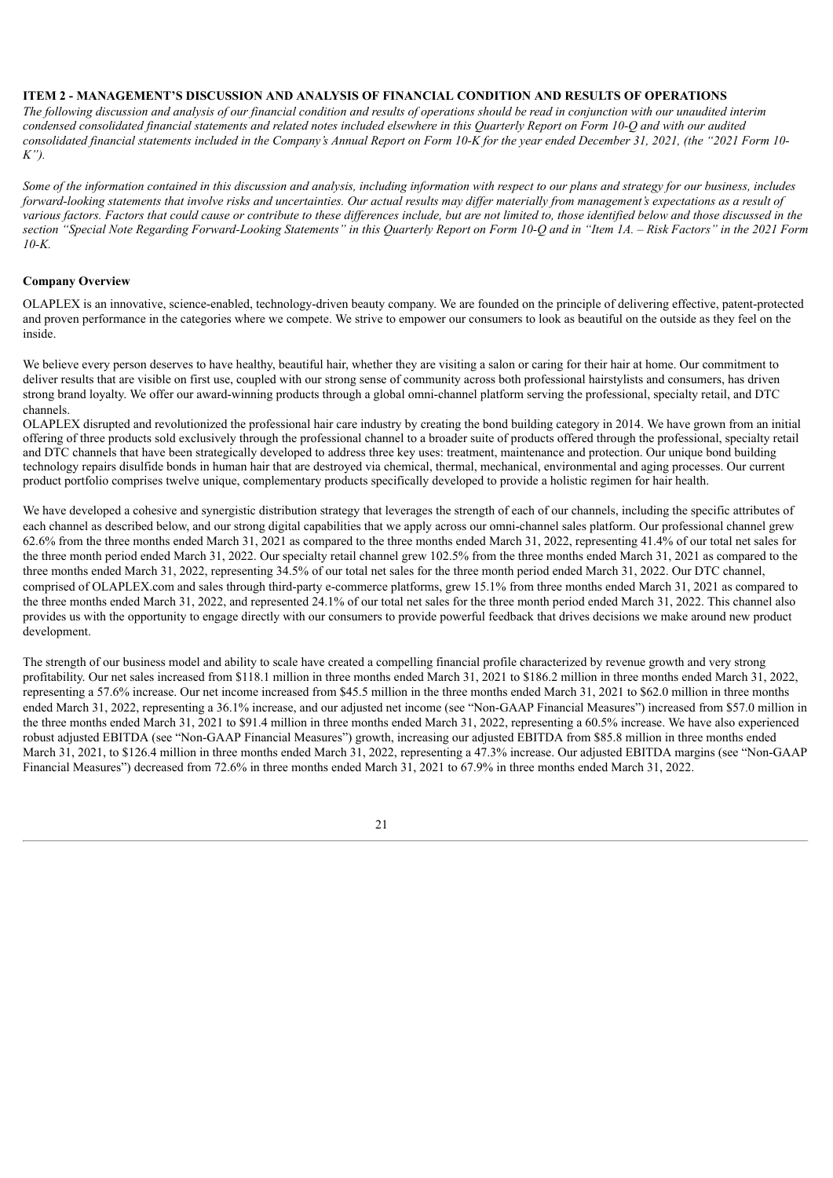#### **ITEM 2 - MANAGEMENT'S DISCUSSION AND ANALYSIS OF FINANCIAL CONDITION AND RESULTS OF OPERATIONS**

The following discussion and analysis of our financial condition and results of operations should be read in conjunction with our unaudited interim condensed consolidated financial statements and related notes included elsewhere in this Quarterly Report on Form 10-O and with our audited consolidated financial statements included in the Company's Annual Report on Form 10-K for the year ended December 31, 2021, (the "2021 Form 10-*K").*

Some of the information contained in this discussion and analysis, including information with respect to our plans and strategy for our business, includes forward-looking statements that involve risks and uncertainties. Our actual results may differ materially from management's expectations as a result of various factors. Factors that could cause or contribute to these differences include, but are not limited to, those identified below and those discussed in the section "Special Note Regarding Forward-Looking Statements" in this Quarterly Report on Form 10-Q and in "Item 1A. - Risk Factors" in the 2021 Form *10-K.*

#### **Company Overview**

OLAPLEX is an innovative, science-enabled, technology-driven beauty company. We are founded on the principle of delivering effective, patent-protected and proven performance in the categories where we compete. We strive to empower our consumers to look as beautiful on the outside as they feel on the inside.

We believe every person deserves to have healthy, beautiful hair, whether they are visiting a salon or caring for their hair at home. Our commitment to deliver results that are visible on first use, coupled with our strong sense of community across both professional hairstylists and consumers, has driven strong brand loyalty. We offer our award-winning products through a global omni-channel platform serving the professional, specialty retail, and DTC channels.

OLAPLEX disrupted and revolutionized the professional hair care industry by creating the bond building category in 2014. We have grown from an initial offering of three products sold exclusively through the professional channel to a broader suite of products offered through the professional, specialty retail and DTC channels that have been strategically developed to address three key uses: treatment, maintenance and protection. Our unique bond building technology repairs disulfide bonds in human hair that are destroyed via chemical, thermal, mechanical, environmental and aging processes. Our current product portfolio comprises twelve unique, complementary products specifically developed to provide a holistic regimen for hair health.

We have developed a cohesive and synergistic distribution strategy that leverages the strength of each of our channels, including the specific attributes of each channel as described below, and our strong digital capabilities that we apply across our omni-channel sales platform. Our professional channel grew 62.6% from the three months ended March 31, 2021 as compared to the three months ended March 31, 2022, representing 41.4% of our total net sales for the three month period ended March 31, 2022. Our specialty retail channel grew 102.5% from the three months ended March 31, 2021 as compared to the three months ended March 31, 2022, representing 34.5% of our total net sales for the three month period ended March 31, 2022. Our DTC channel, comprised of OLAPLEX.com and sales through third-party e-commerce platforms, grew 15.1% from three months ended March 31, 2021 as compared to the three months ended March 31, 2022, and represented 24.1% of our total net sales for the three month period ended March 31, 2022. This channel also provides us with the opportunity to engage directly with our consumers to provide powerful feedback that drives decisions we make around new product development.

The strength of our business model and ability to scale have created a compelling financial profile characterized by revenue growth and very strong profitability. Our net sales increased from \$118.1 million in three months ended March 31, 2021 to \$186.2 million in three months ended March 31, 2022, representing a 57.6% increase. Our net income increased from \$45.5 million in the three months ended March 31, 2021 to \$62.0 million in three months ended March 31, 2022, representing a 36.1% increase, and our adjusted net income (see "Non-GAAP Financial Measures") increased from \$57.0 million in the three months ended March 31, 2021 to \$91.4 million in three months ended March 31, 2022, representing a 60.5% increase. We have also experienced robust adjusted EBITDA (see "Non-GAAP Financial Measures") growth, increasing our adjusted EBITDA from \$85.8 million in three months ended March 31, 2021, to \$126.4 million in three months ended March 31, 2022, representing a 47.3% increase. Our adjusted EBITDA margins (see "Non-GAAP Financial Measures") decreased from 72.6% in three months ended March 31, 2021 to 67.9% in three months ended March 31, 2022.

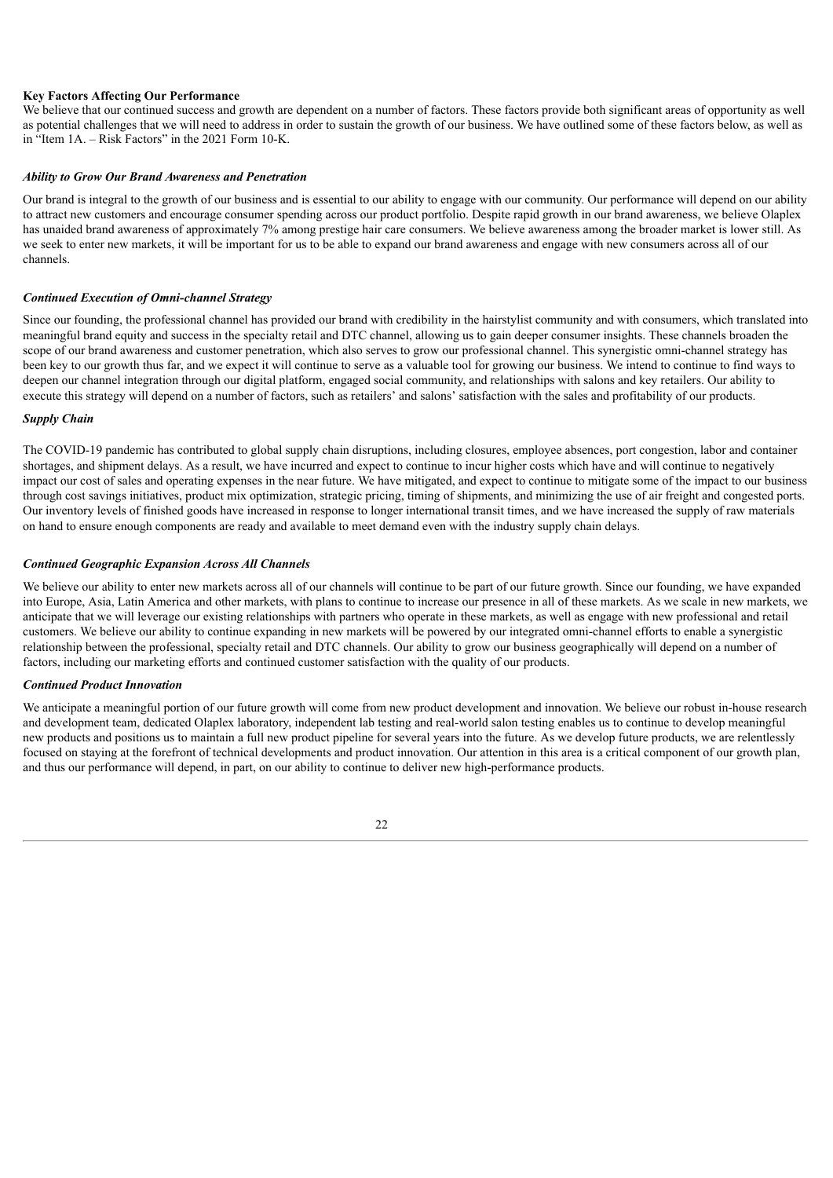#### **Key Factors Affecting Our Performance**

We believe that our continued success and growth are dependent on a number of factors. These factors provide both significant areas of opportunity as well as potential challenges that we will need to address in order to sustain the growth of our business. We have outlined some of these factors below, as well as in "Item 1A. – Risk Factors" in the 2021 Form 10-K.

#### *Ability to Grow Our Brand Awareness and Penetration*

Our brand is integral to the growth of our business and is essential to our ability to engage with our community. Our performance will depend on our ability to attract new customers and encourage consumer spending across our product portfolio. Despite rapid growth in our brand awareness, we believe Olaplex has unaided brand awareness of approximately 7% among prestige hair care consumers. We believe awareness among the broader market is lower still. As we seek to enter new markets, it will be important for us to be able to expand our brand awareness and engage with new consumers across all of our channels.

#### *Continued Execution of Omni-channel Strategy*

Since our founding, the professional channel has provided our brand with credibility in the hairstylist community and with consumers, which translated into meaningful brand equity and success in the specialty retail and DTC channel, allowing us to gain deeper consumer insights. These channels broaden the scope of our brand awareness and customer penetration, which also serves to grow our professional channel. This synergistic omni-channel strategy has been key to our growth thus far, and we expect it will continue to serve as a valuable tool for growing our business. We intend to continue to find ways to deepen our channel integration through our digital platform, engaged social community, and relationships with salons and key retailers. Our ability to execute this strategy will depend on a number of factors, such as retailers' and salons' satisfaction with the sales and profitability of our products.

#### *Supply Chain*

The COVID-19 pandemic has contributed to global supply chain disruptions, including closures, employee absences, port congestion, labor and container shortages, and shipment delays. As a result, we have incurred and expect to continue to incur higher costs which have and will continue to negatively impact our cost of sales and operating expenses in the near future. We have mitigated, and expect to continue to mitigate some of the impact to our business through cost savings initiatives, product mix optimization, strategic pricing, timing of shipments, and minimizing the use of air freight and congested ports. Our inventory levels of finished goods have increased in response to longer international transit times, and we have increased the supply of raw materials on hand to ensure enough components are ready and available to meet demand even with the industry supply chain delays.

#### *Continued Geographic Expansion Across All Channels*

We believe our ability to enter new markets across all of our channels will continue to be part of our future growth. Since our founding, we have expanded into Europe, Asia, Latin America and other markets, with plans to continue to increase our presence in all of these markets. As we scale in new markets, we anticipate that we will leverage our existing relationships with partners who operate in these markets, as well as engage with new professional and retail customers. We believe our ability to continue expanding in new markets will be powered by our integrated omni-channel efforts to enable a synergistic relationship between the professional, specialty retail and DTC channels. Our ability to grow our business geographically will depend on a number of factors, including our marketing efforts and continued customer satisfaction with the quality of our products.

#### *Continued Product Innovation*

We anticipate a meaningful portion of our future growth will come from new product development and innovation. We believe our robust in-house research and development team, dedicated Olaplex laboratory, independent lab testing and real-world salon testing enables us to continue to develop meaningful new products and positions us to maintain a full new product pipeline for several years into the future. As we develop future products, we are relentlessly focused on staying at the forefront of technical developments and product innovation. Our attention in this area is a critical component of our growth plan, and thus our performance will depend, in part, on our ability to continue to deliver new high-performance products.

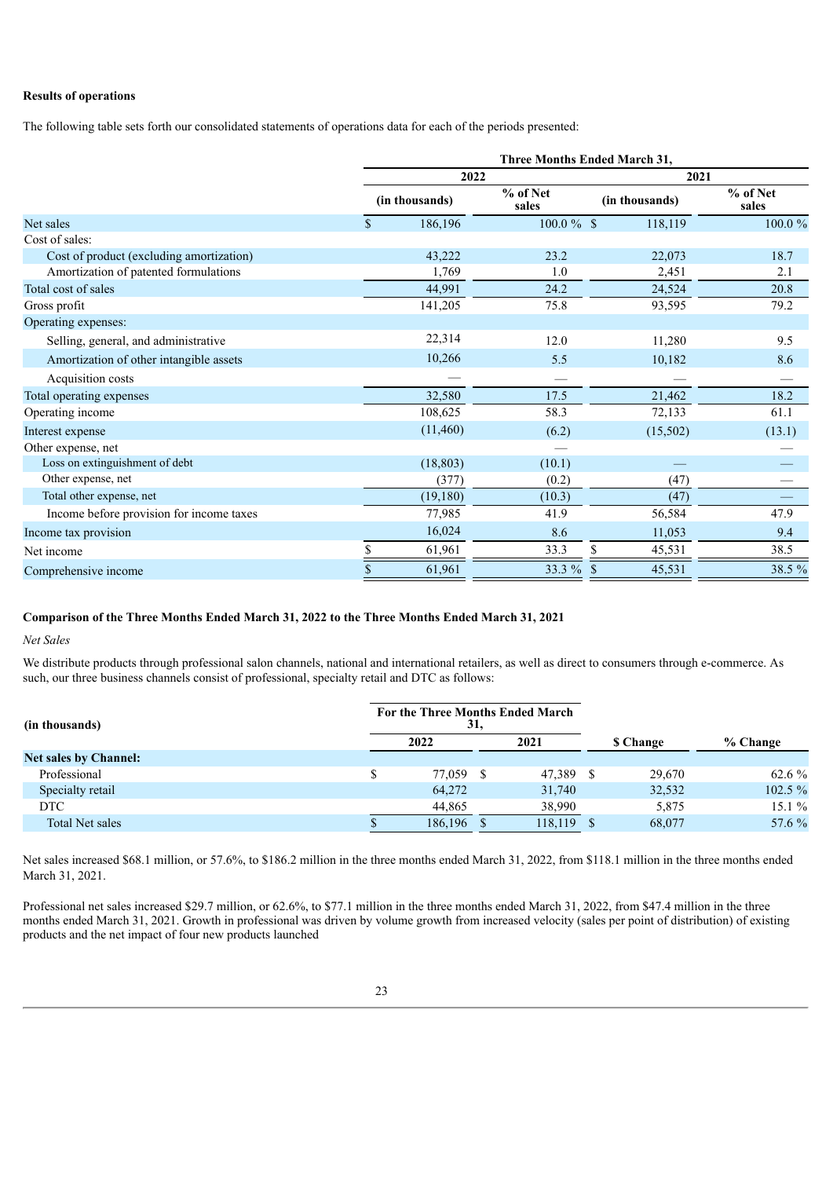#### **Results of operations**

The following table sets forth our consolidated statements of operations data for each of the periods presented:

|                                          |                                     | <b>Three Months Ended March 31,</b> |               |                |                   |  |  |  |  |  |
|------------------------------------------|-------------------------------------|-------------------------------------|---------------|----------------|-------------------|--|--|--|--|--|
|                                          |                                     | 2022                                |               | 2021           |                   |  |  |  |  |  |
|                                          | % of Net<br>(in thousands)<br>sales |                                     |               | (in thousands) | % of Net<br>sales |  |  |  |  |  |
| Net sales                                | $\mathbf{\hat{S}}$                  | 186,196                             | $100.0 \%$ \$ | 118,119        | 100.0%            |  |  |  |  |  |
| Cost of sales:                           |                                     |                                     |               |                |                   |  |  |  |  |  |
| Cost of product (excluding amortization) |                                     | 43,222                              | 23.2          | 22,073         | 18.7              |  |  |  |  |  |
| Amortization of patented formulations    |                                     | 1.769                               | 1.0           | 2,451          | 2.1               |  |  |  |  |  |
| Total cost of sales                      |                                     | 44,991                              | 24.2          | 24,524         | 20.8              |  |  |  |  |  |
| Gross profit                             |                                     | 141,205                             | 75.8          | 93,595         | 79.2              |  |  |  |  |  |
| Operating expenses:                      |                                     |                                     |               |                |                   |  |  |  |  |  |
| Selling, general, and administrative     |                                     | 22,314                              | 12.0          | 11,280         | 9.5               |  |  |  |  |  |
| Amortization of other intangible assets  |                                     | 10,266                              | 5.5           | 10,182         | 8.6               |  |  |  |  |  |
| Acquisition costs                        |                                     |                                     |               |                |                   |  |  |  |  |  |
| Total operating expenses                 |                                     | 32,580                              | 17.5          | 21,462         | 18.2              |  |  |  |  |  |
| Operating income                         |                                     | 108,625                             | 58.3          | 72,133         | 61.1              |  |  |  |  |  |
| Interest expense                         |                                     | (11, 460)                           | (6.2)         | (15,502)       | (13.1)            |  |  |  |  |  |
| Other expense, net                       |                                     |                                     |               |                |                   |  |  |  |  |  |
| Loss on extinguishment of debt           |                                     | (18, 803)                           | (10.1)        |                |                   |  |  |  |  |  |
| Other expense, net                       |                                     | (377)                               | (0.2)         | (47)           |                   |  |  |  |  |  |
| Total other expense, net                 |                                     | (19,180)                            | (10.3)        | (47)           |                   |  |  |  |  |  |
| Income before provision for income taxes |                                     | 77,985                              | 41.9          | 56,584         | 47.9              |  |  |  |  |  |
| Income tax provision                     |                                     | 16,024                              | 8.6           | 11,053         | 9.4               |  |  |  |  |  |
| Net income                               |                                     | 61,961                              | 33.3          | S<br>45,531    | 38.5              |  |  |  |  |  |
| Comprehensive income                     |                                     | 61,961                              | 33.3 %        | 45,531<br>-S   | 38.5 %            |  |  |  |  |  |

#### **Comparison of the Three Months Ended March 31, 2022 to the Three Months Ended March 31, 2021**

*Net Sales*

We distribute products through professional salon channels, national and international retailers, as well as direct to consumers through e-commerce. As such, our three business channels consist of professional, specialty retail and DTC as follows:

| (in thousands)               | 31,     |      | For the Three Months Ended March |                 |          |
|------------------------------|---------|------|----------------------------------|-----------------|----------|
|                              | 2022    |      | 2021                             | <b>S</b> Change | % Change |
| <b>Net sales by Channel:</b> |         |      |                                  |                 |          |
| Professional                 | 77.059  | - \$ | 47,389 \$                        | 29,670          | 62.6 %   |
| Specialty retail             | 64,272  |      | 31,740                           | 32,532          | 102.5 %  |
| <b>DTC</b>                   | 44.865  |      | 38,990                           | 5,875           | $15.1\%$ |
| Total Net sales              | 186,196 |      | 118,119                          | 68,077          | 57.6 %   |

Net sales increased \$68.1 million, or 57.6%, to \$186.2 million in the three months ended March 31, 2022, from \$118.1 million in the three months ended March 31, 2021.

Professional net sales increased \$29.7 million, or 62.6%, to \$77.1 million in the three months ended March 31, 2022, from \$47.4 million in the three months ended March 31, 2021. Growth in professional was driven by volume growth from increased velocity (sales per point of distribution) of existing products and the net impact of four new products launched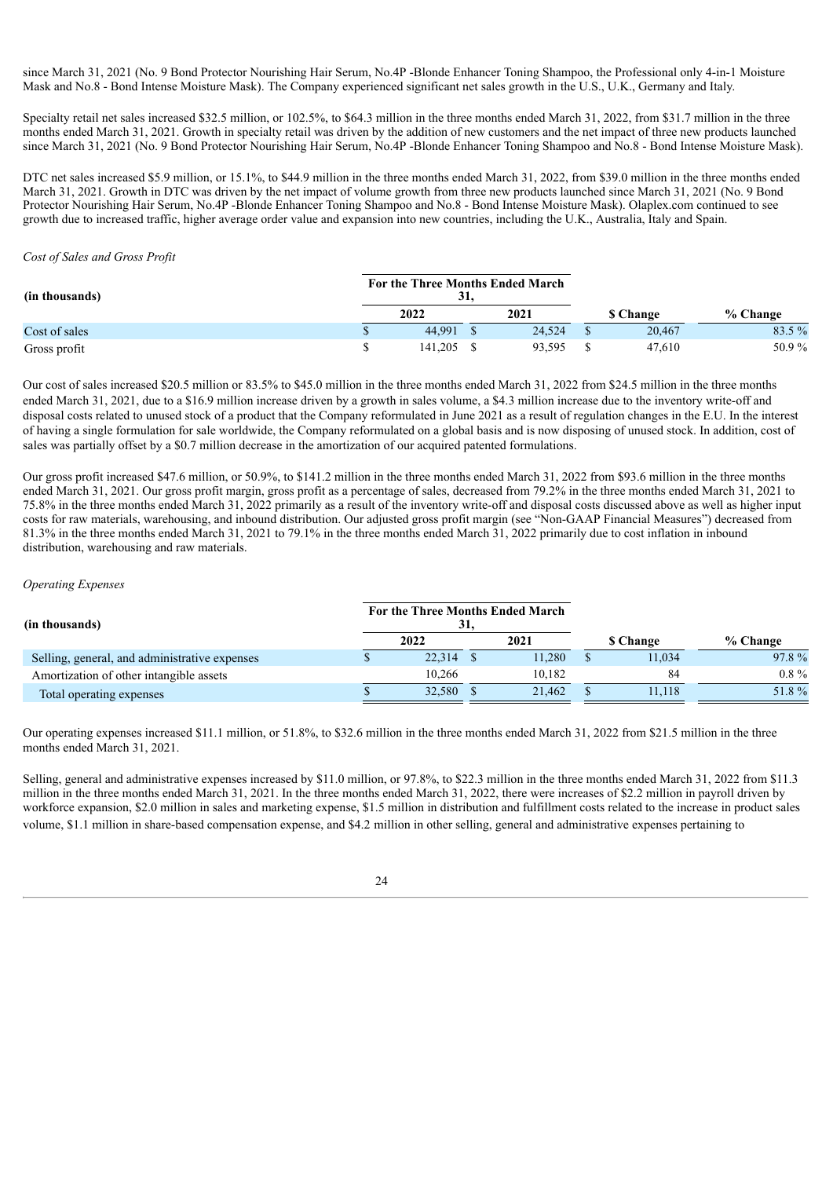since March 31, 2021 (No. 9 Bond Protector Nourishing Hair Serum, No.4P -Blonde Enhancer Toning Shampoo, the Professional only 4-in-1 Moisture Mask and No.8 - Bond Intense Moisture Mask). The Company experienced significant net sales growth in the U.S., U.K., Germany and Italy.

Specialty retail net sales increased \$32.5 million, or 102.5%, to \$64.3 million in the three months ended March 31, 2022, from \$31.7 million in the three months ended March 31, 2021. Growth in specialty retail was driven by the addition of new customers and the net impact of three new products launched since March 31, 2021 (No. 9 Bond Protector Nourishing Hair Serum, No.4P -Blonde Enhancer Toning Shampoo and No.8 - Bond Intense Moisture Mask).

DTC net sales increased \$5.9 million, or 15.1%, to \$44.9 million in the three months ended March 31, 2022, from \$39.0 million in the three months ended March 31, 2021. Growth in DTC was driven by the net impact of volume growth from three new products launched since March 31, 2021 (No. 9 Bond Protector Nourishing Hair Serum, No.4P -Blonde Enhancer Toning Shampoo and No.8 - Bond Intense Moisture Mask). Olaplex.com continued to see growth due to increased traffic, higher average order value and expansion into new countries, including the U.K., Australia, Italy and Spain.

#### *Cost of Sales and Gross Profit*

| (in thousands) | For the Three Months Ended March<br>31. |         |      |        |                 |        |          |  |
|----------------|-----------------------------------------|---------|------|--------|-----------------|--------|----------|--|
|                | 2022                                    |         | 2021 |        | <b>S</b> Change |        | % Change |  |
| Cost of sales  |                                         | 44.991  |      | 24.524 |                 | 20,467 | 83.5 %   |  |
| Gross profit   |                                         | 141.205 |      | 93,595 |                 | 47,610 | 50.9%    |  |

Our cost of sales increased \$20.5 million or 83.5% to \$45.0 million in the three months ended March 31, 2022 from \$24.5 million in the three months ended March 31, 2021, due to a \$16.9 million increase driven by a growth in sales volume, a \$4.3 million increase due to the inventory write-off and disposal costs related to unused stock of a product that the Company reformulated in June 2021 as a result of regulation changes in the E.U. In the interest of having a single formulation for sale worldwide, the Company reformulated on a global basis and is now disposing of unused stock. In addition, cost of sales was partially offset by a \$0.7 million decrease in the amortization of our acquired patented formulations.

Our gross profit increased \$47.6 million, or 50.9%, to \$141.2 million in the three months ended March 31, 2022 from \$93.6 million in the three months ended March 31, 2021. Our gross profit margin, gross profit as a percentage of sales, decreased from 79.2% in the three months ended March 31, 2021 to 75.8% in the three months ended March 31, 2022 primarily as a result of the inventory write-off and disposal costs discussed above as well as higher input costs for raw materials, warehousing, and inbound distribution. Our adjusted gross profit margin (see "Non-GAAP Financial Measures") decreased from 81.3% in the three months ended March 31, 2021 to 79.1% in the three months ended March 31, 2022 primarily due to cost inflation in inbound distribution, warehousing and raw materials.

#### *Operating Expenses*

| (in thousands)                                | 31,       | For the Three Months Ended March |                 |          |
|-----------------------------------------------|-----------|----------------------------------|-----------------|----------|
|                                               | 2022      | 2021                             | <b>S</b> Change | % Change |
| Selling, general, and administrative expenses | 22,314 \$ | 11.280                           | 11,034          | 97.8%    |
| Amortization of other intangible assets       | 10.266    | 10.182                           | 84              | $0.8\%$  |
| Total operating expenses                      | 32,580    | 21,462                           | 11.118          | 51.8%    |

Our operating expenses increased \$11.1 million, or 51.8%, to \$32.6 million in the three months ended March 31, 2022 from \$21.5 million in the three months ended March 31, 2021.

Selling, general and administrative expenses increased by \$11.0 million, or 97.8%, to \$22.3 million in the three months ended March 31, 2022 from \$11.3 million in the three months ended March 31, 2021. In the three months ended March 31, 2022, there were increases of \$2.2 million in payroll driven by workforce expansion, \$2.0 million in sales and marketing expense, \$1.5 million in distribution and fulfillment costs related to the increase in product sales volume, \$1.1 million in share-based compensation expense, and \$4.2 million in other selling, general and administrative expenses pertaining to

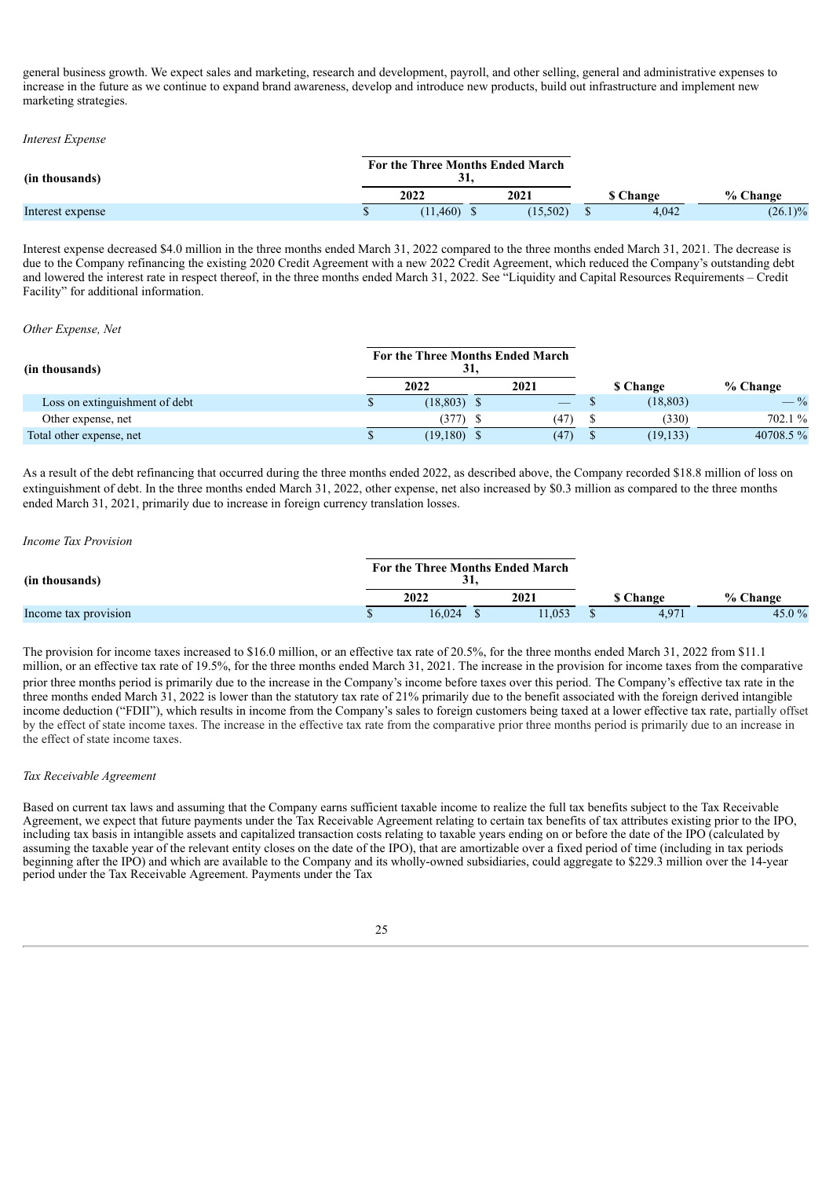general business growth. We expect sales and marketing, research and development, payroll, and other selling, general and administrative expenses to increase in the future as we continue to expand brand awareness, develop and introduce new products, build out infrastructure and implement new marketing strategies.

#### *Interest Expense*

| (in thousands)   | For the Three Months Ended March<br>91, |               |  |          |  |                 |            |
|------------------|-----------------------------------------|---------------|--|----------|--|-----------------|------------|
|                  |                                         | 2022          |  | 2021     |  | <b>S</b> Change | % Change   |
| Interest expense |                                         | $(11,460)$ \$ |  | (15,502) |  | 4,042           | $(26.1)\%$ |

Interest expense decreased \$4.0 million in the three months ended March 31, 2022 compared to the three months ended March 31, 2021. The decrease is due to the Company refinancing the existing 2020 Credit Agreement with a new 2022 Credit Agreement, which reduced the Company's outstanding debt and lowered the interest rate in respect thereof, in the three months ended March 31, 2022. See "Liquidity and Capital Resources Requirements – Credit Facility" for additional information.

#### *Other Expense, Net*

| (in thousands)                 |  | For the Three Months Ended March | 31. |      |                 |                 |
|--------------------------------|--|----------------------------------|-----|------|-----------------|-----------------|
|                                |  | 2022                             |     | 2021 | <b>S</b> Change | % Change        |
| Loss on extinguishment of debt |  | $(18,803)$ \$                    |     |      | (18, 803)       | $- \frac{9}{6}$ |
| Other expense, net             |  | (377)                            |     | (47) | (330)           | 702.1 %         |
| Total other expense, net       |  | (19,180)                         |     | (47) | (19, 133)       | 40708.5%        |

As a result of the debt refinancing that occurred during the three months ended 2022, as described above, the Company recorded \$18.8 million of loss on extinguishment of debt. In the three months ended March 31, 2022, other expense, net also increased by \$0.3 million as compared to the three months ended March 31, 2021, primarily due to increase in foreign currency translation losses.

#### *Income Tax Provision*

| (in thousands)       | For the Three Months Ended March<br>ĴІ |        |  |        |  |                 |          |
|----------------------|----------------------------------------|--------|--|--------|--|-----------------|----------|
|                      |                                        | 2022   |  | 2021   |  | <b>S</b> Change | % Change |
| Income tax provision |                                        | 16.024 |  | 11.053 |  | 4.971           | 45.0 $%$ |

The provision for income taxes increased to \$16.0 million, or an effective tax rate of 20.5%, for the three months ended March 31, 2022 from \$11.1 million, or an effective tax rate of 19.5%, for the three months ended March 31, 2021. The increase in the provision for income taxes from the comparative prior three months period is primarily due to the increase in the Company's income before taxes over this period. The Company's effective tax rate in the three months ended March  $31$ , 2022 is lower than the statutory tax rate of 21% primarily due to the benefit associated with the foreign derived intangible income deduction ("FDII"), which results in income from the Company's sales to foreign customers being taxed at a lower effective tax rate, partially offset by the effect of state income taxes. The increase in the effective tax rate from the comparative prior three months period is primarily due to an increase in the effect of state income taxes.

#### *Tax Receivable Agreement*

Based on current tax laws and assuming that the Company earns sufficient taxable income to realize the full tax benefits subject to the Tax Receivable Agreement, we expect that future payments under the Tax Receivable Agreement relating to certain tax benefits of tax attributes existing prior to the IPO, including tax basis in intangible assets and capitalized transaction costs relating to taxable years ending on or before the date of the IPO (calculated by assuming the taxable year of the relevant entity closes on the date of the IPO), that are amortizable over a fixed period of time (including in tax periods beginning after the IPO) and which are available to the Company and its wholly-owned subsidiaries, could aggregate to \$229.3 million over the 14-year period under the Tax Receivable Agreement. Payments under the Tax

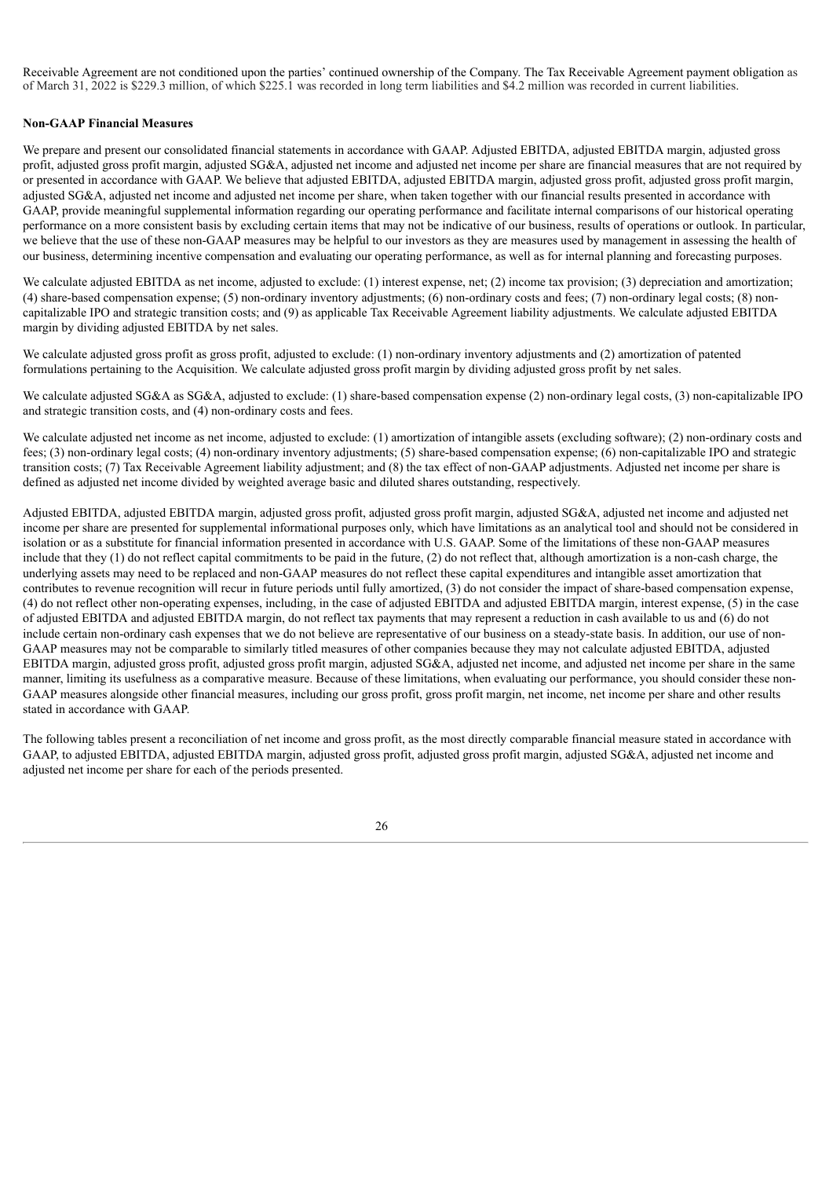Receivable Agreement are not conditioned upon the parties' continued ownership of the Company. The Tax Receivable Agreement payment obligation as of March 31, 2022 is \$229.3 million, of which \$225.1 was recorded in long term liabilities and \$4.2 million was recorded in current liabilities.

#### **Non-GAAP Financial Measures**

We prepare and present our consolidated financial statements in accordance with GAAP. Adjusted EBITDA, adjusted EBITDA margin, adjusted gross profit, adjusted gross profit margin, adjusted SG&A, adjusted net income and adjusted net income per share are financial measures that are not required by or presented in accordance with GAAP. We believe that adjusted EBITDA, adjusted EBITDA margin, adjusted gross profit, adjusted gross profit margin, adjusted SG&A, adjusted net income and adjusted net income per share, when taken together with our financial results presented in accordance with GAAP, provide meaningful supplemental information regarding our operating performance and facilitate internal comparisons of our historical operating performance on a more consistent basis by excluding certain items that may not be indicative of our business, results of operations or outlook. In particular, we believe that the use of these non-GAAP measures may be helpful to our investors as they are measures used by management in assessing the health of our business, determining incentive compensation and evaluating our operating performance, as well as for internal planning and forecasting purposes.

We calculate adjusted EBITDA as net income, adjusted to exclude: (1) interest expense, net; (2) income tax provision; (3) depreciation and amortization; (4) share-based compensation expense; (5) non-ordinary inventory adjustments; (6) non-ordinary costs and fees; (7) non-ordinary legal costs; (8) noncapitalizable IPO and strategic transition costs; and (9) as applicable Tax Receivable Agreement liability adjustments. We calculate adjusted EBITDA margin by dividing adjusted EBITDA by net sales.

We calculate adjusted gross profit as gross profit, adjusted to exclude: (1) non-ordinary inventory adjustments and (2) amortization of patented formulations pertaining to the Acquisition. We calculate adjusted gross profit margin by dividing adjusted gross profit by net sales.

We calculate adjusted SG&A as SG&A, adjusted to exclude: (1) share-based compensation expense (2) non-ordinary legal costs, (3) non-capitalizable IPO and strategic transition costs, and (4) non-ordinary costs and fees.

We calculate adjusted net income as net income, adjusted to exclude: (1) amortization of intangible assets (excluding software); (2) non-ordinary costs and fees; (3) non-ordinary legal costs; (4) non-ordinary inventory adjustments; (5) share-based compensation expense; (6) non-capitalizable IPO and strategic transition costs; (7) Tax Receivable Agreement liability adjustment; and (8) the tax effect of non-GAAP adjustments. Adjusted net income per share is defined as adjusted net income divided by weighted average basic and diluted shares outstanding, respectively.

Adjusted EBITDA, adjusted EBITDA margin, adjusted gross profit, adjusted gross profit margin, adjusted SG&A, adjusted net income and adjusted net income per share are presented for supplemental informational purposes only, which have limitations as an analytical tool and should not be considered in isolation or as a substitute for financial information presented in accordance with U.S. GAAP. Some of the limitations of these non-GAAP measures include that they (1) do not reflect capital commitments to be paid in the future, (2) do not reflect that, although amortization is a non-cash charge, the underlying assets may need to be replaced and non-GAAP measures do not reflect these capital expenditures and intangible asset amortization that contributes to revenue recognition will recur in future periods until fully amortized, (3) do not consider the impact of share-based compensation expense, (4) do not reflect other non-operating expenses, including, in the case of adjusted EBITDA and adjusted EBITDA margin, interest expense, (5) in the case of adjusted EBITDA and adjusted EBITDA margin, do not reflect tax payments that may represent a reduction in cash available to us and (6) do not include certain non-ordinary cash expenses that we do not believe are representative of our business on a steady-state basis. In addition, our use of non-GAAP measures may not be comparable to similarly titled measures of other companies because they may not calculate adjusted EBITDA, adjusted EBITDA margin, adjusted gross profit, adjusted gross profit margin, adjusted SG&A, adjusted net income, and adjusted net income per share in the same manner, limiting its usefulness as a comparative measure. Because of these limitations, when evaluating our performance, you should consider these non-GAAP measures alongside other financial measures, including our gross profit, gross profit margin, net income, net income per share and other results stated in accordance with GAAP.

The following tables present a reconciliation of net income and gross profit, as the most directly comparable financial measure stated in accordance with GAAP, to adjusted EBITDA, adjusted EBITDA margin, adjusted gross profit, adjusted gross profit margin, adjusted SG&A, adjusted net income and adjusted net income per share for each of the periods presented.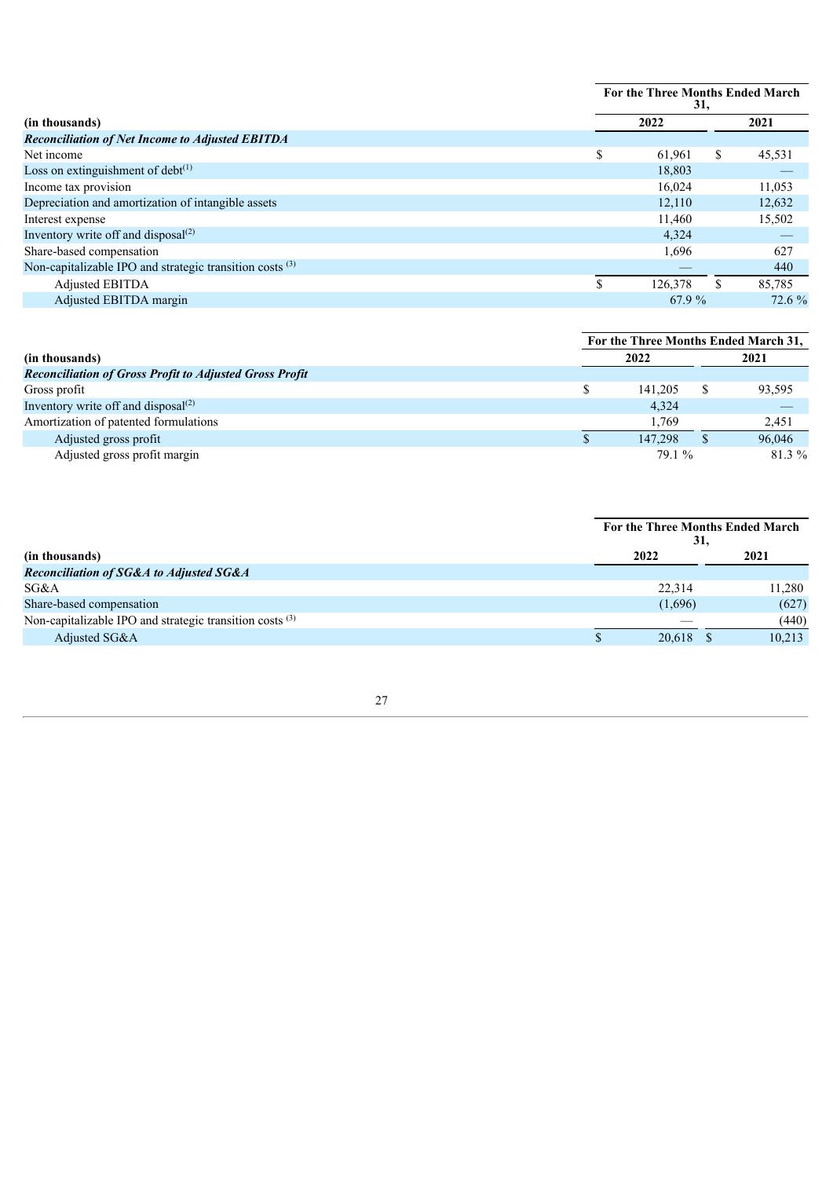|                                                                     | For the Three Months Ended March<br>31, |        |  |  |  |  |
|---------------------------------------------------------------------|-----------------------------------------|--------|--|--|--|--|
| (in thousands)                                                      | 2022                                    | 2021   |  |  |  |  |
| <b>Reconciliation of Net Income to Adjusted EBITDA</b>              |                                         |        |  |  |  |  |
| Net income                                                          | \$<br>61,961<br>\$                      | 45,531 |  |  |  |  |
| Loss on extinguishment of $debt^{(1)}$                              | 18,803                                  |        |  |  |  |  |
| Income tax provision                                                | 16,024                                  | 11,053 |  |  |  |  |
| Depreciation and amortization of intangible assets                  | 12,110                                  | 12,632 |  |  |  |  |
| Interest expense                                                    | 11,460                                  | 15,502 |  |  |  |  |
| Inventory write off and disposal $^{(2)}$                           | 4,324                                   |        |  |  |  |  |
| Share-based compensation                                            | 1,696                                   | 627    |  |  |  |  |
| Non-capitalizable IPO and strategic transition costs <sup>(3)</sup> |                                         | 440    |  |  |  |  |
| Adjusted EBITDA                                                     | 126,378                                 | 85.785 |  |  |  |  |
| Adjusted EBITDA margin                                              | 67.9 %                                  | 72.6 % |  |  |  |  |

|                                                                | For the Three Months Ended March 31, |         |  |        |  |
|----------------------------------------------------------------|--------------------------------------|---------|--|--------|--|
| (in thousands)                                                 |                                      | 2022    |  |        |  |
| <b>Reconciliation of Gross Profit to Adjusted Gross Profit</b> |                                      |         |  |        |  |
| Gross profit                                                   |                                      | 141.205 |  | 93,595 |  |
| Inventory write off and disposal $^{(2)}$                      |                                      | 4.324   |  |        |  |
| Amortization of patented formulations                          |                                      | 1.769   |  | 2,451  |  |
| Adjusted gross profit                                          |                                      | 147,298 |  | 96,046 |  |
| Adjusted gross profit margin                                   |                                      | 79.1 %  |  | 81.3%  |  |

|                                                          | For the Three Months Ended March<br>31. |             |        |  |  |
|----------------------------------------------------------|-----------------------------------------|-------------|--------|--|--|
| (in thousands)                                           | 2022                                    |             | 2021   |  |  |
| <b>Reconciliation of SG&amp;A to Adjusted SG&amp;A</b>   |                                         |             |        |  |  |
| SG&A                                                     | 22.314                                  |             | 11.280 |  |  |
| Share-based compensation                                 | (1,696)                                 |             | (627)  |  |  |
| Non-capitalizable IPO and strategic transition costs (3) |                                         |             | (440)  |  |  |
| Adjusted SG&A                                            |                                         | $20,618$ \$ | 10,213 |  |  |
|                                                          |                                         |             |        |  |  |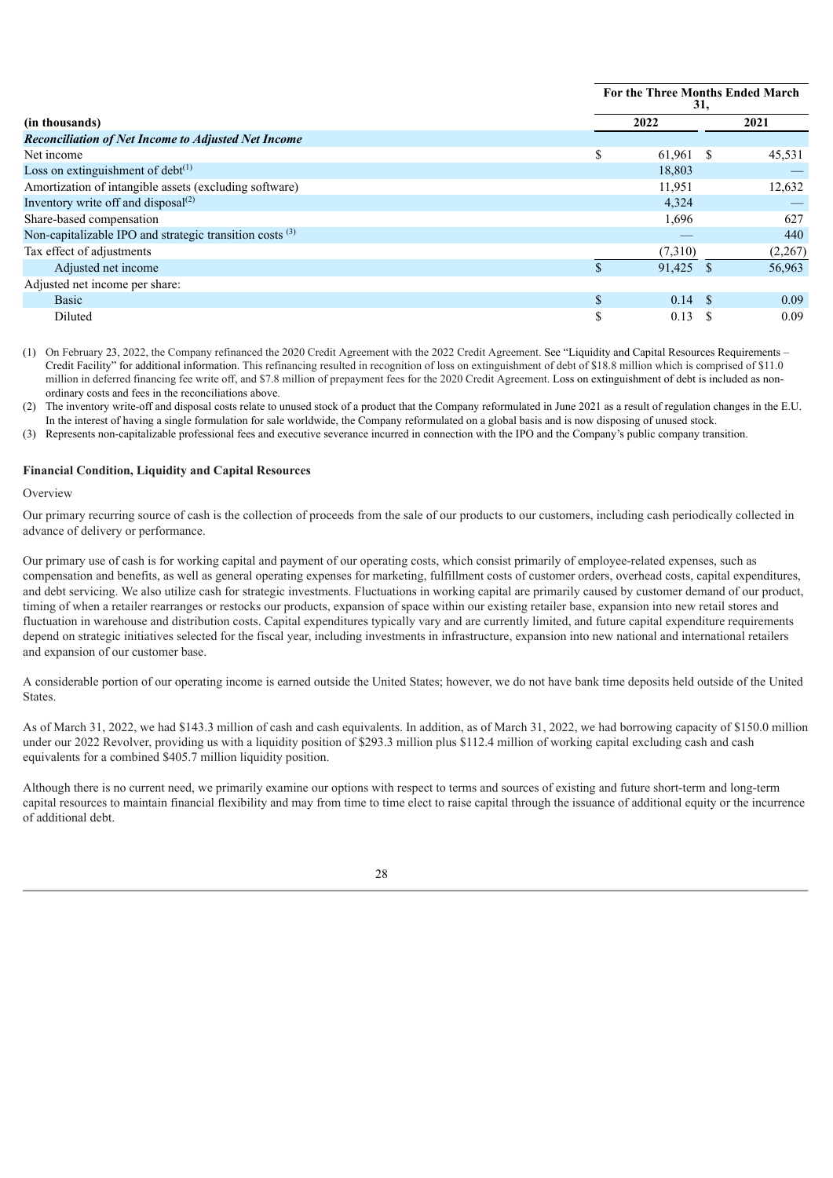|                                                                     | For the Three Months Ended March<br>31, |                        |         |  |  |
|---------------------------------------------------------------------|-----------------------------------------|------------------------|---------|--|--|
| (in thousands)                                                      |                                         | 2022                   | 2021    |  |  |
| <b>Reconciliation of Net Income to Adjusted Net Income</b>          |                                         |                        |         |  |  |
| Net income                                                          | \$.                                     | 61,961<br><sup>S</sup> | 45,531  |  |  |
| Loss on extinguishment of debt $(1)$                                |                                         | 18,803                 |         |  |  |
| Amortization of intangible assets (excluding software)              |                                         | 11,951                 | 12,632  |  |  |
| Inventory write off and disposal $(2)$                              |                                         | 4,324                  |         |  |  |
| Share-based compensation                                            |                                         | 1,696                  | 627     |  |  |
| Non-capitalizable IPO and strategic transition costs <sup>(3)</sup> |                                         |                        | 440     |  |  |
| Tax effect of adjustments                                           |                                         | (7,310)                | (2,267) |  |  |
| Adjusted net income                                                 |                                         | 91,425                 | 56,963  |  |  |
| Adjusted net income per share:                                      |                                         |                        |         |  |  |
| <b>Basic</b>                                                        |                                         | $0.14 \text{ }$ \$     | 0.09    |  |  |
| Diluted                                                             | S                                       | 0.13                   | 0.09    |  |  |

(1) On February 23, 2022, the Company refinanced the 2020 Credit Agreement with the 2022 Credit Agreement. See "Liquidity and Capital Resources Requirements – Credit Facility" for additional information. This refinancing resulted in recognition of loss on extinguishment of debt of \$18.8 million which is comprised of \$11.0 million in deferred financing fee write off, and \$7.8 million of prepayment fees for the 2020 Credit Agreement. Loss on extinguishment of debt is included as nonordinary costs and fees in the reconciliations above.

(2) The inventory write-off and disposal costs relate to unused stock of a product that the Company reformulated in June 2021 as a result of regulation changes in the E.U. In the interest of having a single formulation for sale worldwide, the Company reformulated on a global basis and is now disposing of unused stock.

(3) Represents non-capitalizable professional fees and executive severance incurred in connection with the IPO and the Company's public company transition.

#### **Financial Condition, Liquidity and Capital Resources**

#### **Overview**

Our primary recurring source of cash is the collection of proceeds from the sale of our products to our customers, including cash periodically collected in advance of delivery or performance.

Our primary use of cash is for working capital and payment of our operating costs, which consist primarily of employee-related expenses, such as compensation and benefits, as well as general operating expenses for marketing, fulfillment costs of customer orders, overhead costs, capital expenditures, and debt servicing. We also utilize cash for strategic investments. Fluctuations in working capital are primarily caused by customer demand of our product, timing of when a retailer rearranges or restocks our products, expansion of space within our existing retailer base, expansion into new retail stores and fluctuation in warehouse and distribution costs. Capital expenditures typically vary and are currently limited, and future capital expenditure requirements depend on strategic initiatives selected for the fiscal year, including investments in infrastructure, expansion into new national and international retailers and expansion of our customer base.

A considerable portion of our operating income is earned outside the United States; however, we do not have bank time deposits held outside of the United States.

As of March 31, 2022, we had \$143.3 million of cash and cash equivalents. In addition, as of March 31, 2022, we had borrowing capacity of \$150.0 million under our 2022 Revolver, providing us with a liquidity position of \$293.3 million plus \$112.4 million of working capital excluding cash and cash equivalents for a combined \$405.7 million liquidity position.

Although there is no current need, we primarily examine our options with respect to terms and sources of existing and future short-term and long-term capital resources to maintain financial flexibility and may from time to time elect to raise capital through the issuance of additional equity or the incurrence of additional debt.

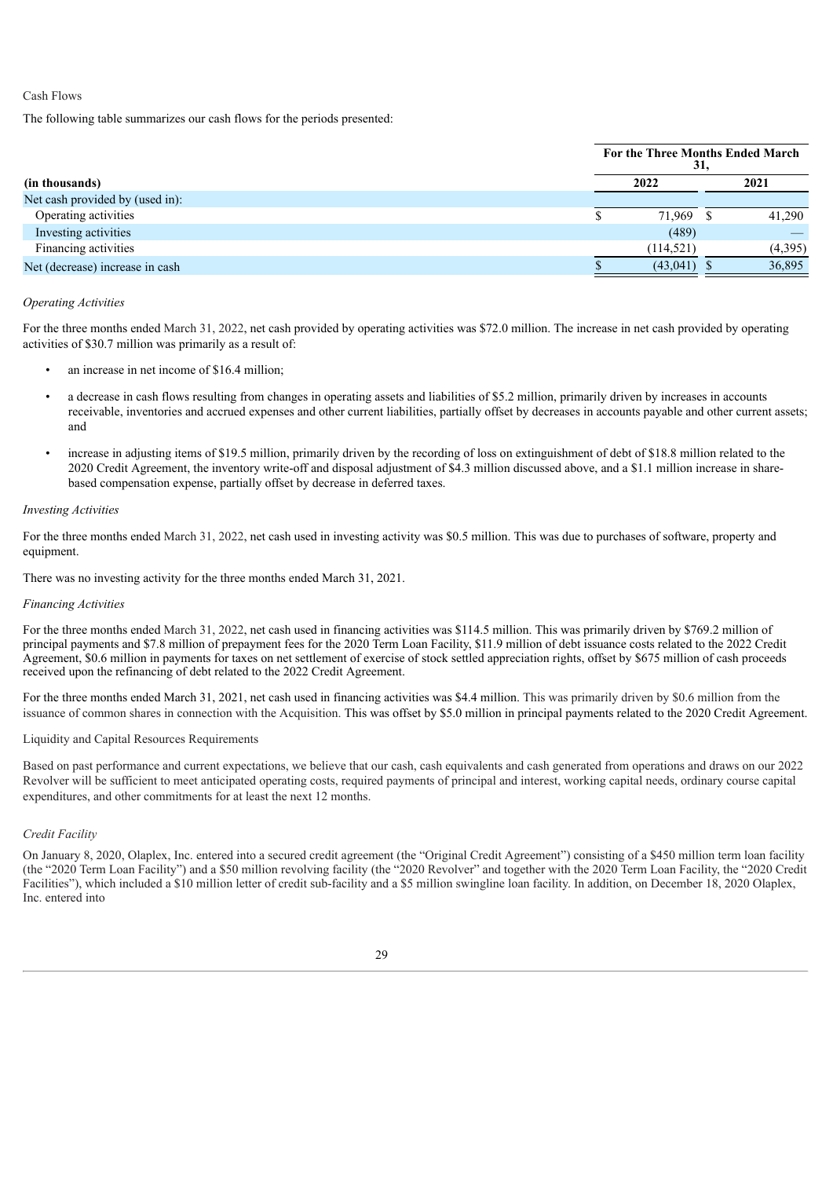#### Cash Flows

The following table summarizes our cash flows for the periods presented:

|                                 |  | For the Three Months Ended March | 31. |         |
|---------------------------------|--|----------------------------------|-----|---------|
| (in thousands)                  |  | 2022                             |     | 2021    |
| Net cash provided by (used in): |  |                                  |     |         |
| Operating activities            |  | 71,969                           |     | 41.290  |
| Investing activities            |  | (489)                            |     |         |
| Financing activities            |  | (114, 521)                       |     | (4,395) |
| Net (decrease) increase in cash |  | (43,041)                         |     | 36,895  |

#### *Operating Activities*

For the three months ended March 31, 2022, net cash provided by operating activities was \$72.0 million. The increase in net cash provided by operating activities of \$30.7 million was primarily as a result of:

- an increase in net income of \$16.4 million;
- a decrease in cash flows resulting from changes in operating assets and liabilities of \$5.2 million, primarily driven by increases in accounts receivable, inventories and accrued expenses and other current liabilities, partially offset by decreases in accounts payable and other current assets; and
- increase in adjusting items of \$19.5 million, primarily driven by the recording of loss on extinguishment of debt of \$18.8 million related to the 2020 Credit Agreement, the inventory write-off and disposal adjustment of \$4.3 million discussed above, and a \$1.1 million increase in sharebased compensation expense, partially offset by decrease in deferred taxes.

#### *Investing Activities*

For the three months ended March 31, 2022, net cash used in investing activity was \$0.5 million. This was due to purchases of software, property and equipment.

There was no investing activity for the three months ended March 31, 2021.

#### *Financing Activities*

For the three months ended March 31, 2022, net cash used in financing activities was \$114.5 million. This was primarily driven by \$769.2 million of principal payments and \$7.8 million of prepayment fees for the 2020 Term Loan Facility, \$11.9 million of debt issuance costs related to the 2022 Credit Agreement, \$0.6 million in payments for taxes on net settlement of exercise of stock settled appreciation rights, offset by \$675 million of cash proceeds received upon the refinancing of debt related to the 2022 Credit Agreement.

For the three months ended March 31, 2021, net cash used in financing activities was \$4.4 million. This was primarily driven by \$0.6 million from the issuance of common shares in connection with the Acquisition. This was offset by \$5.0 million in principal payments related to the 2020 Credit Agreement.

#### Liquidity and Capital Resources Requirements

Based on past performance and current expectations, we believe that our cash, cash equivalents and cash generated from operations and draws on our 2022 Revolver will be sufficient to meet anticipated operating costs, required payments of principal and interest, working capital needs, ordinary course capital expenditures, and other commitments for at least the next 12 months.

#### *Credit Facility*

On January 8, 2020, Olaplex, Inc. entered into a secured credit agreement (the "Original Credit Agreement") consisting of a \$450 million term loan facility (the "2020 Term Loan Facility") and a \$50 million revolving facility (the "2020 Revolver" and together with the 2020 Term Loan Facility, the "2020 Credit Facilities"), which included a \$10 million letter of credit sub-facility and a \$5 million swingline loan facility. In addition, on December 18, 2020 Olaplex, Inc. entered into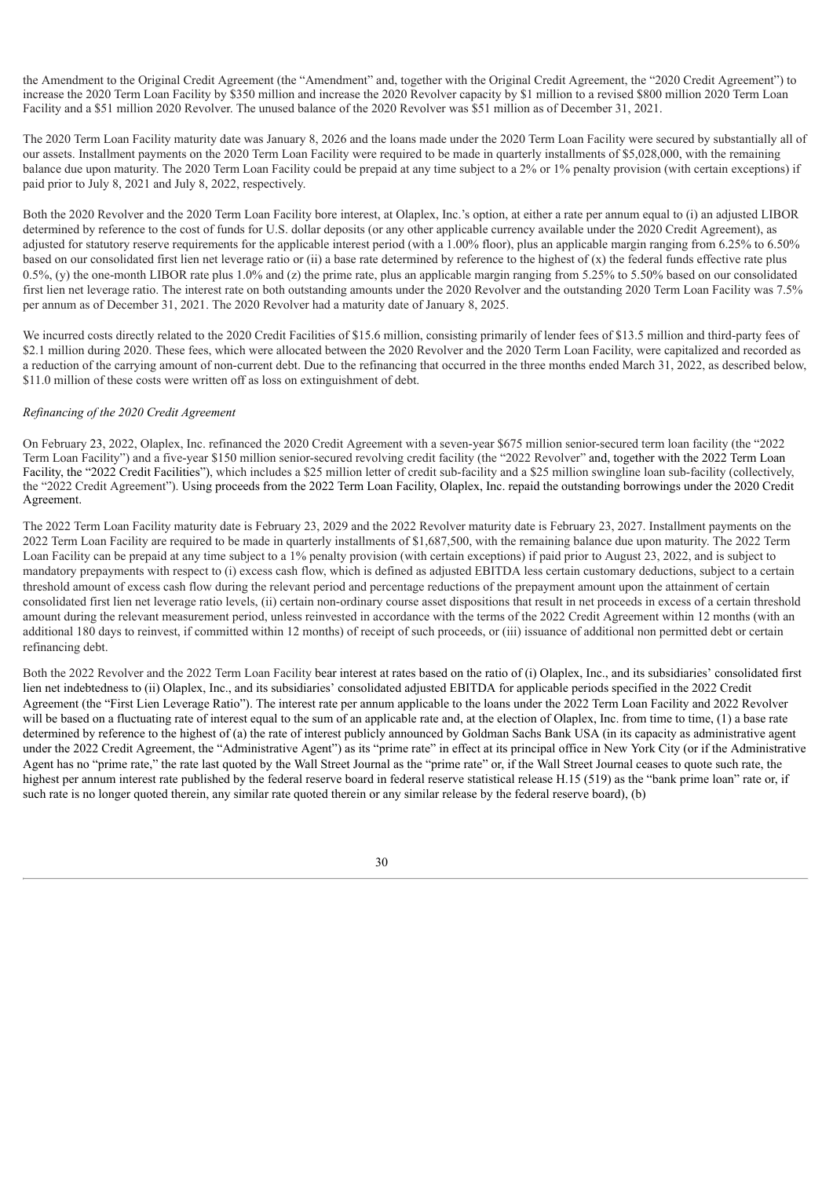the Amendment to the Original Credit Agreement (the "Amendment" and, together with the Original Credit Agreement, the "2020 Credit Agreement") to increase the 2020 Term Loan Facility by \$350 million and increase the 2020 Revolver capacity by \$1 million to a revised \$800 million 2020 Term Loan Facility and a \$51 million 2020 Revolver. The unused balance of the 2020 Revolver was \$51 million as of December 31, 2021.

The 2020 Term Loan Facility maturity date was January 8, 2026 and the loans made under the 2020 Term Loan Facility were secured by substantially all of our assets. Installment payments on the 2020 Term Loan Facility were required to be made in quarterly installments of \$5,028,000, with the remaining balance due upon maturity. The 2020 Term Loan Facility could be prepaid at any time subject to a 2% or 1% penalty provision (with certain exceptions) if paid prior to July 8, 2021 and July 8, 2022, respectively.

Both the 2020 Revolver and the 2020 Term Loan Facility bore interest, at Olaplex, Inc.'s option, at either a rate per annum equal to (i) an adjusted LIBOR determined by reference to the cost of funds for U.S. dollar deposits (or any other applicable currency available under the 2020 Credit Agreement), as adjusted for statutory reserve requirements for the applicable interest period (with a 1.00% floor), plus an applicable margin ranging from 6.25% to 6.50% based on our consolidated first lien net leverage ratio or (ii) a base rate determined by reference to the highest of (x) the federal funds effective rate plus 0.5%, (y) the one-month LIBOR rate plus 1.0% and (z) the prime rate, plus an applicable margin ranging from 5.25% to 5.50% based on our consolidated first lien net leverage ratio. The interest rate on both outstanding amounts under the 2020 Revolver and the outstanding 2020 Term Loan Facility was 7.5% per annum as of December 31, 2021. The 2020 Revolver had a maturity date of January 8, 2025.

We incurred costs directly related to the 2020 Credit Facilities of \$15.6 million, consisting primarily of lender fees of \$13.5 million and third-party fees of \$2.1 million during 2020. These fees, which were allocated between the 2020 Revolver and the 2020 Term Loan Facility, were capitalized and recorded as a reduction of the carrying amount of non-current debt. Due to the refinancing that occurred in the three months ended March 31, 2022, as described below, \$11.0 million of these costs were written off as loss on extinguishment of debt.

#### *Refinancing of the 2020 Credit Agreement*

On February 23, 2022, Olaplex, Inc. refinanced the 2020 Credit Agreement with a seven-year \$675 million senior-secured term loan facility (the "2022 Term Loan Facility") and a five-year \$150 million senior-secured revolving credit facility (the "2022 Revolver" and, together with the 2022 Term Loan Facility, the "2022 Credit Facilities"), which includes a \$25 million letter of credit sub-facility and a \$25 million swingline loan sub-facility (collectively, the "2022 Credit Agreement"). Using proceeds from the 2022 Term Loan Facility, Olaplex, Inc. repaid the outstanding borrowings under the 2020 Credit Agreement.

The 2022 Term Loan Facility maturity date is February 23, 2029 and the 2022 Revolver maturity date is February 23, 2027. Installment payments on the 2022 Term Loan Facility are required to be made in quarterly installments of \$1,687,500, with the remaining balance due upon maturity. The 2022 Term Loan Facility can be prepaid at any time subject to a 1% penalty provision (with certain exceptions) if paid prior to August 23, 2022, and is subject to mandatory prepayments with respect to (i) excess cash flow, which is defined as adjusted EBITDA less certain customary deductions, subject to a certain threshold amount of excess cash flow during the relevant period and percentage reductions of the prepayment amount upon the attainment of certain consolidated first lien net leverage ratio levels, (ii) certain non-ordinary course asset dispositions that result in net proceeds in excess of a certain threshold amount during the relevant measurement period, unless reinvested in accordance with the terms of the 2022 Credit Agreement within 12 months (with an additional 180 days to reinvest, if committed within 12 months) of receipt of such proceeds, or (iii) issuance of additional non permitted debt or certain refinancing debt.

Both the 2022 Revolver and the 2022 Term Loan Facility bear interest at rates based on the ratio of (i) Olaplex, Inc., and its subsidiaries' consolidated first lien net indebtedness to (ii) Olaplex, Inc., and its subsidiaries' consolidated adjusted EBITDA for applicable periods specified in the 2022 Credit Agreement (the "First Lien Leverage Ratio"). The interest rate per annum applicable to the loans under the 2022 Term Loan Facility and 2022 Revolver will be based on a fluctuating rate of interest equal to the sum of an applicable rate and, at the election of Olaplex, Inc. from time to time, (1) a base rate determined by reference to the highest of (a) the rate of interest publicly announced by Goldman Sachs Bank USA (in its capacity as administrative agent under the 2022 Credit Agreement, the "Administrative Agent") as its "prime rate" in effect at its principal office in New York City (or if the Administrative Agent has no "prime rate," the rate last quoted by the Wall Street Journal as the "prime rate" or, if the Wall Street Journal ceases to quote such rate, the highest per annum interest rate published by the federal reserve board in federal reserve statistical release H.15 (519) as the "bank prime loan" rate or, if such rate is no longer quoted therein, any similar rate quoted therein or any similar release by the federal reserve board), (b)

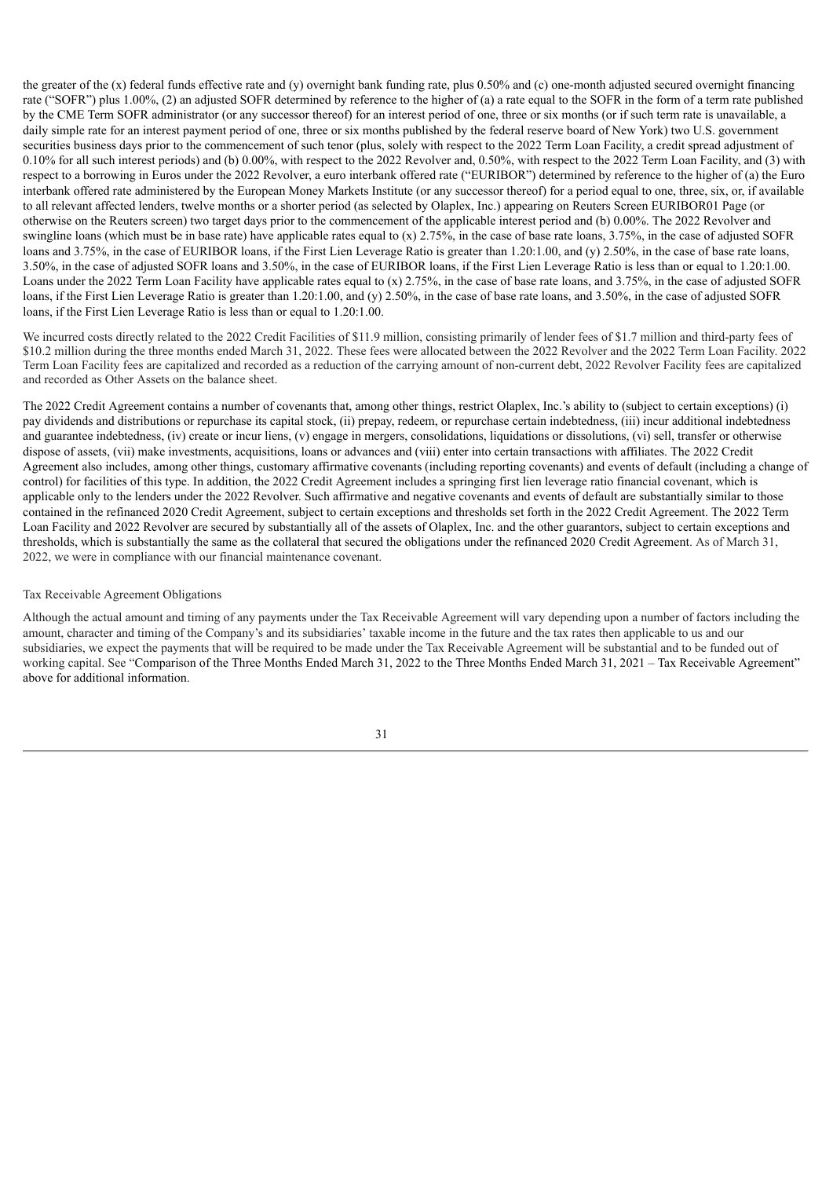the greater of the (x) federal funds effective rate and (y) overnight bank funding rate, plus 0.50% and (c) one-month adjusted secured overnight financing rate ("SOFR") plus 1.00%, (2) an adjusted SOFR determined by reference to the higher of (a) a rate equal to the SOFR in the form of a term rate published by the CME Term SOFR administrator (or any successor thereof) for an interest period of one, three or six months (or if such term rate is unavailable, a daily simple rate for an interest payment period of one, three or six months published by the federal reserve board of New York) two U.S. government securities business days prior to the commencement of such tenor (plus, solely with respect to the 2022 Term Loan Facility, a credit spread adjustment of 0.10% for all such interest periods) and (b) 0.00%, with respect to the 2022 Revolver and, 0.50%, with respect to the 2022 Term Loan Facility, and (3) with respect to a borrowing in Euros under the 2022 Revolver, a euro interbank offered rate ("EURIBOR") determined by reference to the higher of (a) the Euro interbank offered rate administered by the European Money Markets Institute (or any successor thereof) for a period equal to one, three, six, or, if available to all relevant affected lenders, twelve months or a shorter period (as selected by Olaplex, Inc.) appearing on Reuters Screen EURIBOR01 Page (or otherwise on the Reuters screen) two target days prior to the commencement of the applicable interest period and (b) 0.00%. The 2022 Revolver and swingline loans (which must be in base rate) have applicable rates equal to (x) 2.75%, in the case of base rate loans, 3.75%, in the case of adjusted SOFR loans and 3.75%, in the case of EURIBOR loans, if the First Lien Leverage Ratio is greater than 1.20:1.00, and (y) 2.50%, in the case of base rate loans, 3.50%, in the case of adjusted SOFR loans and 3.50%, in the case of EURIBOR loans, if the First Lien Leverage Ratio is less than or equal to 1.20:1.00. Loans under the 2022 Term Loan Facility have applicable rates equal to (x) 2.75%, in the case of base rate loans, and 3.75%, in the case of adjusted SOFR loans, if the First Lien Leverage Ratio is greater than 1.20:1.00, and (y) 2.50%, in the case of base rate loans, and 3.50%, in the case of adjusted SOFR loans, if the First Lien Leverage Ratio is less than or equal to 1.20:1.00.

We incurred costs directly related to the 2022 Credit Facilities of \$11.9 million, consisting primarily of lender fees of \$1.7 million and third-party fees of \$10.2 million during the three months ended March 31, 2022. These fees were allocated between the 2022 Revolver and the 2022 Term Loan Facility. 2022 Term Loan Facility fees are capitalized and recorded as a reduction of the carrying amount of non-current debt, 2022 Revolver Facility fees are capitalized and recorded as Other Assets on the balance sheet.

The 2022 Credit Agreement contains a number of covenants that, among other things, restrict Olaplex, Inc.'s ability to (subject to certain exceptions) (i) pay dividends and distributions or repurchase its capital stock, (ii) prepay, redeem, or repurchase certain indebtedness, (iii) incur additional indebtedness and guarantee indebtedness, (iv) create or incur liens, (v) engage in mergers, consolidations, liquidations or dissolutions, (vi) sell, transfer or otherwise dispose of assets, (vii) make investments, acquisitions, loans or advances and (viii) enter into certain transactions with affiliates. The 2022 Credit Agreement also includes, among other things, customary affirmative covenants (including reporting covenants) and events of default (including a change of control) for facilities of this type. In addition, the 2022 Credit Agreement includes a springing first lien leverage ratio financial covenant, which is applicable only to the lenders under the 2022 Revolver. Such affirmative and negative covenants and events of default are substantially similar to those contained in the refinanced 2020 Credit Agreement, subject to certain exceptions and thresholds set forth in the 2022 Credit Agreement. The 2022 Term Loan Facility and 2022 Revolver are secured by substantially all of the assets of Olaplex, Inc. and the other guarantors, subject to certain exceptions and thresholds, which is substantially the same as the collateral that secured the obligations under the refinanced 2020 Credit Agreement. As of March 31, 2022, we were in compliance with our financial maintenance covenant.

#### Tax Receivable Agreement Obligations

Although the actual amount and timing of any payments under the Tax Receivable Agreement will vary depending upon a number of factors including the amount, character and timing of the Company's and its subsidiaries' taxable income in the future and the tax rates then applicable to us and our subsidiaries, we expect the payments that will be required to be made under the Tax Receivable Agreement will be substantial and to be funded out of working capital. See "Comparison of the Three Months Ended March 31, 2022 to the Three Months Ended March 31, 2021 – Tax Receivable Agreement" above for additional information.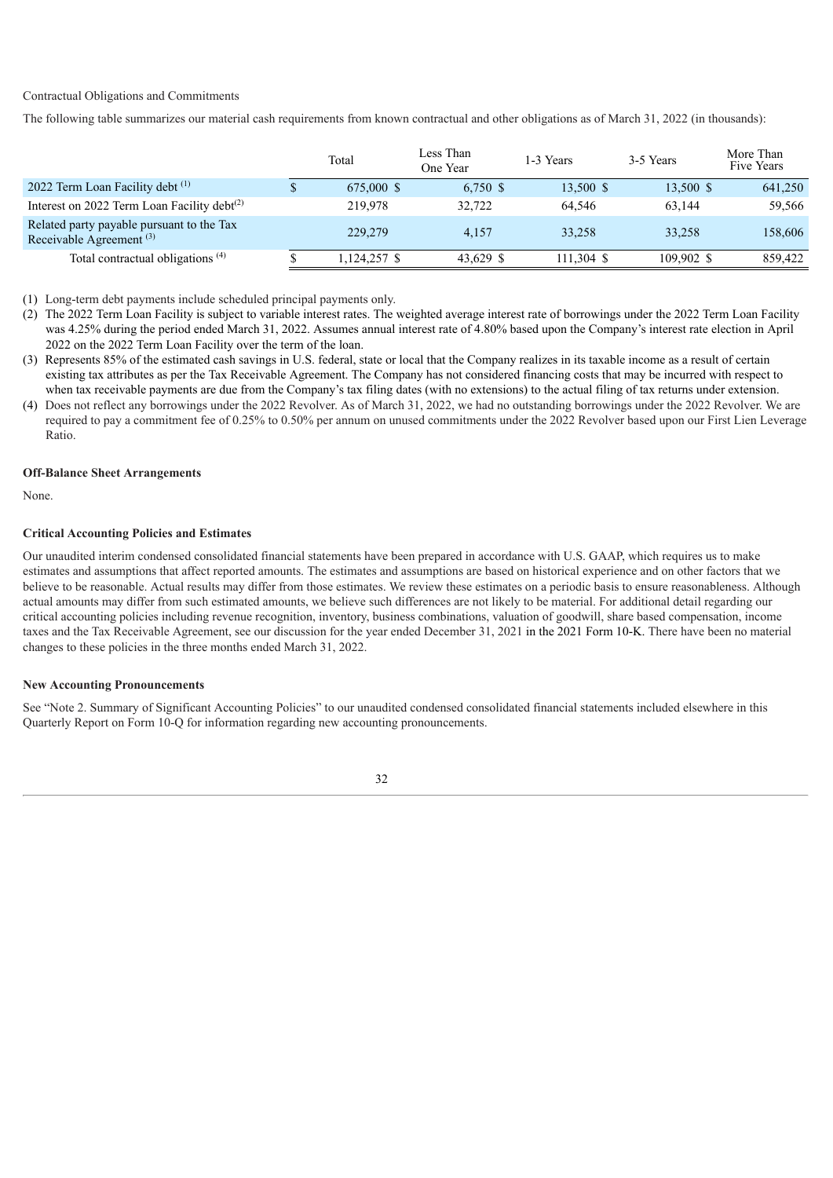#### Contractual Obligations and Commitments

The following table summarizes our material cash requirements from known contractual and other obligations as of March 31, 2022 (in thousands):

|                                                                         | Total        | Less Than<br>One Year | 1-3 Years    | 3-5 Years  | More Than<br>Five Years |
|-------------------------------------------------------------------------|--------------|-----------------------|--------------|------------|-------------------------|
| 2022 Term Loan Facility debt (1)                                        | 675,000 \$   | $6,750$ \$            | 13,500 \$    | 13,500 \$  | 641,250                 |
| Interest on 2022 Term Loan Facility debt $(2)$                          | 219,978      | 32,722                | 64.546       | 63.144     | 59,566                  |
| Related party payable pursuant to the Tax<br>Receivable Agreement $(3)$ | 229,279      | 4.157                 | 33.258       | 33.258     | 158,606                 |
| Total contractual obligations <sup>(4)</sup>                            | 1,124,257 \$ | 43.629 \$             | $111.304$ \$ | 109.902 \$ | 859,422                 |

(1) Long-term debt payments include scheduled principal payments only.

- (2) The 2022 Term Loan Facility is subject to variable interest rates. The weighted average interest rate of borrowings under the 2022 Term Loan Facility was 4.25% during the period ended March 31, 2022. Assumes annual interest rate of 4.80% based upon the Company's interest rate election in April 2022 on the 2022 Term Loan Facility over the term of the loan.
- (3) Represents 85% of the estimated cash savings in U.S. federal, state or local that the Company realizes in its taxable income as a result of certain existing tax attributes as per the Tax Receivable Agreement. The Company has not considered financing costs that may be incurred with respect to when tax receivable payments are due from the Company's tax filing dates (with no extensions) to the actual filing of tax returns under extension.
- (4) Does not reflect any borrowings under the 2022 Revolver. As of March 31, 2022, we had no outstanding borrowings under the 2022 Revolver. We are required to pay a commitment fee of 0.25% to 0.50% per annum on unused commitments under the 2022 Revolver based upon our First Lien Leverage Ratio.

#### **Off-Balance Sheet Arrangements**

None.

#### **Critical Accounting Policies and Estimates**

Our unaudited interim condensed consolidated financial statements have been prepared in accordance with U.S. GAAP, which requires us to make estimates and assumptions that affect reported amounts. The estimates and assumptions are based on historical experience and on other factors that we believe to be reasonable. Actual results may differ from those estimates. We review these estimates on a periodic basis to ensure reasonableness. Although actual amounts may differ from such estimated amounts, we believe such differences are not likely to be material. For additional detail regarding our critical accounting policies including revenue recognition, inventory, business combinations, valuation of goodwill, share based compensation, income taxes and the Tax Receivable Agreement, see our discussion for the year ended December 31, 2021 in the 2021 Form 10-K. There have been no material changes to these policies in the three months ended March 31, 2022.

#### **New Accounting Pronouncements**

See "Note 2. Summary of Significant Accounting Policies" to our unaudited condensed consolidated financial statements included elsewhere in this Quarterly Report on Form 10-Q for information regarding new accounting pronouncements.

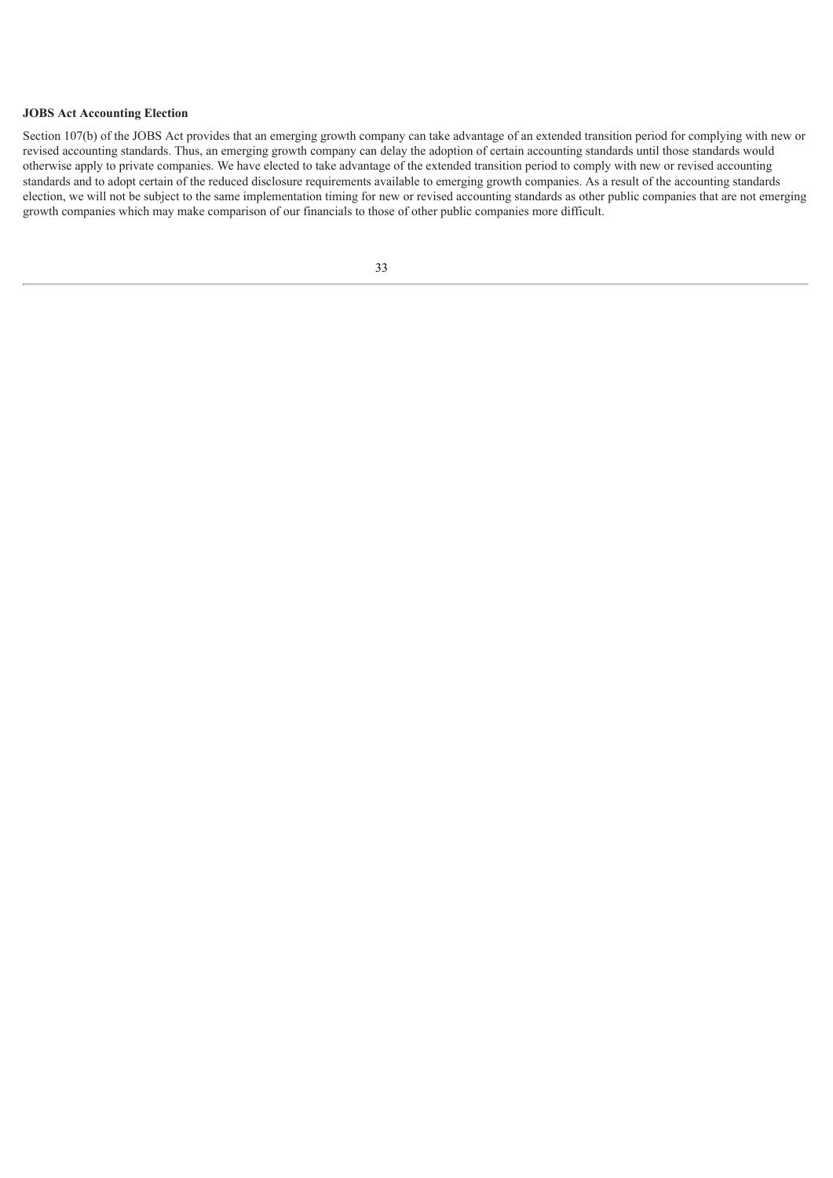#### **JOBS Act Accounting Election**

<span id="page-31-0"></span>Section 107(b) of the JOBS Act provides that an emerging growth company can take advantage of an extended transition period for complying with new or revised accounting standards. Thus, an emerging growth company can delay the adoption of certain accounting standards until those standards would otherwise apply to private companies. We have elected to take advantage of the extended transition period to comply with new or revised accounting standards and to adopt certain of the reduced disclosure requirements available to emerging growth companies. As a result of the accounting standards election, we will not be subject to the same implementation timing for new or revised accounting standards as other public companies that are not emerging growth companies which may make comparison of our financials to those of other public companies more difficult.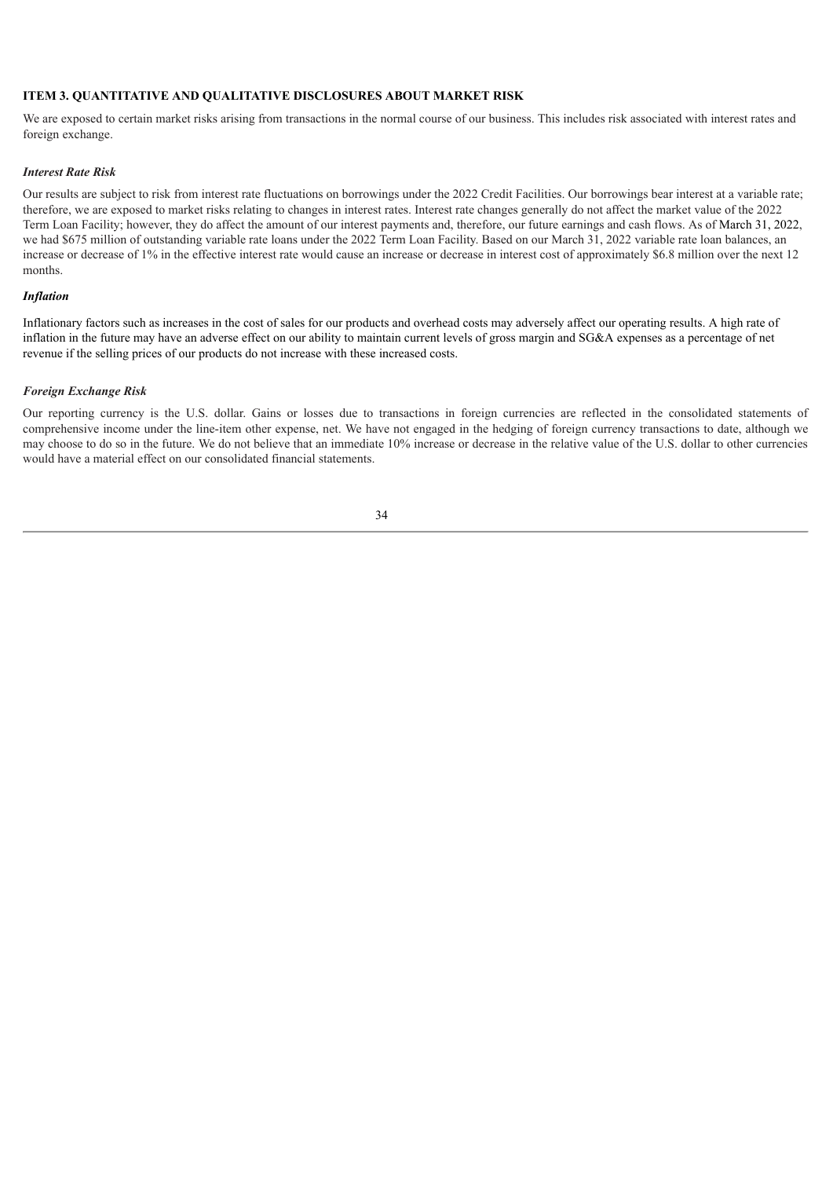## **ITEM 3. QUANTITATIVE AND QUALITATIVE DISCLOSURES ABOUT MARKET RISK**

We are exposed to certain market risks arising from transactions in the normal course of our business. This includes risk associated with interest rates and foreign exchange.

#### *Interest Rate Risk*

Our results are subject to risk from interest rate fluctuations on borrowings under the 2022 Credit Facilities. Our borrowings bear interest at a variable rate; therefore, we are exposed to market risks relating to changes in interest rates. Interest rate changes generally do not affect the market value of the 2022 Term Loan Facility; however, they do affect the amount of our interest payments and, therefore, our future earnings and cash flows. As of March 31, 2022, we had \$675 million of outstanding variable rate loans under the 2022 Term Loan Facility. Based on our March 31, 2022 variable rate loan balances, an increase or decrease of 1% in the effective interest rate would cause an increase or decrease in interest cost of approximately \$6.8 million over the next 12 months.

#### *Inflation*

Inflationary factors such as increases in the cost of sales for our products and overhead costs may adversely affect our operating results. A high rate of inflation in the future may have an adverse effect on our ability to maintain current levels of gross margin and SG&A expenses as a percentage of net revenue if the selling prices of our products do not increase with these increased costs.

#### *Foreign Exchange Risk*

<span id="page-32-0"></span>Our reporting currency is the U.S. dollar. Gains or losses due to transactions in foreign currencies are reflected in the consolidated statements of comprehensive income under the line-item other expense, net. We have not engaged in the hedging of foreign currency transactions to date, although we may choose to do so in the future. We do not believe that an immediate 10% increase or decrease in the relative value of the U.S. dollar to other currencies would have a material effect on our consolidated financial statements.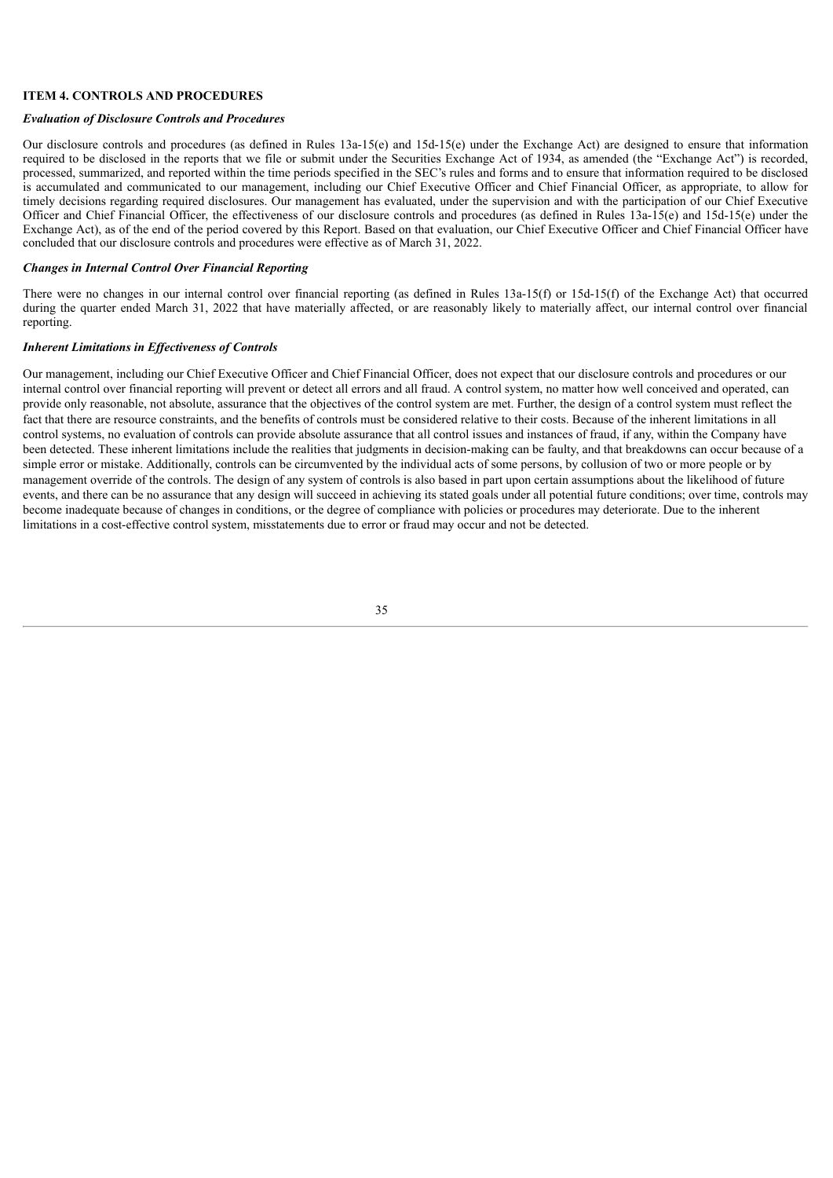#### **ITEM 4. CONTROLS AND PROCEDURES**

#### *Evaluation of Disclosure Controls and Procedures*

Our disclosure controls and procedures (as defined in Rules 13a-15(e) and 15d-15(e) under the Exchange Act) are designed to ensure that information required to be disclosed in the reports that we file or submit under the Securities Exchange Act of 1934, as amended (the "Exchange Act") is recorded, processed, summarized, and reported within the time periods specified in the SEC's rules and forms and to ensure that information required to be disclosed is accumulated and communicated to our management, including our Chief Executive Officer and Chief Financial Officer, as appropriate, to allow for timely decisions regarding required disclosures. Our management has evaluated, under the supervision and with the participation of our Chief Executive Officer and Chief Financial Officer, the effectiveness of our disclosure controls and procedures (as defined in Rules 13a-15(e) and 15d-15(e) under the Exchange Act), as of the end of the period covered by this Report. Based on that evaluation, our Chief Executive Officer and Chief Financial Officer have concluded that our disclosure controls and procedures were effective as of March 31, 2022.

#### *Changes in Internal Control Over Financial Reporting*

There were no changes in our internal control over financial reporting (as defined in Rules 13a-15(f) or 15d-15(f) of the Exchange Act) that occurred during the quarter ended March 31, 2022 that have materially affected, or are reasonably likely to materially affect, our internal control over financial reporting.

#### *Inherent Limitations in Ef ectiveness of Controls*

<span id="page-33-0"></span>Our management, including our Chief Executive Officer and Chief Financial Officer, does not expect that our disclosure controls and procedures or our internal control over financial reporting will prevent or detect all errors and all fraud. A control system, no matter how well conceived and operated, can provide only reasonable, not absolute, assurance that the objectives of the control system are met. Further, the design of a control system must reflect the fact that there are resource constraints, and the benefits of controls must be considered relative to their costs. Because of the inherent limitations in all control systems, no evaluation of controls can provide absolute assurance that all control issues and instances of fraud, if any, within the Company have been detected. These inherent limitations include the realities that judgments in decision-making can be faulty, and that breakdowns can occur because of a simple error or mistake. Additionally, controls can be circumvented by the individual acts of some persons, by collusion of two or more people or by management override of the controls. The design of any system of controls is also based in part upon certain assumptions about the likelihood of future events, and there can be no assurance that any design will succeed in achieving its stated goals under all potential future conditions; over time, controls may become inadequate because of changes in conditions, or the degree of compliance with policies or procedures may deteriorate. Due to the inherent limitations in a cost-effective control system, misstatements due to error or fraud may occur and not be detected.

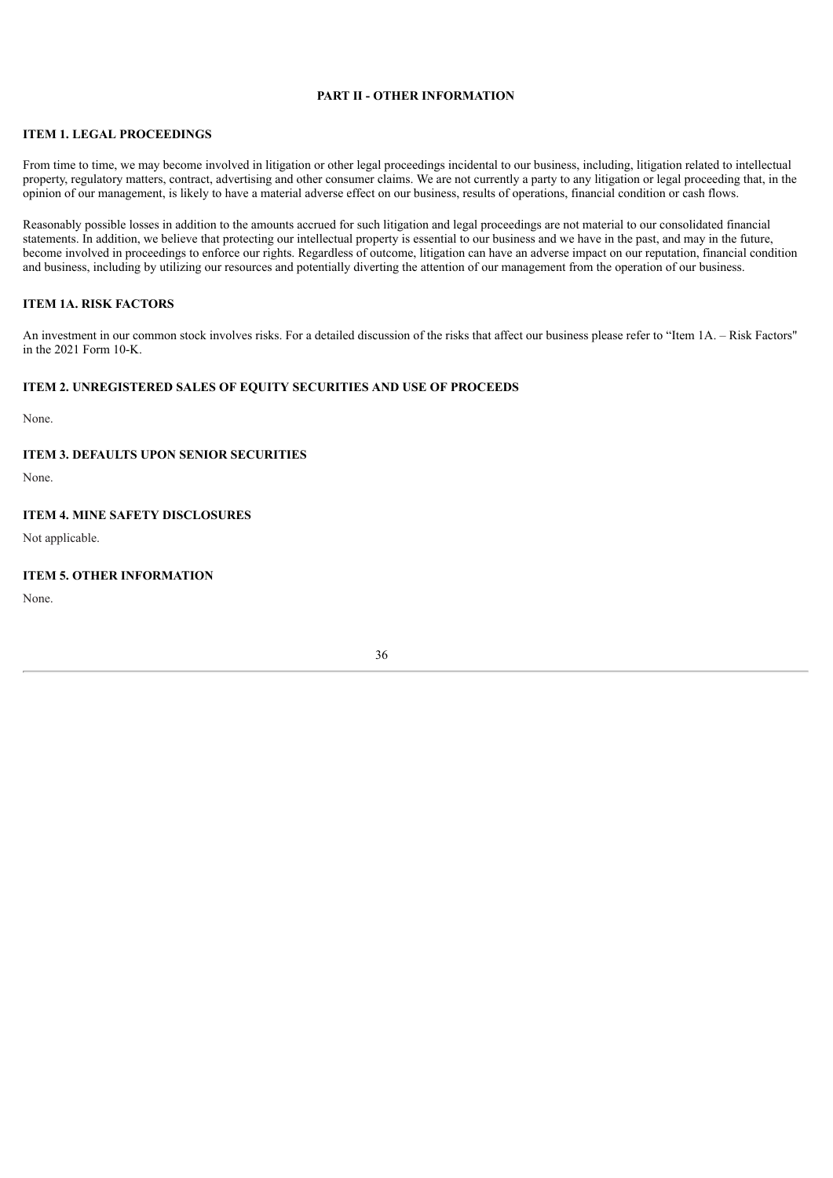#### **PART II - OTHER INFORMATION**

#### <span id="page-34-1"></span>**ITEM 1. LEGAL PROCEEDINGS**

From time to time, we may become involved in litigation or other legal proceedings incidental to our business, including, litigation related to intellectual property, regulatory matters, contract, advertising and other consumer claims. We are not currently a party to any litigation or legal proceeding that, in the opinion of our management, is likely to have a material adverse effect on our business, results of operations, financial condition or cash flows.

Reasonably possible losses in addition to the amounts accrued for such litigation and legal proceedings are not material to our consolidated financial statements. In addition, we believe that protecting our intellectual property is essential to our business and we have in the past, and may in the future, become involved in proceedings to enforce our rights. Regardless of outcome, litigation can have an adverse impact on our reputation, financial condition and business, including by utilizing our resources and potentially diverting the attention of our management from the operation of our business.

## <span id="page-34-2"></span>**ITEM 1A. RISK FACTORS**

An investment in our common stock involves risks. For a detailed discussion of the risks that affect our business please refer to "Item 1A. – Risk Factors" in the 2021 Form 10-K.

#### <span id="page-34-3"></span>**ITEM 2. UNREGISTERED SALES OF EQUITY SECURITIES AND USE OF PROCEEDS**

<span id="page-34-0"></span>None.

#### **ITEM 3. DEFAULTS UPON SENIOR SECURITIES**

<span id="page-34-4"></span>None.

## **ITEM 4. MINE SAFETY DISCLOSURES**

<span id="page-34-5"></span>Not applicable.

# **ITEM 5. OTHER INFORMATION**

<span id="page-34-6"></span>None.

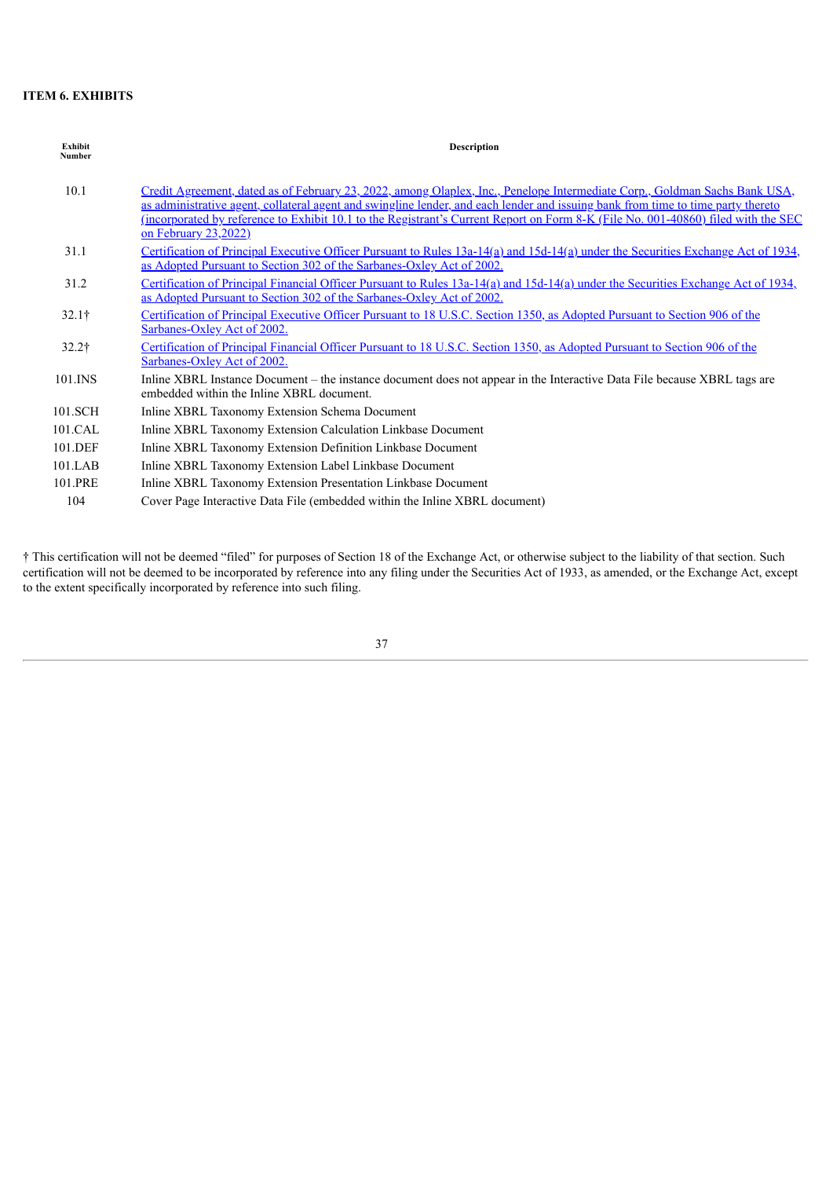# **ITEM 6. EXHIBITS**

| <b>Exhibit</b><br><b>Number</b> | <b>Description</b>                                                                                                                                                                                                                                                                                                                                                                                                                        |
|---------------------------------|-------------------------------------------------------------------------------------------------------------------------------------------------------------------------------------------------------------------------------------------------------------------------------------------------------------------------------------------------------------------------------------------------------------------------------------------|
| 10.1                            | Credit Agreement, dated as of February 23, 2022, among Olaplex, Inc., Penelope Intermediate Corp., Goldman Sachs Bank USA,<br>as administrative agent, collateral agent and swingline lender, and each lender and issuing bank from time to time party thereto<br><u>(incorporated by reference to Exhibit 10.1 to the Registrant's Current Report on Form 8-K (File No. 001-40860) filed with the SEC</u><br><u>on February 23,2022)</u> |
| 31.1                            | Certification of Principal Executive Officer Pursuant to Rules 13a-14(a) and 15d-14(a) under the Securities Exchange Act of 1934,<br>as Adopted Pursuant to Section 302 of the Sarbanes-Oxley Act of 2002.                                                                                                                                                                                                                                |
| 31.2                            | Certification of Principal Financial Officer Pursuant to Rules 13a-14(a) and 15d-14(a) under the Securities Exchange Act of 1934,<br>as Adopted Pursuant to Section 302 of the Sarbanes-Oxley Act of 2002.                                                                                                                                                                                                                                |
| $32.1\dagger$                   | Certification of Principal Executive Officer Pursuant to 18 U.S.C. Section 1350, as Adopted Pursuant to Section 906 of the<br>Sarbanes-Oxley Act of 2002.                                                                                                                                                                                                                                                                                 |
| $32.2\dagger$                   | Certification of Principal Financial Officer Pursuant to 18 U.S.C. Section 1350, as Adopted Pursuant to Section 906 of the<br>Sarbanes-Oxley Act of 2002.                                                                                                                                                                                                                                                                                 |
| 101.INS                         | Inline XBRL Instance Document - the instance document does not appear in the Interactive Data File because XBRL tags are<br>embedded within the Inline XBRL document.                                                                                                                                                                                                                                                                     |
| 101.SCH                         | Inline XBRL Taxonomy Extension Schema Document                                                                                                                                                                                                                                                                                                                                                                                            |
| 101.CAL                         | Inline XBRL Taxonomy Extension Calculation Linkbase Document                                                                                                                                                                                                                                                                                                                                                                              |
| 101.DEF                         | Inline XBRL Taxonomy Extension Definition Linkbase Document                                                                                                                                                                                                                                                                                                                                                                               |
| $101$ .LAB                      | Inline XBRL Taxonomy Extension Label Linkbase Document                                                                                                                                                                                                                                                                                                                                                                                    |
| 101.PRE                         | Inline XBRL Taxonomy Extension Presentation Linkbase Document                                                                                                                                                                                                                                                                                                                                                                             |
| 104                             | Cover Page Interactive Data File (embedded within the Inline XBRL document)                                                                                                                                                                                                                                                                                                                                                               |

<span id="page-35-0"></span>† This certification will not be deemed "filed" for purposes of Section 18 of the Exchange Act, or otherwise subject to the liability of that section. Such certification will not be deemed to be incorporated by reference into any filing under the Securities Act of 1933, as amended, or the Exchange Act, except to the extent specifically incorporated by reference into such filing.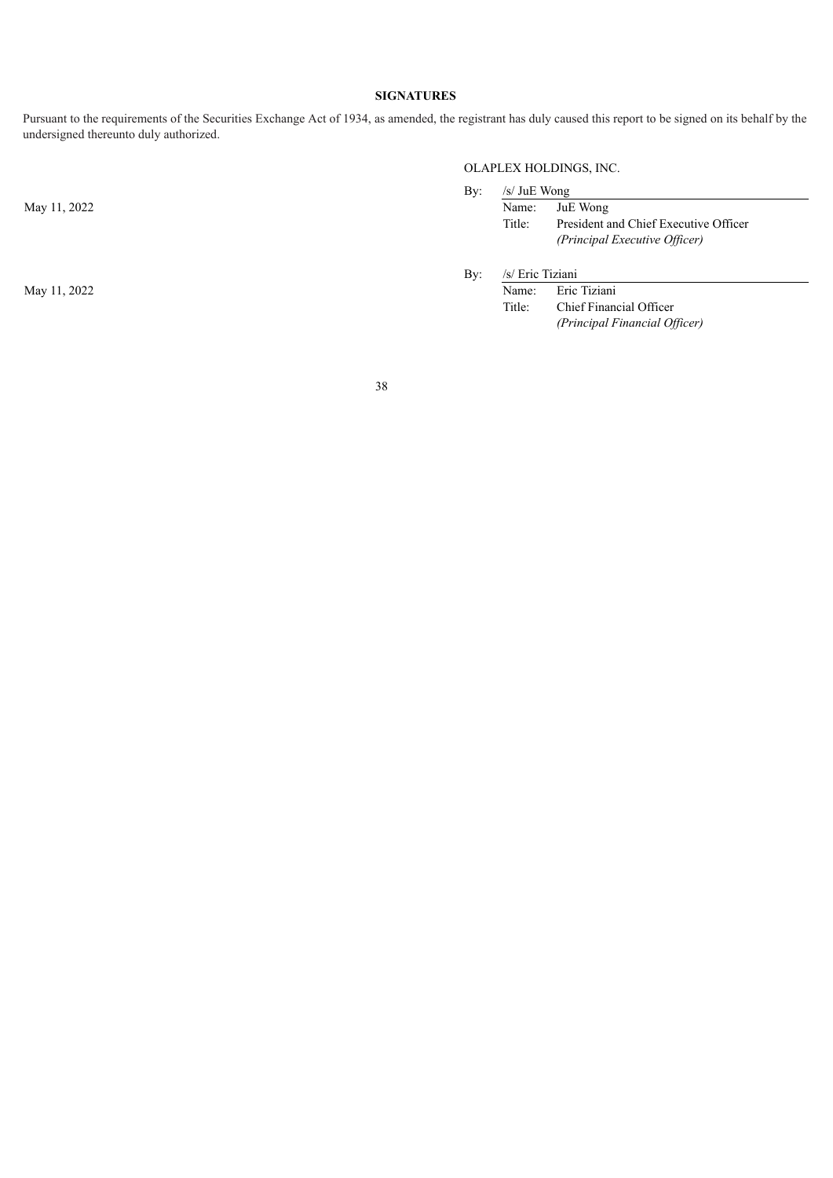# **SIGNATURES**

Pursuant to the requirements of the Securities Exchange Act of 1934, as amended, the registrant has duly caused this report to be signed on its behalf by the undersigned thereunto duly authorized.

May 11, 2022

May 11, 2022

# OLAPLEX HOLDINGS, INC.

| Bv: | /s/ JuE Wong |                                       |
|-----|--------------|---------------------------------------|
|     |              | Name: JuE Wong                        |
|     | Title:       | President and Chief Executive Officer |
|     |              | (Principal Executive Officer)         |
|     |              |                                       |

By: /s/ Eric Tiziani

| Name:  | Eric Tiziani                  |
|--------|-------------------------------|
| Title: | Chief Financial Officer       |
|        | (Principal Financial Officer) |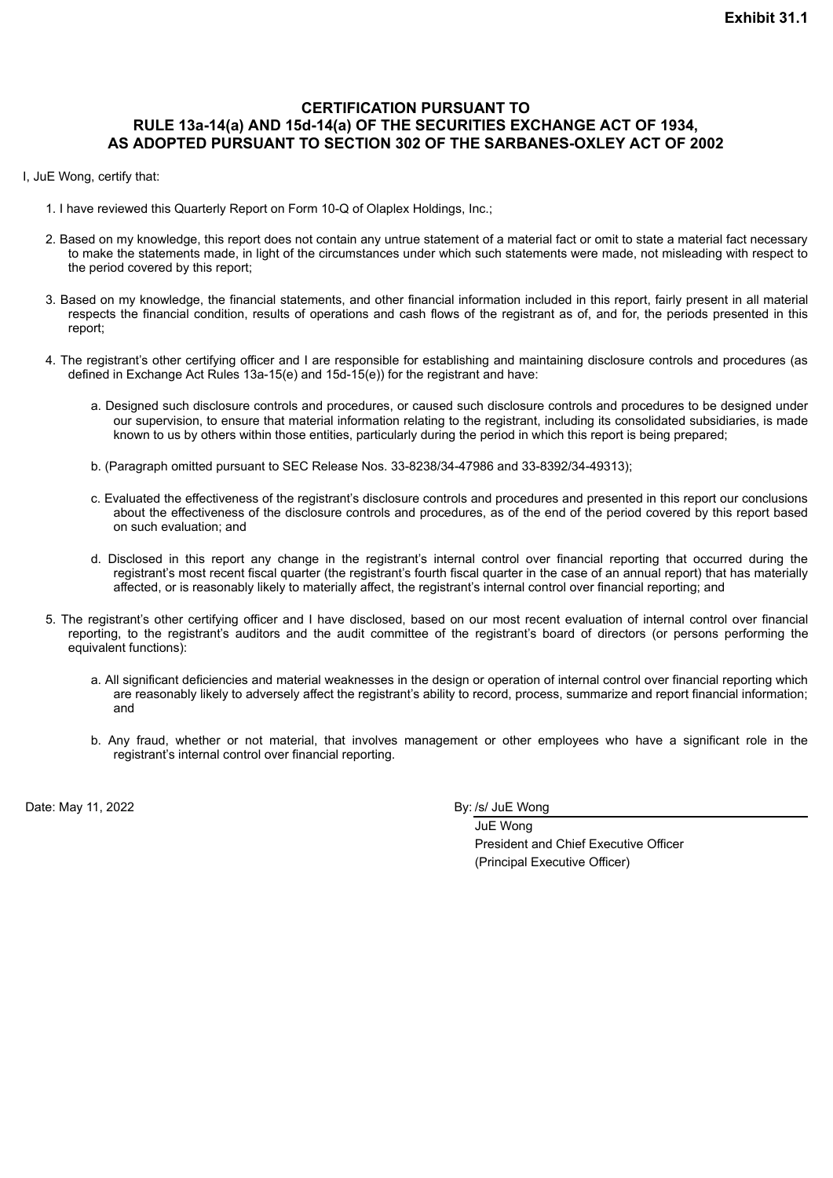# <span id="page-37-0"></span>**CERTIFICATION PURSUANT TO RULE 13a-14(a) AND 15d-14(a) OF THE SECURITIES EXCHANGE ACT OF 1934, AS ADOPTED PURSUANT TO SECTION 302 OF THE SARBANES-OXLEY ACT OF 2002**

I, JuE Wong, certify that:

- 1. I have reviewed this Quarterly Report on Form 10-Q of Olaplex Holdings, Inc.;
- 2. Based on my knowledge, this report does not contain any untrue statement of a material fact or omit to state a material fact necessary to make the statements made, in light of the circumstances under which such statements were made, not misleading with respect to the period covered by this report;
- 3. Based on my knowledge, the financial statements, and other financial information included in this report, fairly present in all material respects the financial condition, results of operations and cash flows of the registrant as of, and for, the periods presented in this report;
- 4. The registrant's other certifying officer and I are responsible for establishing and maintaining disclosure controls and procedures (as defined in Exchange Act Rules 13a-15(e) and 15d-15(e)) for the registrant and have:
	- a. Designed such disclosure controls and procedures, or caused such disclosure controls and procedures to be designed under our supervision, to ensure that material information relating to the registrant, including its consolidated subsidiaries, is made known to us by others within those entities, particularly during the period in which this report is being prepared;
	- b. (Paragraph omitted pursuant to SEC Release Nos. 33-8238/34-47986 and 33-8392/34-49313);
	- c. Evaluated the effectiveness of the registrant's disclosure controls and procedures and presented in this report our conclusions about the effectiveness of the disclosure controls and procedures, as of the end of the period covered by this report based on such evaluation; and
	- d. Disclosed in this report any change in the registrant's internal control over financial reporting that occurred during the registrant's most recent fiscal quarter (the registrant's fourth fiscal quarter in the case of an annual report) that has materially affected, or is reasonably likely to materially affect, the registrant's internal control over financial reporting; and
- 5. The registrant's other certifying officer and I have disclosed, based on our most recent evaluation of internal control over financial reporting, to the registrant's auditors and the audit committee of the registrant's board of directors (or persons performing the equivalent functions):
	- a. All significant deficiencies and material weaknesses in the design or operation of internal control over financial reporting which are reasonably likely to adversely affect the registrant's ability to record, process, summarize and report financial information; and
	- b. Any fraud, whether or not material, that involves management or other employees who have a significant role in the registrant's internal control over financial reporting.

Date: May 11, 2022 **By: /s/ Jule Wong** 

JuE Wong President and Chief Executive Officer (Principal Executive Officer)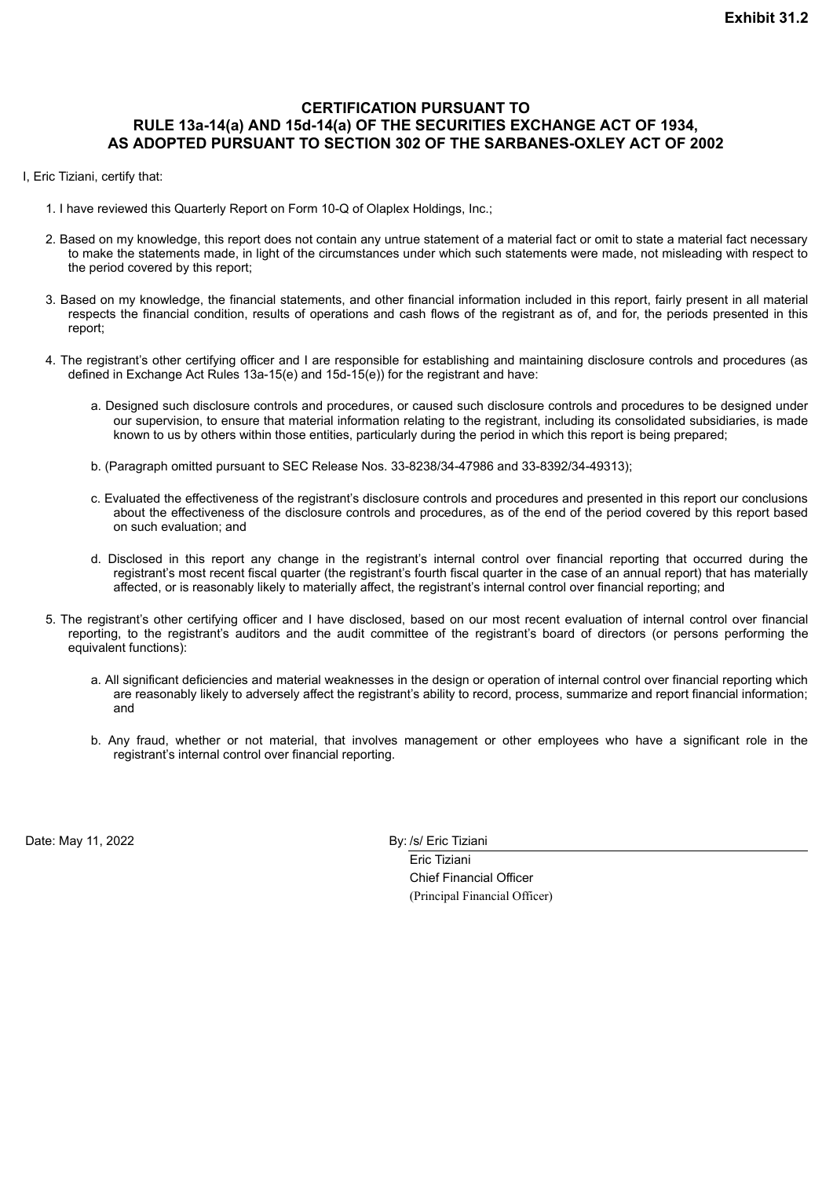# <span id="page-38-0"></span>**CERTIFICATION PURSUANT TO RULE 13a-14(a) AND 15d-14(a) OF THE SECURITIES EXCHANGE ACT OF 1934, AS ADOPTED PURSUANT TO SECTION 302 OF THE SARBANES-OXLEY ACT OF 2002**

- I, Eric Tiziani, certify that:
	- 1. I have reviewed this Quarterly Report on Form 10-Q of Olaplex Holdings, Inc.;
	- 2. Based on my knowledge, this report does not contain any untrue statement of a material fact or omit to state a material fact necessary to make the statements made, in light of the circumstances under which such statements were made, not misleading with respect to the period covered by this report;
	- 3. Based on my knowledge, the financial statements, and other financial information included in this report, fairly present in all material respects the financial condition, results of operations and cash flows of the registrant as of, and for, the periods presented in this report;
	- 4. The registrant's other certifying officer and I are responsible for establishing and maintaining disclosure controls and procedures (as defined in Exchange Act Rules 13a-15(e) and 15d-15(e)) for the registrant and have:
		- a. Designed such disclosure controls and procedures, or caused such disclosure controls and procedures to be designed under our supervision, to ensure that material information relating to the registrant, including its consolidated subsidiaries, is made known to us by others within those entities, particularly during the period in which this report is being prepared;
		- b. (Paragraph omitted pursuant to SEC Release Nos. 33-8238/34-47986 and 33-8392/34-49313);
		- c. Evaluated the effectiveness of the registrant's disclosure controls and procedures and presented in this report our conclusions about the effectiveness of the disclosure controls and procedures, as of the end of the period covered by this report based on such evaluation; and
		- d. Disclosed in this report any change in the registrant's internal control over financial reporting that occurred during the registrant's most recent fiscal quarter (the registrant's fourth fiscal quarter in the case of an annual report) that has materially affected, or is reasonably likely to materially affect, the registrant's internal control over financial reporting; and
	- 5. The registrant's other certifying officer and I have disclosed, based on our most recent evaluation of internal control over financial reporting, to the registrant's auditors and the audit committee of the registrant's board of directors (or persons performing the equivalent functions):
		- a. All significant deficiencies and material weaknesses in the design or operation of internal control over financial reporting which are reasonably likely to adversely affect the registrant's ability to record, process, summarize and report financial information; and
		- b. Any fraud, whether or not material, that involves management or other employees who have a significant role in the registrant's internal control over financial reporting.

Date: May 11, 2022 **By:** /s/ Eric Tiziani

Eric Tiziani Chief Financial Officer (Principal Financial Officer)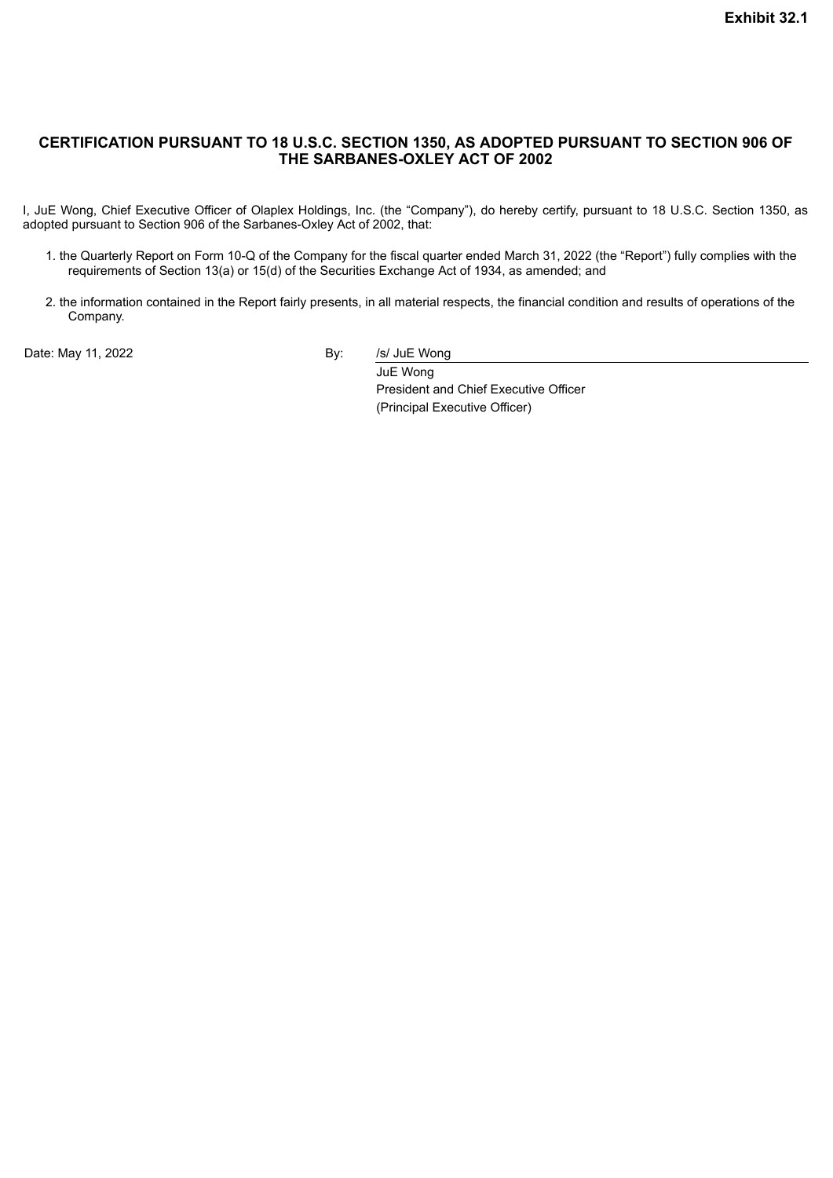# <span id="page-39-0"></span>**CERTIFICATION PURSUANT TO 18 U.S.C. SECTION 1350, AS ADOPTED PURSUANT TO SECTION 906 OF THE SARBANES-OXLEY ACT OF 2002**

I, JuE Wong, Chief Executive Officer of Olaplex Holdings, Inc. (the "Company"), do hereby certify, pursuant to 18 U.S.C. Section 1350, as adopted pursuant to Section 906 of the Sarbanes-Oxley Act of 2002, that:

- 1. the Quarterly Report on Form 10-Q of the Company for the fiscal quarter ended March 31, 2022 (the "Report") fully complies with the requirements of Section 13(a) or 15(d) of the Securities Exchange Act of 1934, as amended; and
- 2. the information contained in the Report fairly presents, in all material respects, the financial condition and results of operations of the Company.

Date: May 11, 2022 **By:** By: /s/ JuE Wong

JuE Wong President and Chief Executive Officer (Principal Executive Officer)